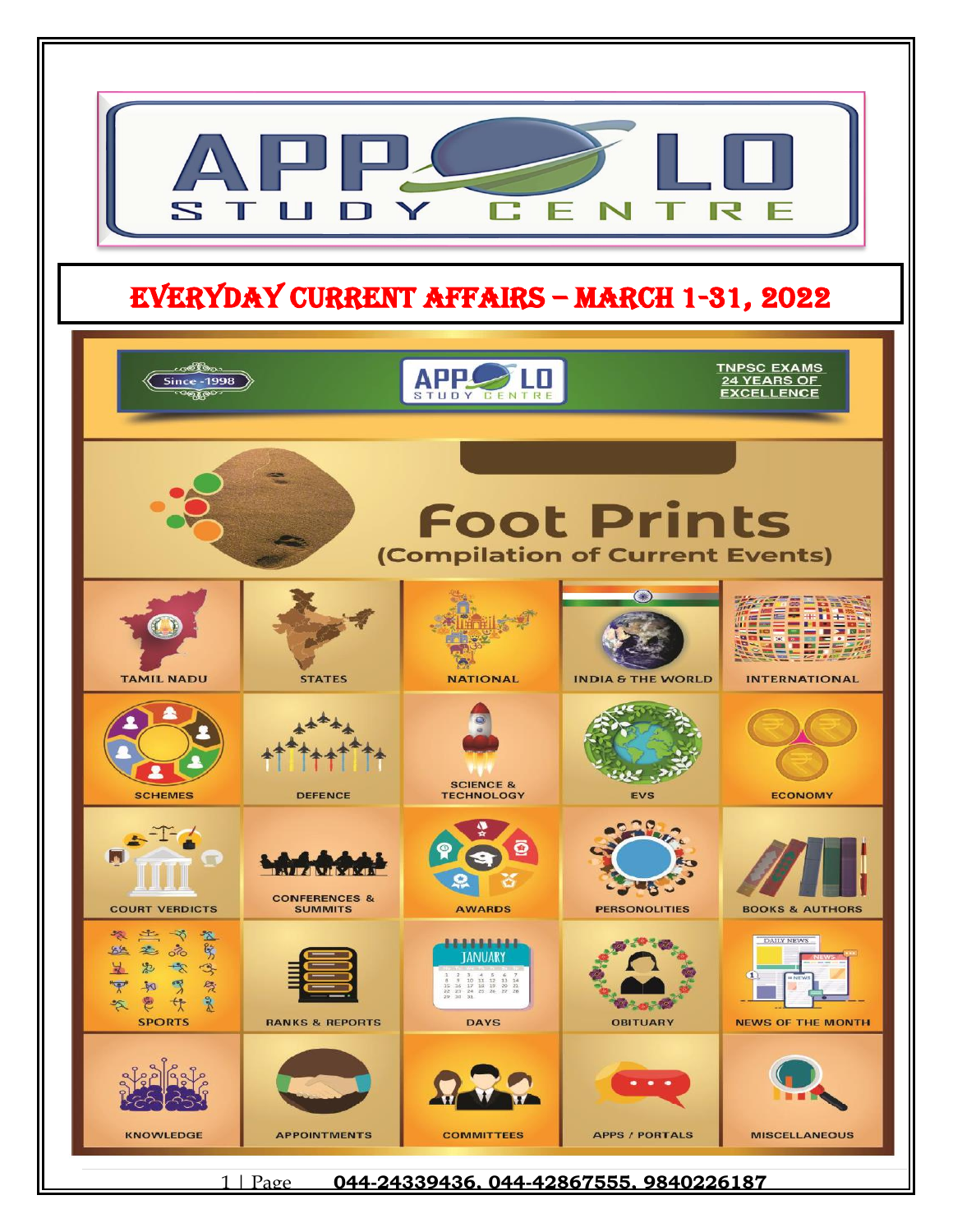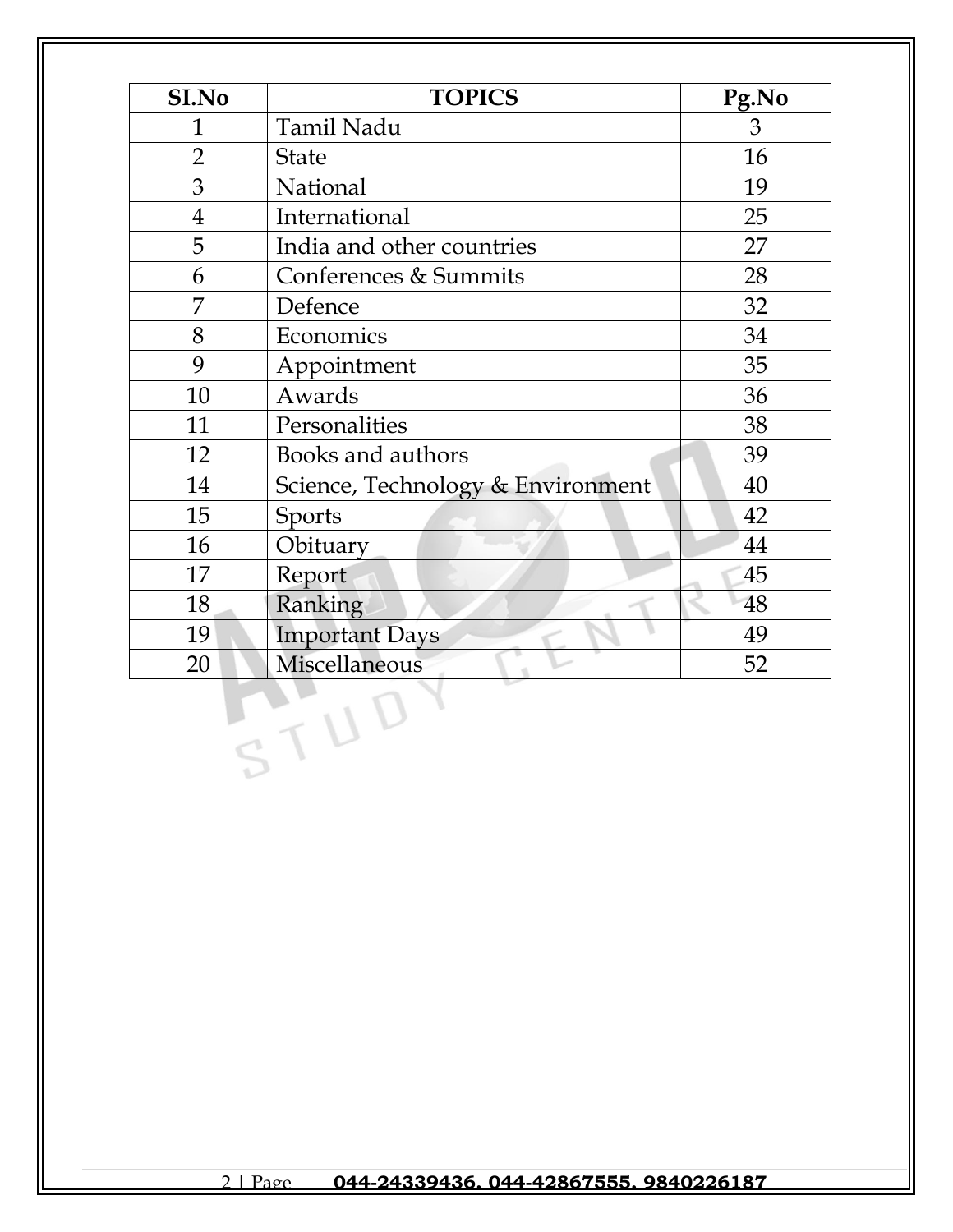| SI.No          | <b>TOPICS</b>                     | Pg.No |
|----------------|-----------------------------------|-------|
| $\mathbf{1}$   | Tamil Nadu                        | 3     |
| $\overline{2}$ | <b>State</b>                      | 16    |
| 3              | National                          | 19    |
| $\overline{4}$ | International                     | 25    |
| 5              | India and other countries         | 27    |
| 6              | Conferences & Summits             | 28    |
| 7              | Defence                           | 32    |
| 8              | Economics                         | 34    |
| 9              | Appointment                       | 35    |
| 10             | Awards                            | 36    |
| 11             | Personalities                     | 38    |
| 12             | Books and authors                 | 39    |
| 14             | Science, Technology & Environment | 40    |
| 15             | <b>Sports</b>                     | 42    |
| 16             | Obituary                          | 44    |
| 17             | Report                            | 45    |
| 18             | Ranking                           | 48    |
| 19             | <b>Important Days</b>             | 49    |
| 20             | Miscellaneous                     | 52    |
|                |                                   |       |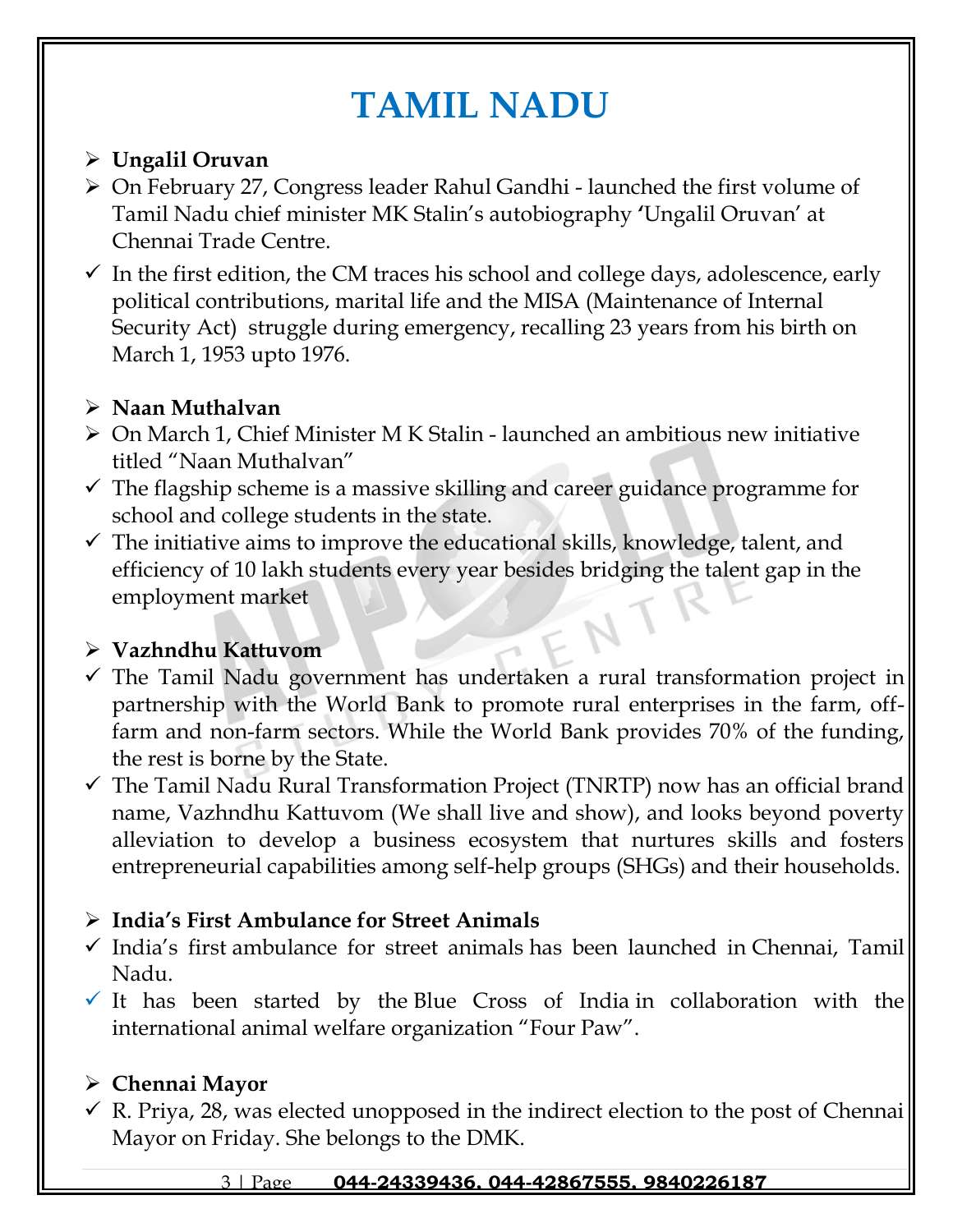# **TAMIL NADU**

## ➢ **Ungalil Oruvan**

- ➢ On February 27, Congress leader Rahul Gandhi launched the first volume of Tamil Nadu chief minister MK Stalin's autobiography **'**Ungalil Oruvan' at Chennai Trade Centre.
- $\checkmark$  In the first edition, the CM traces his school and college days, adolescence, early political contributions, marital life and the MISA (Maintenance of Internal Security Act) struggle during emergency, recalling 23 years from his birth on March 1, 1953 upto 1976.

## ➢ **Naan Muthalvan**

- ➢ On March 1, Chief Minister M K Stalin launched an ambitious new initiative titled "Naan Muthalvan"
- $\checkmark$  The flagship scheme is a massive skilling and career guidance programme for school and college students in the state.
- $\checkmark$  The initiative aims to improve the educational skills, knowledge, talent, and efficiency of 10 lakh students every year besides bridging the talent gap in the employment market

## ➢ **Vazhndhu Kattuvom**

- $\checkmark$  The Tamil Nadu government has undertaken a rural transformation project in partnership with the World Bank to promote rural enterprises in the farm, offfarm and non-farm sectors. While the World Bank provides 70% of the funding, the rest is borne by the State.
- $\checkmark$  The Tamil Nadu Rural Transformation Project (TNRTP) now has an official brand name, Vazhndhu Kattuvom (We shall live and show), and looks beyond poverty alleviation to develop a business ecosystem that nurtures skills and fosters entrepreneurial capabilities among self-help groups (SHGs) and their households.

## ➢ **India's First Ambulance for Street Animals**

- ✓ India's first ambulance for street animals has been launched in Chennai, Tamil Nadu.
- $\checkmark$  It has been started by the Blue Cross of India in collaboration with the international animal welfare organization "Four Paw".

## ➢ **Chennai Mayor**

 $\checkmark$  R. Priya, 28, was elected unopposed in the indirect election to the post of Chennai Mayor on Friday. She belongs to the DMK.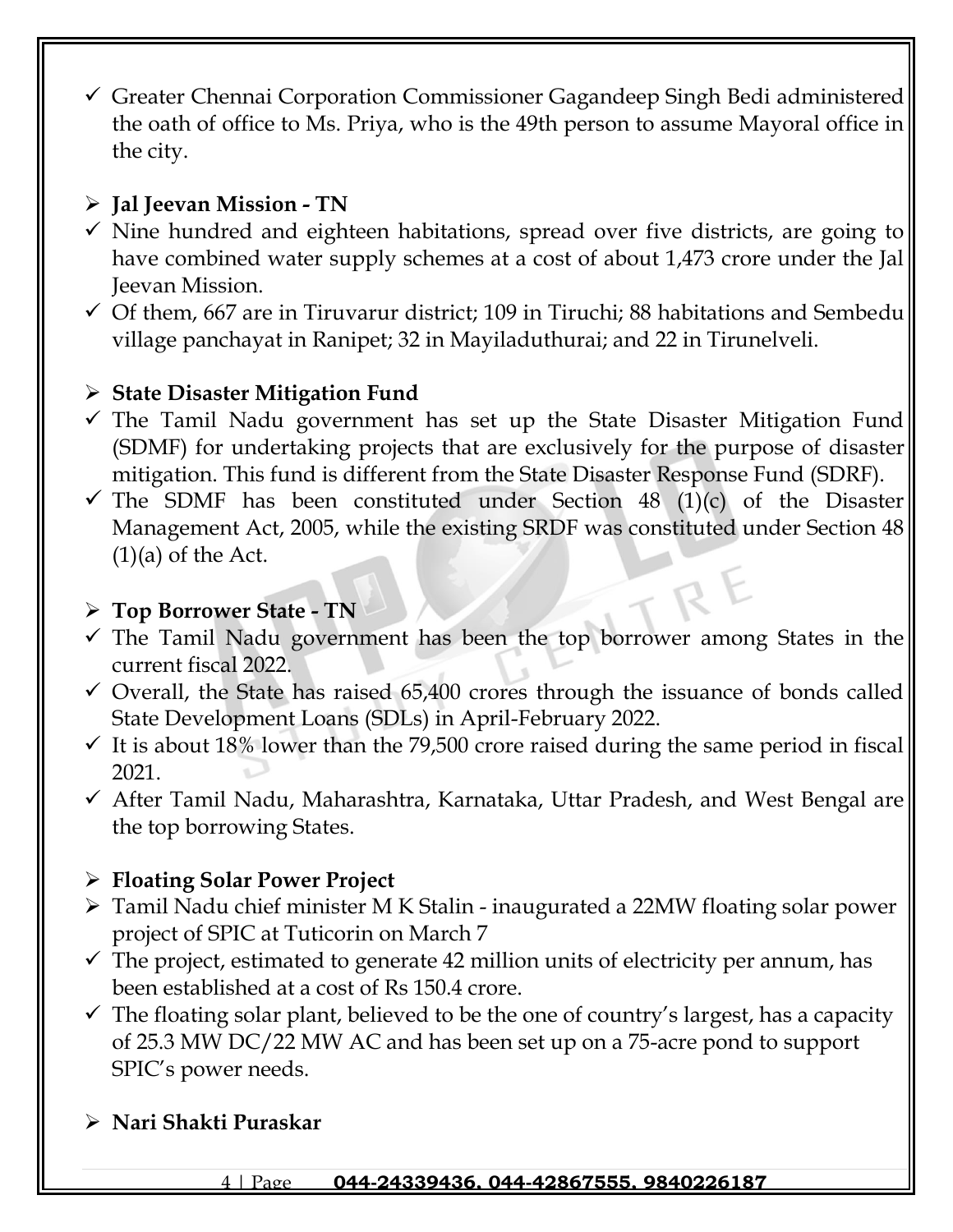✓ Greater Chennai Corporation Commissioner Gagandeep Singh Bedi administered the oath of office to Ms. Priya, who is the 49th person to assume Mayoral office in the city.

## ➢ **Jal Jeevan Mission - TN**

- $\checkmark$  Nine hundred and eighteen habitations, spread over five districts, are going to have combined water supply schemes at a cost of about 1,473 crore under the Jal Jeevan Mission.
- $\checkmark$  Of them, 667 are in Tiruvarur district; 109 in Tiruchi; 88 habitations and Sembedu village panchayat in Ranipet; 32 in Mayiladuthurai; and 22 in Tirunelveli.

## ➢ **State Disaster Mitigation Fund**

- $\checkmark$  The Tamil Nadu government has set up the State Disaster Mitigation Fund (SDMF) for undertaking projects that are exclusively for the purpose of disaster mitigation. This fund is different from the State Disaster Response Fund (SDRF).
- $\checkmark$  The SDMF has been constituted under Section 48 (1)(c) of the Disaster Management Act, 2005, while the existing SRDF was constituted under Section 48  $(1)(a)$  of the Act.

## ➢ **Top Borrower State - TN**

- ✓ The Tamil Nadu government has been the top borrower among States in the current fiscal 2022.
- $\checkmark$  Overall, the State has raised 65,400 crores through the issuance of bonds called State Development Loans (SDLs) in April-February 2022.
- $\checkmark$  It is about 18% lower than the 79,500 crore raised during the same period in fiscal 2021.
- ✓ After Tamil Nadu, Maharashtra, Karnataka, Uttar Pradesh, and West Bengal are the top borrowing States.

## ➢ **Floating Solar Power Project**

- ➢ Tamil Nadu chief minister M K Stalin inaugurated a 22MW floating solar power project of SPIC at Tuticorin on March 7
- $\checkmark$  The project, estimated to generate 42 million units of electricity per annum, has been established at a cost of Rs 150.4 crore.
- $\checkmark$  The floating solar plant, believed to be the one of country's largest, has a capacity of 25.3 MW DC/22 MW AC and has been set up on a 75-acre pond to support SPIC's power needs.

## ➢ **Nari Shakti Puraskar**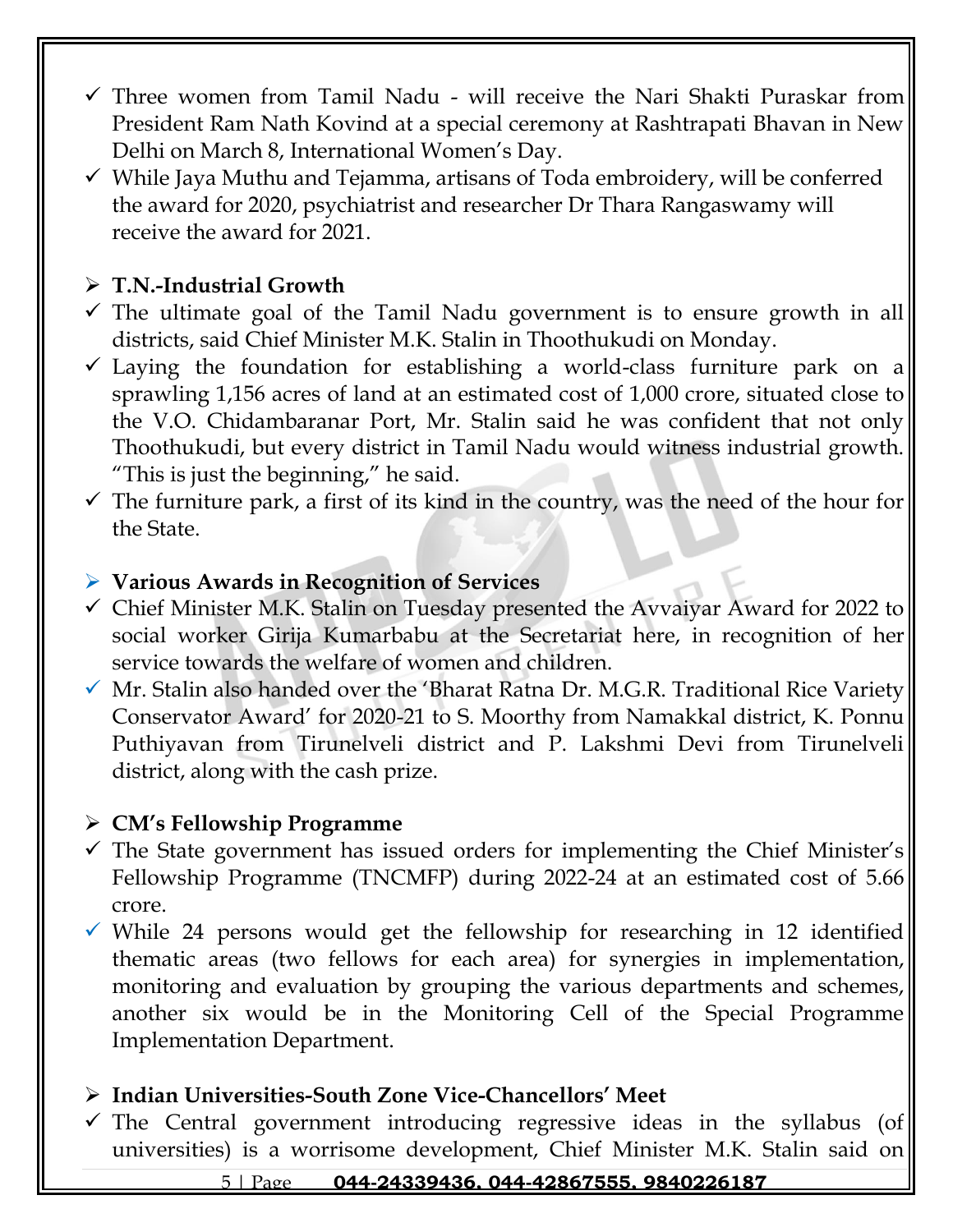- $\checkmark$  Three women from Tamil Nadu will receive the Nari Shakti Puraskar from President Ram Nath Kovind at a special ceremony at Rashtrapati Bhavan in New Delhi on March 8, International Women's Day.
- $\checkmark$  While Jaya Muthu and Tejamma, artisans of Toda embroidery, will be conferred the award for 2020, psychiatrist and researcher Dr Thara Rangaswamy will receive the award for 2021.

## ➢ **T.N.-Industrial Growth**

- $\checkmark$  The ultimate goal of the Tamil Nadu government is to ensure growth in all districts, said Chief Minister M.K. Stalin in Thoothukudi on Monday.
- $\checkmark$  Laying the foundation for establishing a world-class furniture park on a sprawling 1,156 acres of land at an estimated cost of 1,000 crore, situated close to the V.O. Chidambaranar Port, Mr. Stalin said he was confident that not only Thoothukudi, but every district in Tamil Nadu would witness industrial growth. "This is just the beginning," he said.
- $\checkmark$  The furniture park, a first of its kind in the country, was the need of the hour for the State.

#### ➢ **Various Awards in Recognition of Services**

- ✓ Chief Minister M.K. Stalin on Tuesday presented the Avvaiyar Award for 2022 to social worker Girija Kumarbabu at the Secretariat here, in recognition of her service towards the welfare of women and children.
- ✓ Mr. Stalin also handed over the 'Bharat Ratna Dr. M.G.R. Traditional Rice Variety Conservator Award' for 2020-21 to S. Moorthy from Namakkal district, K. Ponnu Puthiyavan from Tirunelveli district and P. Lakshmi Devi from Tirunelveli district, along with the cash prize.

### ➢ **CM's Fellowship Programme**

- $\checkmark$  The State government has issued orders for implementing the Chief Minister's Fellowship Programme (TNCMFP) during 2022-24 at an estimated cost of 5.66 crore.
- $\checkmark$  While 24 persons would get the fellowship for researching in 12 identified thematic areas (two fellows for each area) for synergies in implementation, monitoring and evaluation by grouping the various departments and schemes, another six would be in the Monitoring Cell of the Special Programme Implementation Department.

### ➢ **Indian Universities-South Zone Vice-Chancellors' Meet**

 $\checkmark$  The Central government introducing regressive ideas in the syllabus (of universities) is a worrisome development, Chief Minister M.K. Stalin said on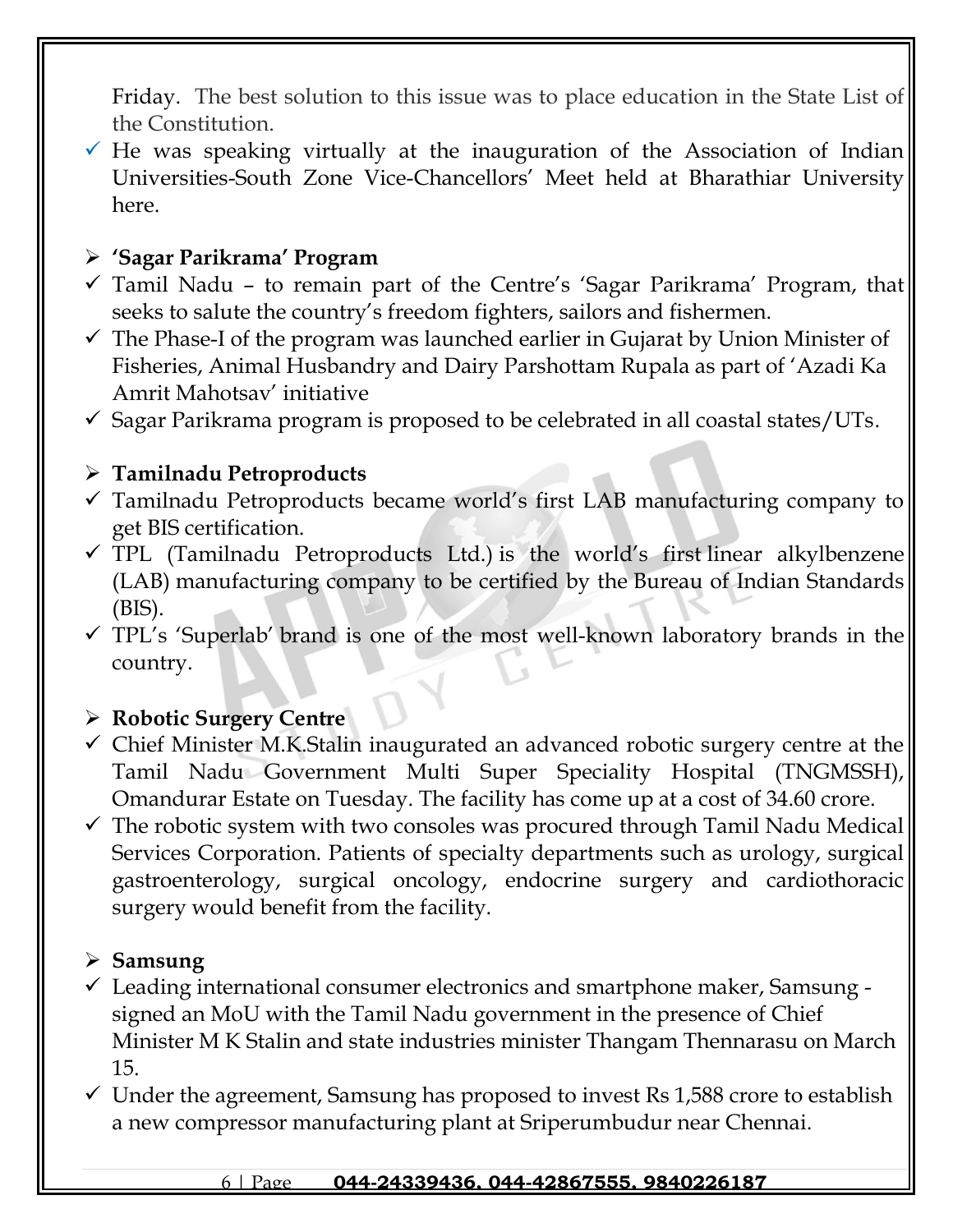Friday. The best solution to this issue was to place education in the State List of the Constitution.

 $\checkmark$  He was speaking virtually at the inauguration of the Association of Indian Universities-South Zone Vice-Chancellors' Meet held at Bharathiar University here.

## ➢ **'Sagar Parikrama' Program**

- $\checkmark$  Tamil Nadu to remain part of the Centre's 'Sagar Parikrama' Program, that seeks to salute the country's freedom fighters, sailors and fishermen.
- $\checkmark$  The Phase-I of the program was launched earlier in Gujarat by Union Minister of Fisheries, Animal Husbandry and Dairy Parshottam Rupala as part of 'Azadi Ka Amrit Mahotsav' initiative
- $\checkmark$  Sagar Parikrama program is proposed to be celebrated in all coastal states/UTs.

## ➢ **Tamilnadu Petroproducts**

- $\checkmark$  Tamilnadu Petroproducts became world's first LAB manufacturing company to get BIS certification.
- $\checkmark$  TPL (Tamilnadu Petroproducts Ltd.) is the world's first linear alkylbenzene (LAB) manufacturing company to be certified by the Bureau of Indian Standards (BIS).
- ✓ TPL's 'Superlab' brand is one of the most well-known laboratory brands in the country.

## ➢ **Robotic Surgery Centre**

- $\checkmark$  Chief Minister M.K.Stalin inaugurated an advanced robotic surgery centre at the Tamil Nadu Government Multi Super Speciality Hospital (TNGMSSH), Omandurar Estate on Tuesday. The facility has come up at a cost of 34.60 crore.
- $\checkmark$  The robotic system with two consoles was procured through Tamil Nadu Medical Services Corporation. Patients of specialty departments such as urology, surgical gastroenterology, surgical oncology, endocrine surgery and cardiothoracic surgery would benefit from the facility.

## ➢ **Samsung**

- $\checkmark$  Leading international consumer electronics and smartphone maker, Samsung signed an MoU with the Tamil Nadu government in the presence of Chief Minister M K Stalin and state industries minister Thangam Thennarasu on March 15.
- $\checkmark$  Under the agreement, Samsung has proposed to invest Rs 1,588 crore to establish a new compressor manufacturing plant at Sriperumbudur near Chennai.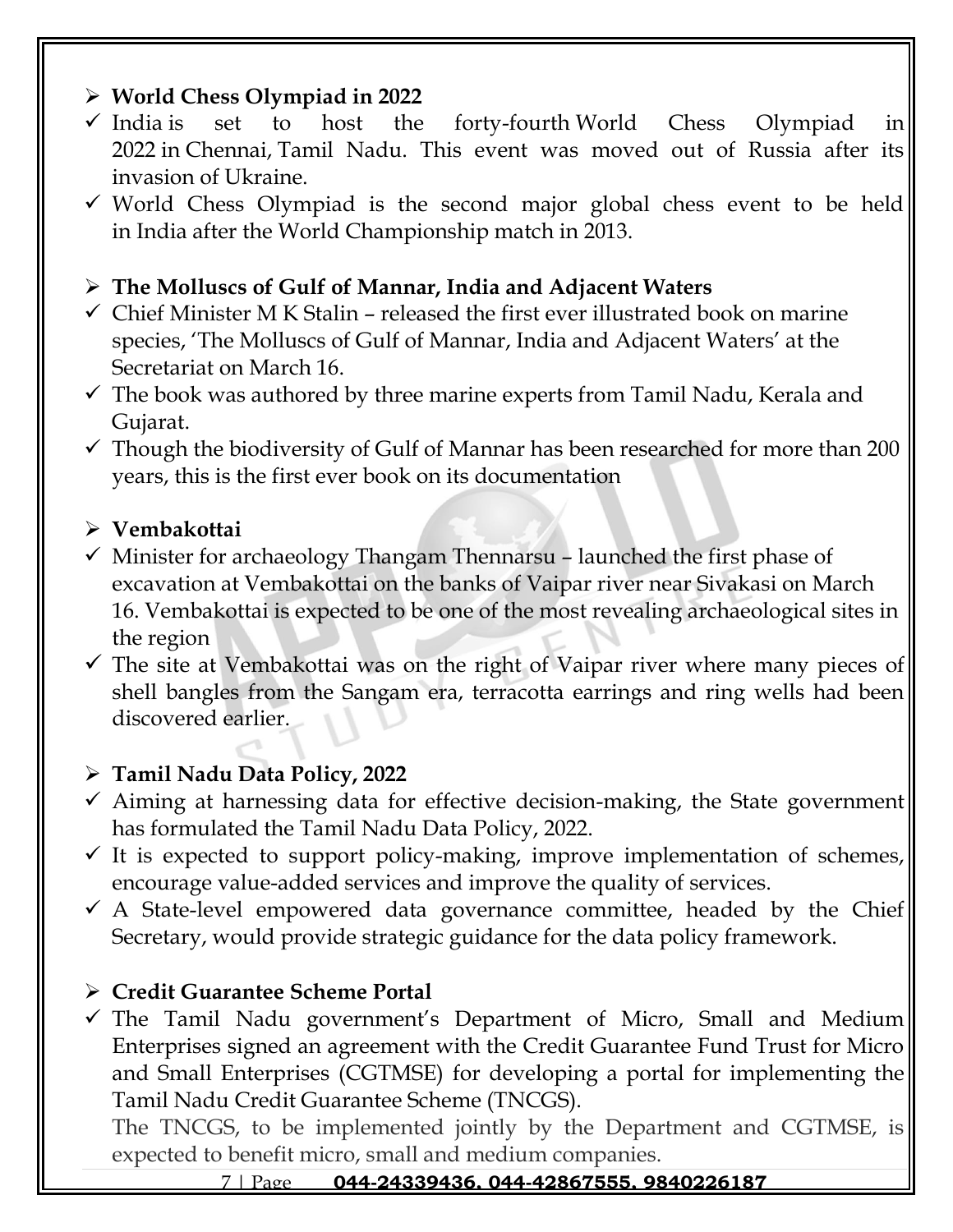## ➢ **World Chess Olympiad in 2022**

- $\checkmark$  India is set to host the forty-fourth World Chess Olympiad in 2022 in [Chennai,](https://raceinstitute.in/branches/chennai/) [Tamil Nadu.](https://raceinstitute.in/branches/) This event was moved out of Russia after its invasion of Ukraine.
- $\checkmark$  World Chess Olympiad is the second major global chess event to be held in India after the World Championship match in 2013.

## ➢ **The Molluscs of Gulf of Mannar, India and Adjacent Waters**

- $\checkmark$  Chief Minister M K Stalin released the first ever illustrated book on marine species, 'The Molluscs of Gulf of Mannar, India and Adjacent Waters' at the Secretariat on March 16.
- $\checkmark$  The book was authored by three marine experts from Tamil Nadu, Kerala and Gujarat.
- $\checkmark$  Though the biodiversity of Gulf of Mannar has been researched for more than 200 years, this is the first ever book on its documentation

## ➢ **Vembakottai**

- $\checkmark$  Minister for archaeology Thangam Thennarsu launched the first phase of excavation at Vembakottai on the banks of Vaipar river near Sivakasi on March 16. Vembakottai is expected to be one of the most revealing archaeological sites in the region
- $\checkmark$  The site at Vembakottai was on the right of Vaipar river where many pieces of shell bangles from the Sangam era, terracotta earrings and ring wells had been discovered earlier.

## ➢ **Tamil Nadu Data Policy, 2022**

- $\checkmark$  Aiming at harnessing data for effective decision-making, the State government has formulated the Tamil Nadu Data Policy, 2022.
- $\checkmark$  It is expected to support policy-making, improve implementation of schemes, encourage value-added services and improve the quality of services.
- $\checkmark$  A State-level empowered data governance committee, headed by the Chief Secretary, would provide strategic guidance for the data policy framework.

## ➢ **Credit Guarantee Scheme Portal**

 $\checkmark$  The Tamil Nadu government's Department of Micro, Small and Medium Enterprises signed an agreement with the Credit Guarantee Fund Trust for Micro and Small Enterprises (CGTMSE) for developing a portal for implementing the Tamil Nadu Credit Guarantee Scheme (TNCGS).

The TNCGS, to be implemented jointly by the Department and CGTMSE, is expected to benefit micro, small and medium companies.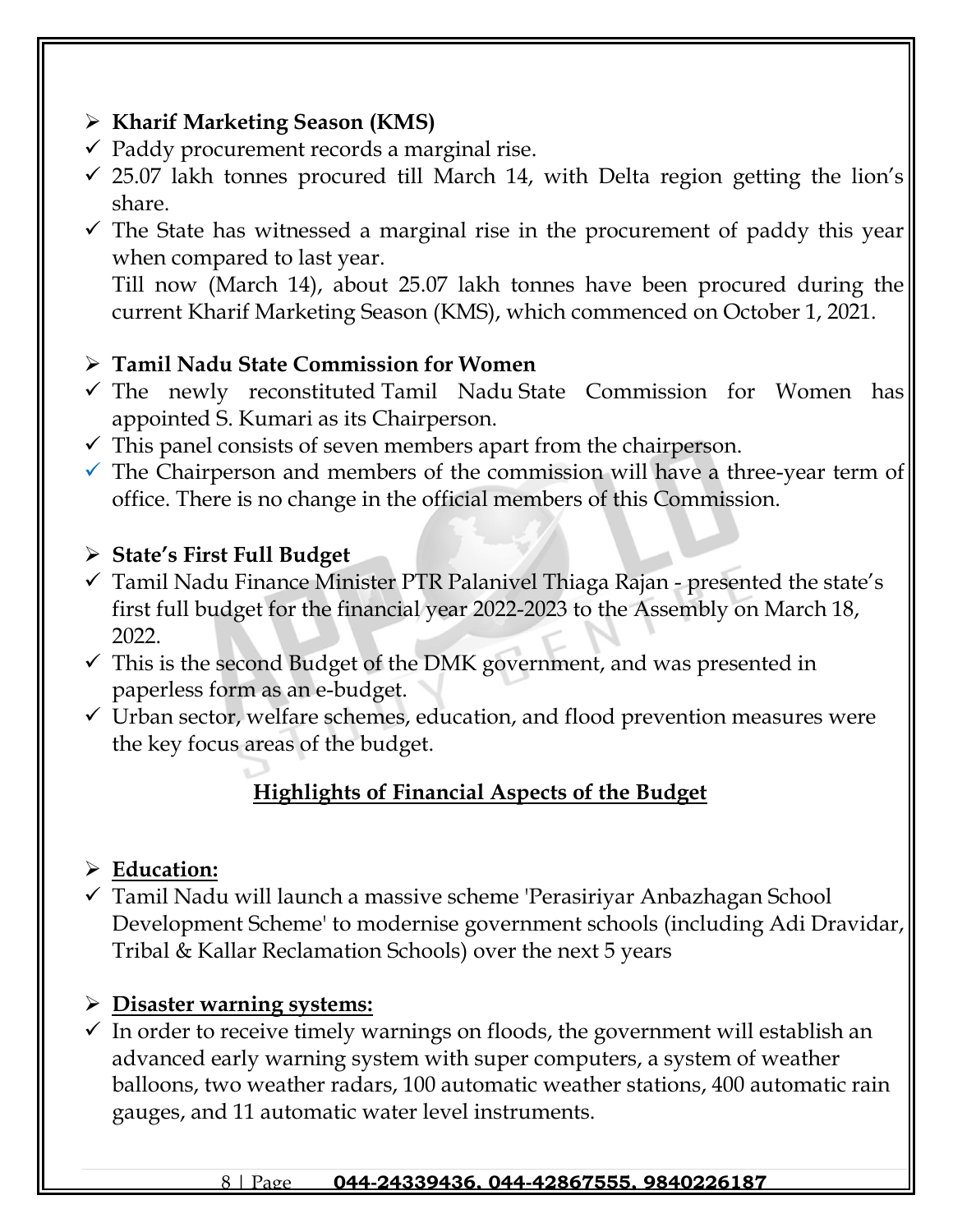## ➢ **Kharif Marketing Season (KMS)**

- $\checkmark$  Paddy procurement records a marginal rise.
- $\checkmark$  25.07 lakh tonnes procured till March 14, with Delta region getting the lion's share.
- $\checkmark$  The State has witnessed a marginal rise in the procurement of paddy this year when compared to last year.

Till now (March 14), about 25.07 lakh tonnes have been procured during the current Kharif Marketing Season (KMS), which commenced on October 1, 2021.

## ➢ **[Tamil Nadu](https://raceinstitute.in/branches/) State Commission for Women**

- $\checkmark$  The newly reconstituted [Tamil Nadu](https://raceinstitute.in/branches/) State Commission for Women has appointed S. Kumari as its Chairperson.
- $\checkmark$  This panel consists of seven members apart from the chairperson.
- $\checkmark$  The Chairperson and members of the commission will have a three-year term of office. There is no change in the official members of this Commission.

## ➢ **State's First Full Budget**

- $\checkmark$  Tamil Nadu Finance Minister PTR Palanivel Thiaga Rajan presented the state's first full budget for the financial year 2022-2023 to the Assembly on March 18, 2022.
- $\checkmark$  This is the second Budget of the DMK government, and was presented in paperless form as an e-budget.
- ✓ Urban sector, welfare schemes, education, and flood prevention measures were the key focus areas of the budget.

# **Highlights of Financial Aspects of the Budget**

## ➢ **Education:**

✓ Tamil Nadu will launch a massive scheme 'Perasiriyar Anbazhagan School Development Scheme' to modernise government schools (including Adi Dravidar, Tribal & Kallar Reclamation Schools) over the next 5 years

## ➢ **Disaster warning systems:**

 $\checkmark$  In order to receive timely warnings on floods, the government will establish an advanced early warning system with super computers, a system of weather balloons, two weather radars, 100 automatic weather stations, 400 automatic rain gauges, and 11 automatic water level instruments.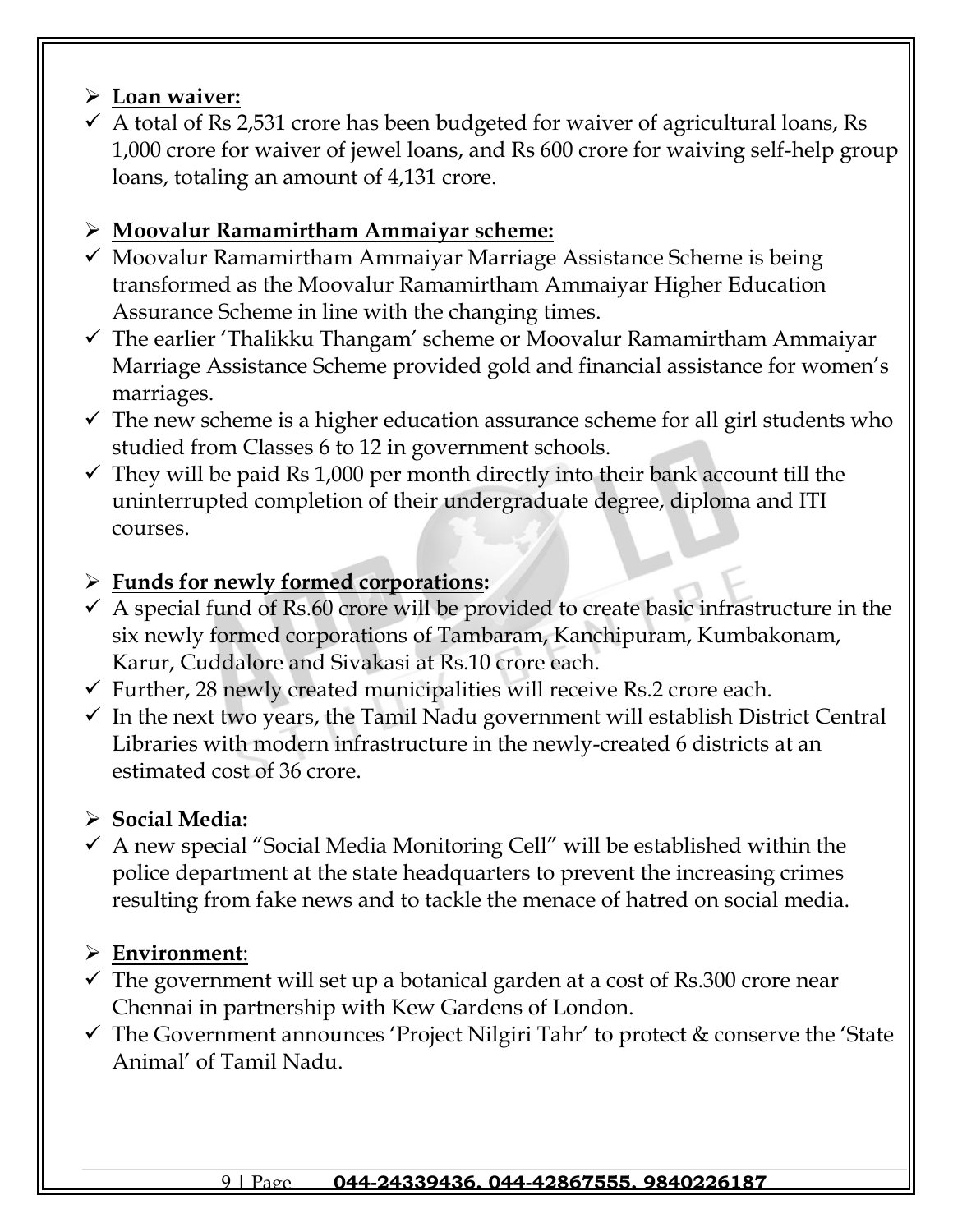## ➢ **Loan waiver:**

 $\checkmark$  A total of Rs 2,531 crore has been budgeted for waiver of agricultural loans, Rs 1,000 crore for waiver of jewel loans, and Rs 600 crore for waiving self-help group loans, totaling an amount of 4,131 crore.

## ➢ **Moovalur Ramamirtham Ammaiyar scheme:**

- $\checkmark$  Moovalur Ramamirtham Ammaiyar Marriage Assistance Scheme is being transformed as the Moovalur Ramamirtham Ammaiyar Higher Education Assurance Scheme in line with the changing times.
- ✓ The earlier 'Thalikku Thangam' scheme or Moovalur Ramamirtham Ammaiyar Marriage Assistance Scheme provided gold and financial assistance for women's marriages.
- $\checkmark$  The new scheme is a higher education assurance scheme for all girl students who studied from Classes 6 to 12 in government schools.
- $\checkmark$  They will be paid Rs 1,000 per month directly into their bank account till the uninterrupted completion of their undergraduate degree, diploma and ITI courses.

## ➢ **Funds for newly formed corporations:**

- $\checkmark$  A special fund of Rs.60 crore will be provided to create basic infrastructure in the six newly formed corporations of Tambaram, Kanchipuram, Kumbakonam, Karur, Cuddalore and Sivakasi at Rs.10 crore each.
- $\checkmark$  Further, 28 newly created municipalities will receive Rs.2 crore each.
- $\checkmark$  In the next two years, the Tamil Nadu government will establish District Central Libraries with modern infrastructure in the newly-created 6 districts at an estimated cost of 36 crore.

# ➢ **Social Media:**

 $\checkmark$  A new special "Social Media Monitoring Cell" will be established within the police department at the state headquarters to prevent the increasing crimes resulting from fake news and to tackle the menace of hatred on social media.

# ➢ **Environment**:

- $\checkmark$  The government will set up a botanical garden at a cost of Rs.300 crore near Chennai in partnership with Kew Gardens of London.
- ✓ The Government announces 'Project Nilgiri Tahr' to protect & conserve the 'State Animal' of Tamil Nadu.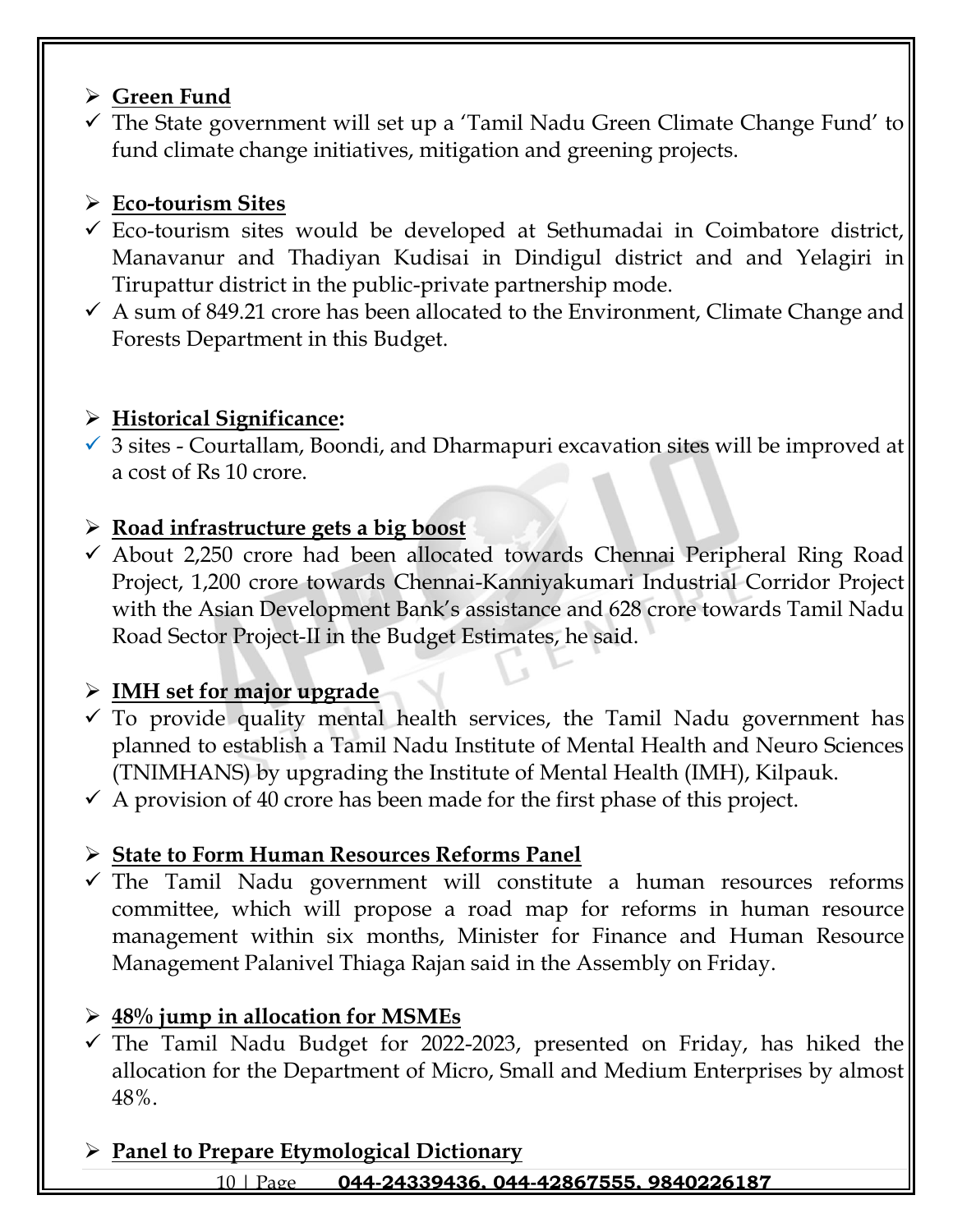## ➢ **Green Fund**

 $\checkmark$  The State government will set up a 'Tamil Nadu Green Climate Change Fund' to fund climate change initiatives, mitigation and greening projects.

## ➢ **Eco-tourism Sites**

- ✓ Eco-tourism sites would be developed at Sethumadai in Coimbatore district, Manavanur and Thadiyan Kudisai in Dindigul district and and Yelagiri in Tirupattur district in the public-private partnership mode.
- $\checkmark$  A sum of 849.21 crore has been allocated to the Environment, Climate Change and Forests Department in this Budget.

## ➢ **Historical Significance:**

 $\checkmark$  3 sites - Courtallam, Boondi, and Dharmapuri excavation sites will be improved at a cost of Rs 10 crore.

## ➢ **Road infrastructure gets a big boost**

 $\checkmark$  About 2,250 crore had been allocated towards Chennai Peripheral Ring Road Project, 1,200 crore towards Chennai-Kanniyakumari Industrial Corridor Project with the Asian Development Bank's assistance and 628 crore towards Tamil Nadu Road Sector Project-II in the Budget Estimates, he said.

## ➢ **IMH set for major upgrade**

- $\checkmark$  To provide quality mental health services, the Tamil Nadu government has planned to establish a Tamil Nadu Institute of Mental Health and Neuro Sciences (TNIMHANS) by upgrading the Institute of Mental Health (IMH), Kilpauk.
- $\checkmark$  A provision of 40 crore has been made for the first phase of this project.

## ➢ **State to Form Human Resources Reforms Panel**

 $\checkmark$  The Tamil Nadu government will constitute a human resources reforms committee, which will propose a road map for reforms in human resource management within six months, Minister for Finance and Human Resource Management Palanivel Thiaga Rajan said in the Assembly on Friday.

## ➢ **48% jump in allocation for MSMEs**

 $\checkmark$  The Tamil Nadu Budget for 2022-2023, presented on Friday, has hiked the allocation for the Department of Micro, Small and Medium Enterprises by almost 48%.

## ➢ **Panel to Prepare Etymological Dictionary**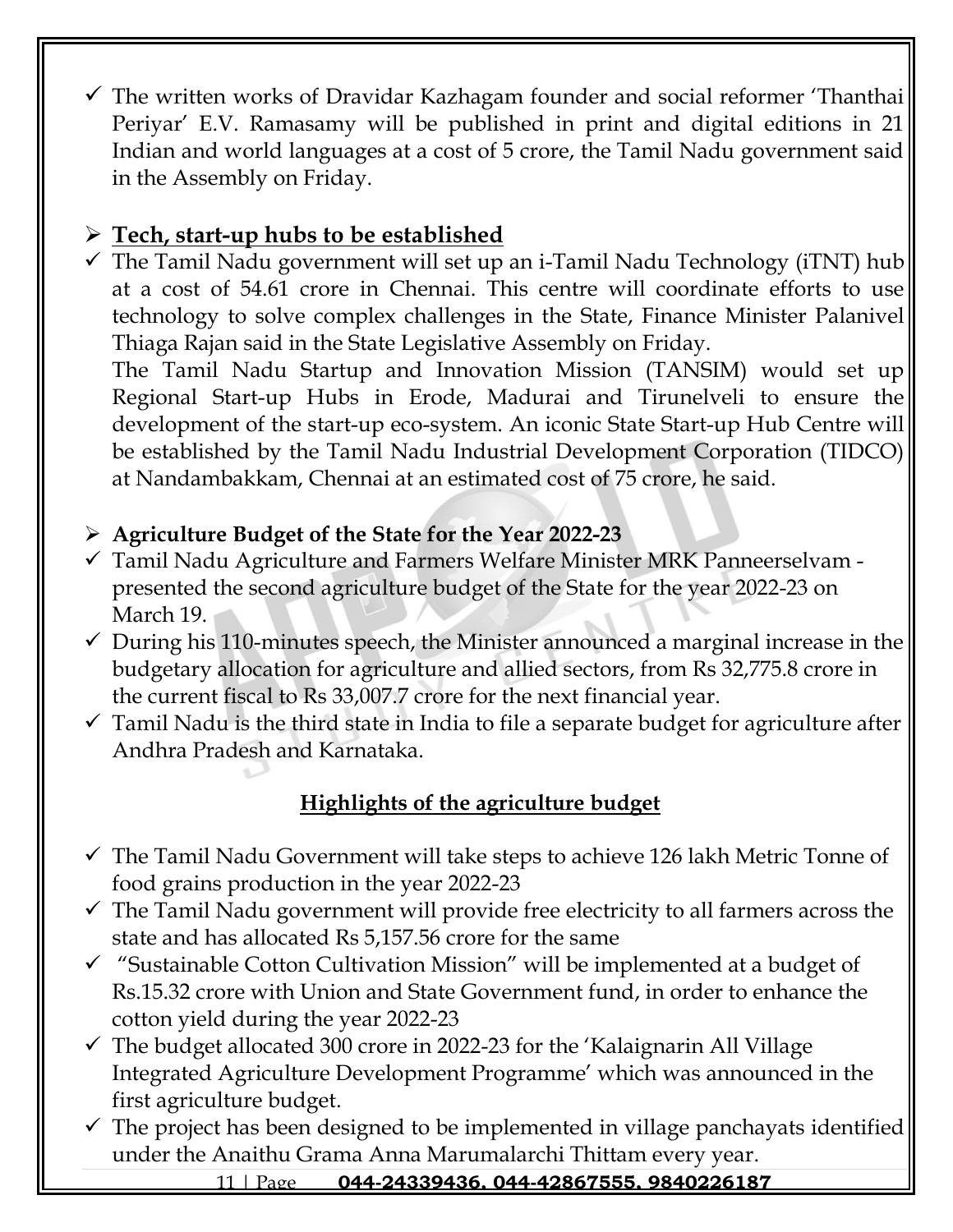$\checkmark$  The written works of Dravidar Kazhagam founder and social reformer 'Thanthai Periyar' E.V. Ramasamy will be published in print and digital editions in 21 Indian and world languages at a cost of 5 crore, the Tamil Nadu government said in the Assembly on Friday.

# ➢ **Tech, start-up hubs to be established**

 $\checkmark$  The Tamil Nadu government will set up an i-Tamil Nadu Technology (iTNT) hub at a cost of 54.61 crore in Chennai. This centre will coordinate efforts to use technology to solve complex challenges in the State, Finance Minister Palanivel Thiaga Rajan said in the State Legislative Assembly on Friday.

The Tamil Nadu Startup and Innovation Mission (TANSIM) would set up Regional Start-up Hubs in Erode, Madurai and Tirunelveli to ensure the development of the start-up eco-system. An iconic State Start-up Hub Centre will be established by the Tamil Nadu Industrial Development Corporation (TIDCO) at Nandambakkam, Chennai at an estimated cost of 75 crore, he said.

## ➢ **Agriculture Budget of the State for the Year 2022-23**

- ✓ Tamil Nadu Agriculture and Farmers Welfare Minister MRK Panneerselvam presented the second agriculture budget of the State for the year 2022-23 on March 19.
- $\checkmark$  During his 110-minutes speech, the Minister announced a marginal increase in the budgetary allocation for agriculture and allied sectors, from Rs 32,775.8 crore in the current fiscal to Rs 33,007.7 crore for the next financial year.
- $\checkmark$  Tamil Nadu is the third state in India to file a separate budget for agriculture after Andhra Pradesh and Karnataka.

## **Highlights of the agriculture budget**

- $\checkmark$  The Tamil Nadu Government will take steps to achieve 126 lakh Metric Tonne of food grains production in the year 2022-23
- $\checkmark$  The Tamil Nadu government will provide free electricity to all farmers across the state and has allocated Rs 5,157.56 crore for the same
- ✓ "Sustainable Cotton Cultivation Mission" will be implemented at a budget of Rs.15.32 crore with Union and State Government fund, in order to enhance the cotton yield during the year 2022-23
- $\checkmark$  The budget allocated 300 crore in 2022-23 for the 'Kalaignarin All Village Integrated Agriculture Development Programme' which was announced in the first agriculture budget.
- $\checkmark$  The project has been designed to be implemented in village panchayats identified under the Anaithu Grama Anna Marumalarchi Thittam every year.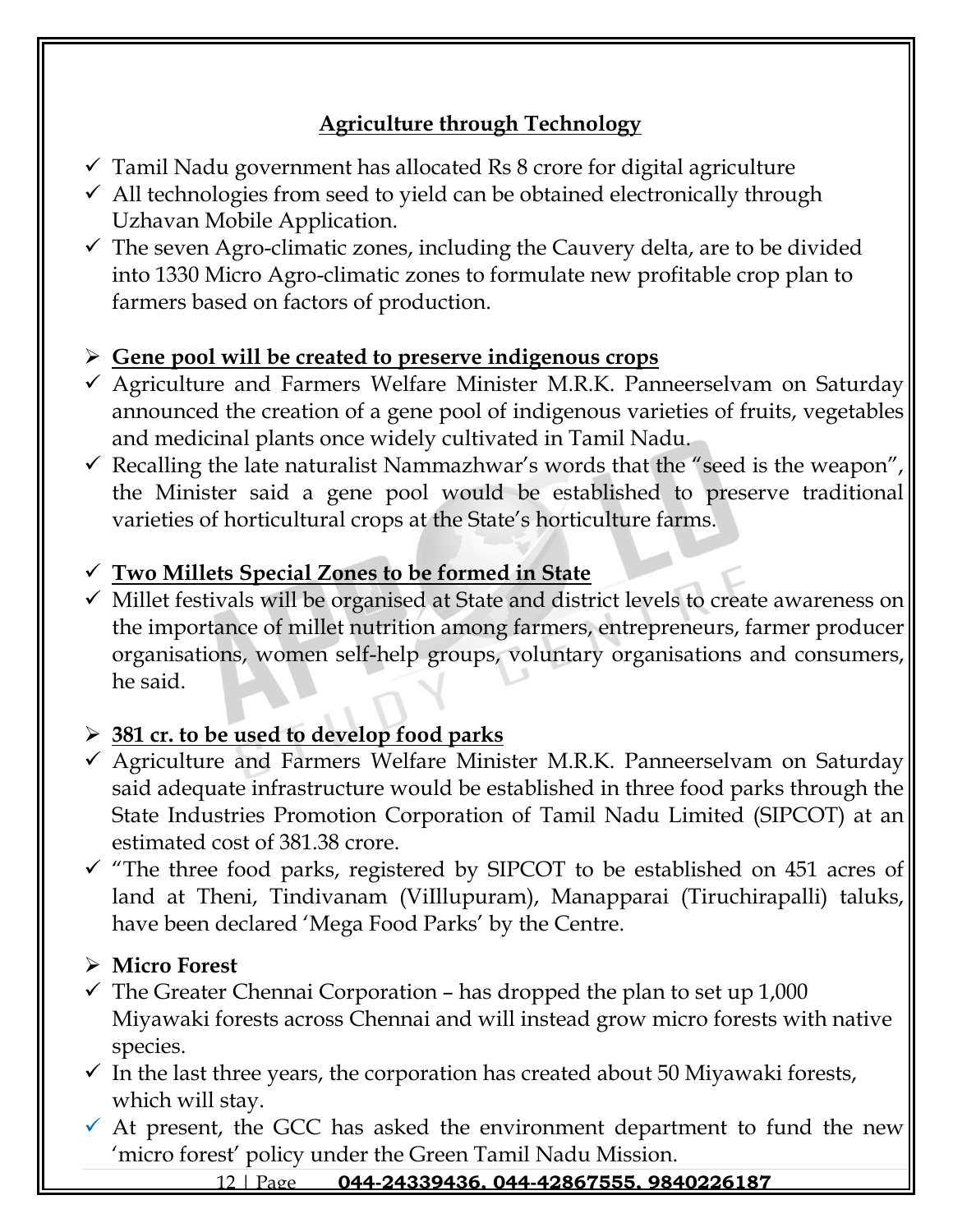## **Agriculture through Technology**

- $\checkmark$  Tamil Nadu government has allocated Rs 8 crore for digital agriculture
- $\checkmark$  All technologies from seed to yield can be obtained electronically through Uzhavan Mobile Application.
- $\checkmark$  The seven Agro-climatic zones, including the Cauvery delta, are to be divided into 1330 Micro Agro-climatic zones to formulate new profitable crop plan to farmers based on factors of production.

## ➢ **Gene pool will be created to preserve indigenous crops**

- ✓ Agriculture and Farmers Welfare Minister M.R.K. Panneerselvam on Saturday announced the creation of a gene pool of indigenous varieties of fruits, vegetables and medicinal plants once widely cultivated in Tamil Nadu.
- $\checkmark$  Recalling the late naturalist Nammazhwar's words that the "seed is the weapon", the Minister said a gene pool would be established to preserve traditional varieties of horticultural crops at the State's horticulture farms.

## ✓ **Two Millets Special Zones to be formed in State**

✓ Millet festivals will be organised at State and district levels to create awareness on the importance of millet nutrition among farmers, entrepreneurs, farmer producer organisations, women self-help groups, voluntary organisations and consumers, he said.

## ➢ **381 cr. to be used to develop food parks**

- ✓ Agriculture and Farmers Welfare Minister M.R.K. Panneerselvam on Saturday said adequate infrastructure would be established in three food parks through the State Industries Promotion Corporation of Tamil Nadu Limited (SIPCOT) at an estimated cost of 381.38 crore.
- $\checkmark$  "The three food parks, registered by SIPCOT to be established on 451 acres of land at Theni, Tindivanam (ViIllupuram), Manapparai (Tiruchirapalli) taluks, have been declared 'Mega Food Parks' by the Centre.

## ➢ **Micro Forest**

- $\checkmark$  The Greater Chennai Corporation has dropped the plan to set up 1,000 Miyawaki forests across Chennai and will instead grow micro forests with native species.
- $\checkmark$  In the last three years, the corporation has created about 50 Miyawaki forests, which will stay.
- $\checkmark$  At present, the GCC has asked the environment department to fund the new 'micro forest' policy under the Green Tamil Nadu Mission.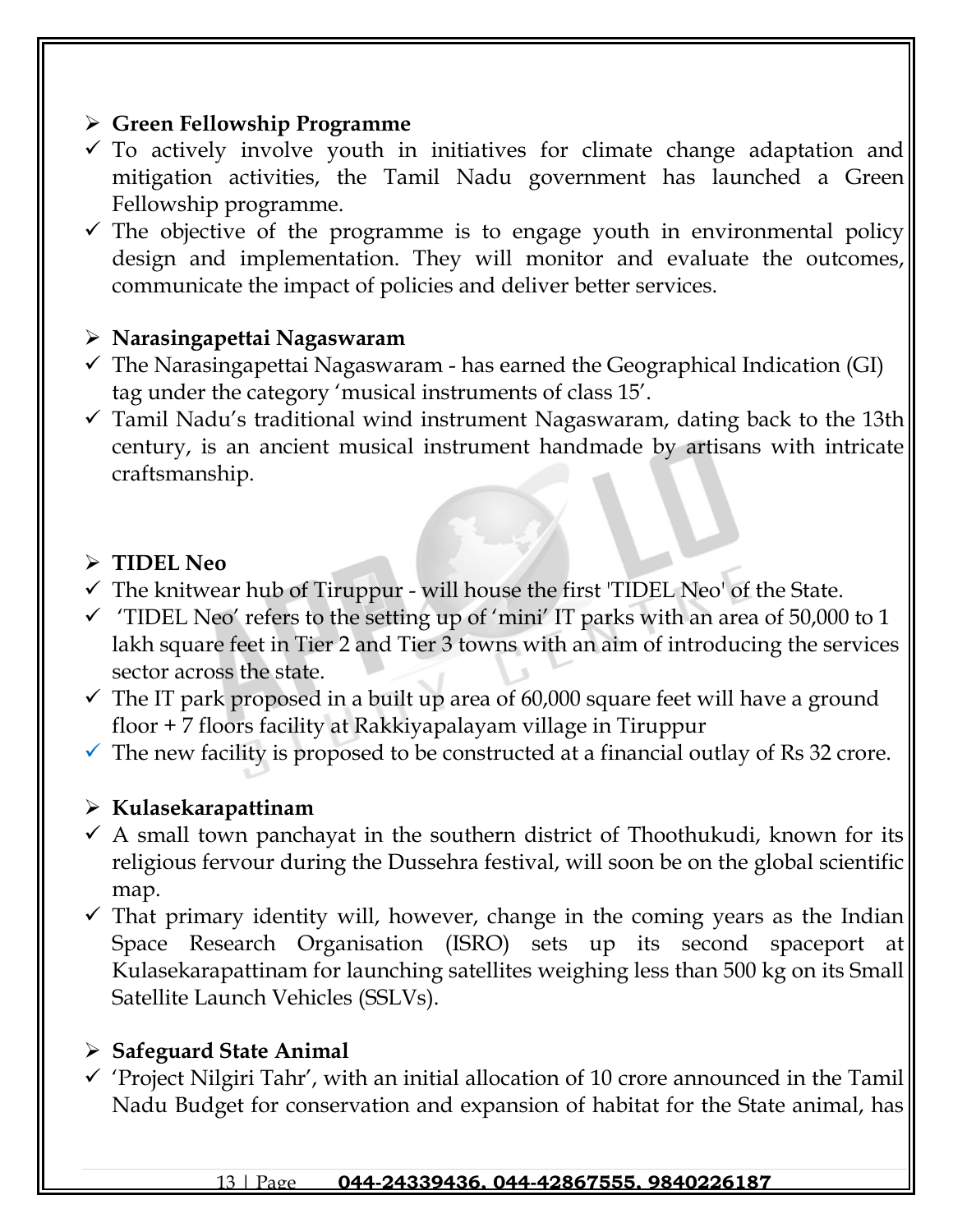## ➢ **Green Fellowship Programme**

- $\checkmark$  To actively involve youth in initiatives for climate change adaptation and mitigation activities, the Tamil Nadu government has launched a Green Fellowship programme.
- $\checkmark$  The objective of the programme is to engage youth in environmental policy design and implementation. They will monitor and evaluate the outcomes, communicate the impact of policies and deliver better services.

## ➢ **Narasingapettai Nagaswaram**

- $\checkmark$  The Narasingapettai Nagaswaram has earned the Geographical Indication (GI) tag under the category 'musical instruments of class 15'.
- $\checkmark$  Tamil Nadu's traditional wind instrument Nagaswaram, dating back to the 13th century, is an ancient musical instrument handmade by artisans with intricate craftsmanship.

## ➢ **TIDEL Neo**

- $\checkmark$  The knitwear hub of Tiruppur will house the first 'TIDEL Neo' of the State.
- $\checkmark$  'TIDEL Neo' refers to the setting up of 'mini' IT parks with an area of 50,000 to 1 lakh square feet in Tier 2 and Tier 3 towns with an aim of introducing the services sector across the state.
- $\checkmark$  The IT park proposed in a built up area of 60,000 square feet will have a ground floor + 7 floors facility at Rakkiyapalayam village in Tiruppur
- $\checkmark$  The new facility is proposed to be constructed at a financial outlay of Rs 32 crore.

## ➢ **Kulasekarapattinam**

- $\checkmark$  A small town panchayat in the southern district of Thoothukudi, known for its religious fervour during the Dussehra festival, will soon be on the global scientific map.
- $\checkmark$  That primary identity will, however, change in the coming years as the Indian Space Research Organisation (ISRO) sets up its second spaceport at Kulasekarapattinam for launching satellites weighing less than 500 kg on its Small Satellite Launch Vehicles (SSLVs).

## ➢ **Safeguard State Animal**

 $\checkmark$  'Project Nilgiri Tahr', with an initial allocation of 10 crore announced in the Tamil Nadu Budget for conservation and expansion of habitat for the State animal, has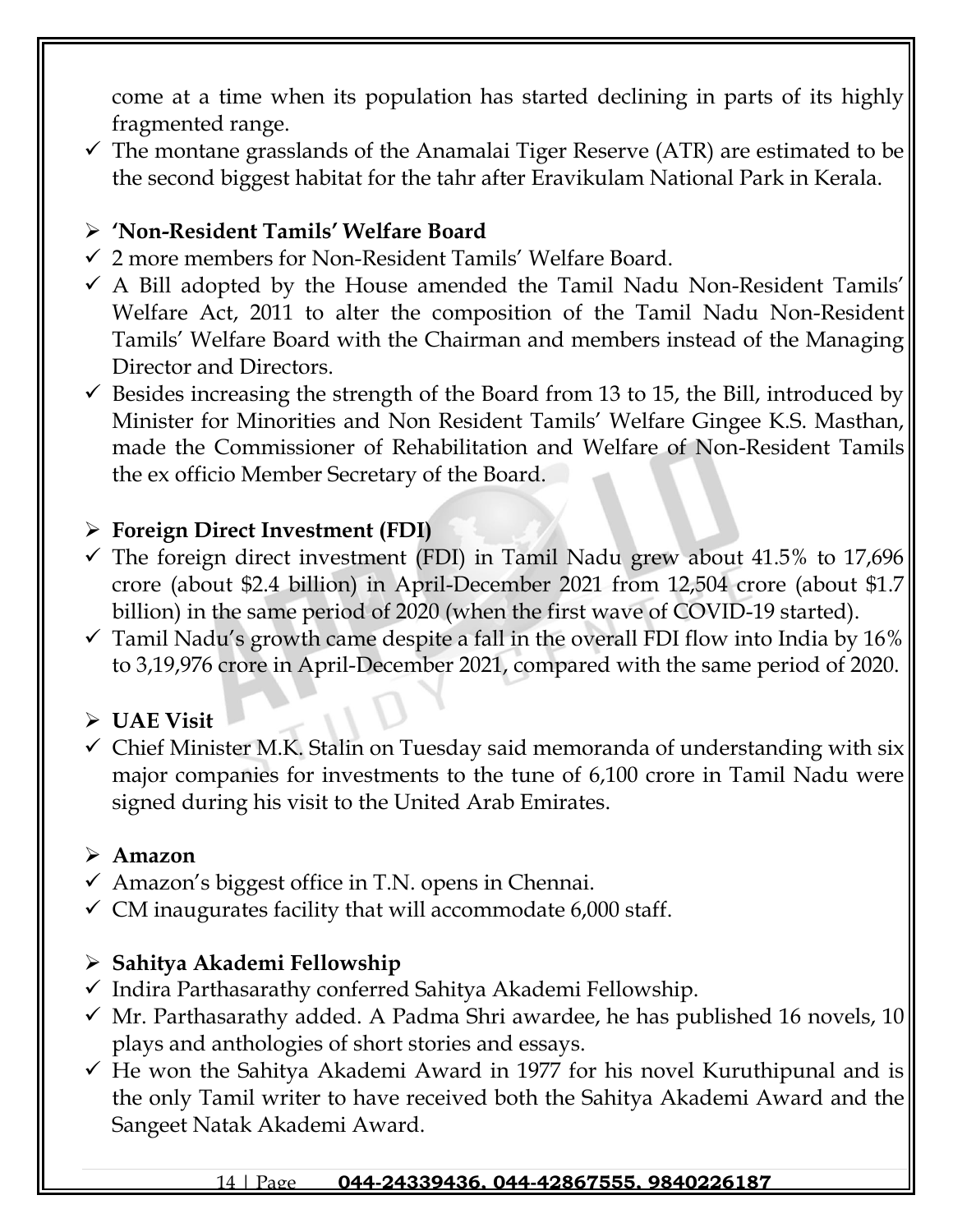come at a time when its population has started declining in parts of its highly fragmented range.

 $\checkmark$  The montane grasslands of the Anamalai Tiger Reserve (ATR) are estimated to be the second biggest habitat for the tahr after Eravikulam National Park in Kerala.

## ➢ **'Non-Resident Tamils' Welfare Board**

- ✓ 2 more members for Non-Resident Tamils' Welfare Board.
- $\checkmark$  A Bill adopted by the House amended the Tamil Nadu Non-Resident Tamils' Welfare Act, 2011 to alter the composition of the Tamil Nadu Non-Resident Tamils' Welfare Board with the Chairman and members instead of the Managing Director and Directors.
- $\checkmark$  Besides increasing the strength of the Board from 13 to 15, the Bill, introduced by Minister for Minorities and Non Resident Tamils' Welfare Gingee K.S. Masthan, made the Commissioner of Rehabilitation and Welfare of Non-Resident Tamils the ex officio Member Secretary of the Board.

## ➢ **Foreign Direct Investment (FDI)**

- $\checkmark$  The foreign direct investment (FDI) in Tamil Nadu grew about 41.5% to 17,696 crore (about \$2.4 billion) in April-December 2021 from 12,504 crore (about \$1.7 billion) in the same period of 2020 (when the first wave of COVID-19 started).
- $\checkmark$  Tamil Nadu's growth came despite a fall in the overall FDI flow into India by 16% to 3,19,976 crore in April-December 2021, compared with the same period of 2020.

## ➢ **UAE Visit**

 $\checkmark$  Chief Minister M.K. Stalin on Tuesday said memoranda of understanding with six major companies for investments to the tune of 6,100 crore in Tamil Nadu were signed during his visit to the United Arab Emirates.

## ➢ **Amazon**

- $\checkmark$  Amazon's biggest office in T.N. opens in Chennai.
- $\checkmark$  CM inaugurates facility that will accommodate 6,000 staff.

## ➢ **Sahitya Akademi Fellowship**

- ✓ Indira Parthasarathy conferred Sahitya Akademi Fellowship.
- $\checkmark$  Mr. Parthasarathy added. A Padma Shri awardee, he has published 16 novels, 10 plays and anthologies of short stories and essays.
- $\checkmark$  He won the Sahitya Akademi Award in 1977 for his novel Kuruthipunal and is the only Tamil writer to have received both the Sahitya Akademi Award and the Sangeet Natak Akademi Award.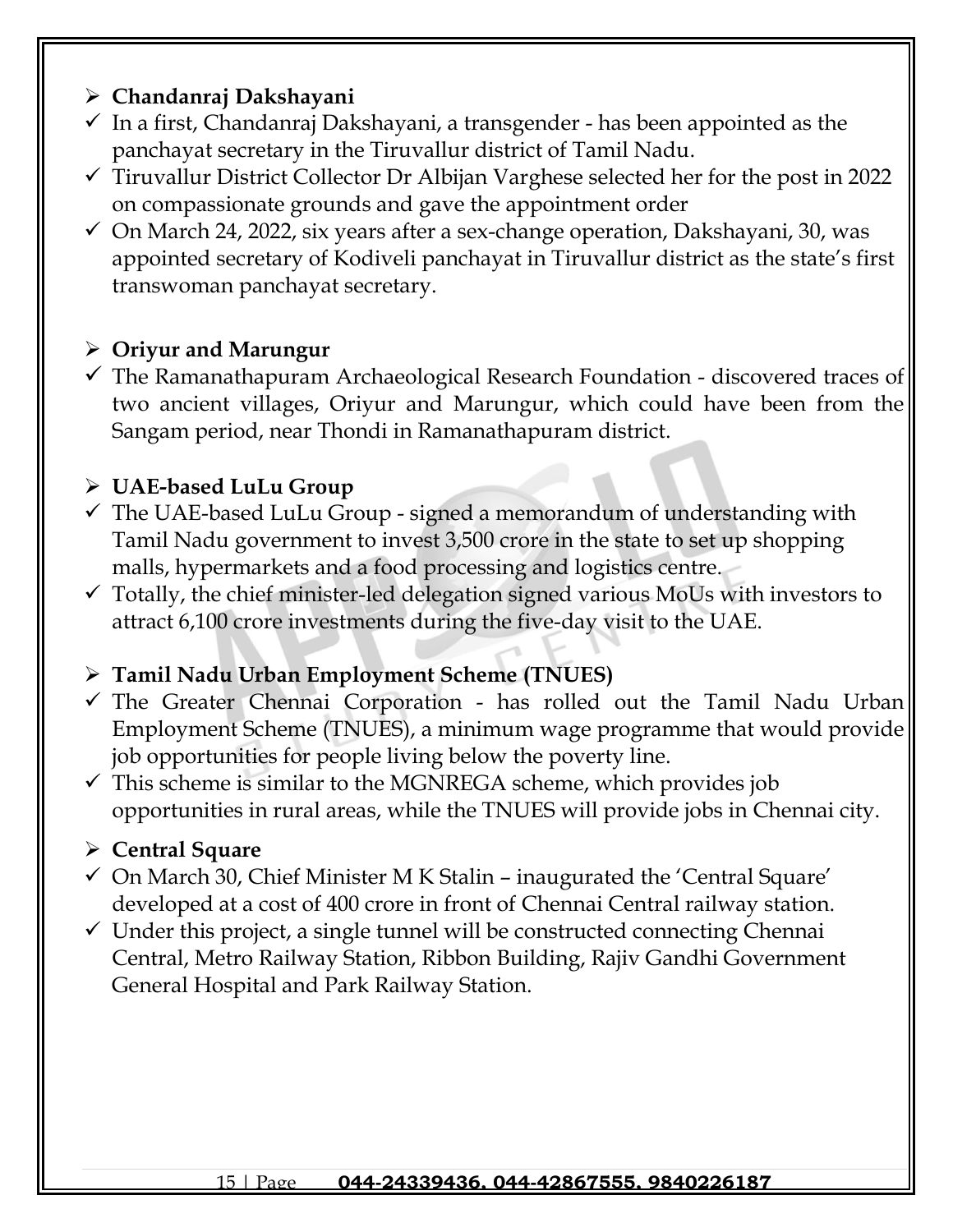## ➢ **Chandanraj Dakshayani**

- $\checkmark$  In a first, Chandanraj Dakshayani, a transgender has been appointed as the panchayat secretary in the Tiruvallur district of Tamil Nadu.
- $\checkmark$  Tiruvallur District Collector Dr Albijan Varghese selected her for the post in 2022 on compassionate grounds and gave the appointment order
- $\checkmark$  On March 24, 2022, six years after a sex-change operation, Dakshayani, 30, was appointed secretary of Kodiveli panchayat in Tiruvallur district as the state's first transwoman panchayat secretary.

## ➢ **Oriyur and Marungur**

 $\checkmark$  The Ramanathapuram Archaeological Research Foundation - discovered traces of two ancient villages, Oriyur and Marungur, which could have been from the Sangam period, near Thondi in Ramanathapuram district.

## ➢ **UAE-based LuLu Group**

- $\checkmark$  The UAE-based LuLu Group signed a memorandum of understanding with Tamil Nadu government to invest 3,500 crore in the state to set up shopping malls, hypermarkets and a food processing and logistics centre.
- $\checkmark$  Totally, the chief minister-led delegation signed various MoUs with investors to attract 6,100 crore investments during the five-day visit to the UAE.

## ➢ **Tamil Nadu Urban Employment Scheme (TNUES)**

- $\checkmark$  The Greater Chennai Corporation has rolled out the Tamil Nadu Urban Employment Scheme (TNUES), a minimum wage programme that would provide job opportunities for people living below the poverty line.
- $\checkmark$  This scheme is similar to the MGNREGA scheme, which provides job opportunities in rural areas, while the TNUES will provide jobs in Chennai city.

## ➢ **Central Square**

- $\checkmark$  On March 30, Chief Minister M K Stalin inaugurated the 'Central Square' developed at a cost of 400 crore in front of Chennai Central railway station.
- $\checkmark$  Under this project, a single tunnel will be constructed connecting Chennai Central, Metro Railway Station, Ribbon Building, Rajiv Gandhi Government General Hospital and Park Railway Station.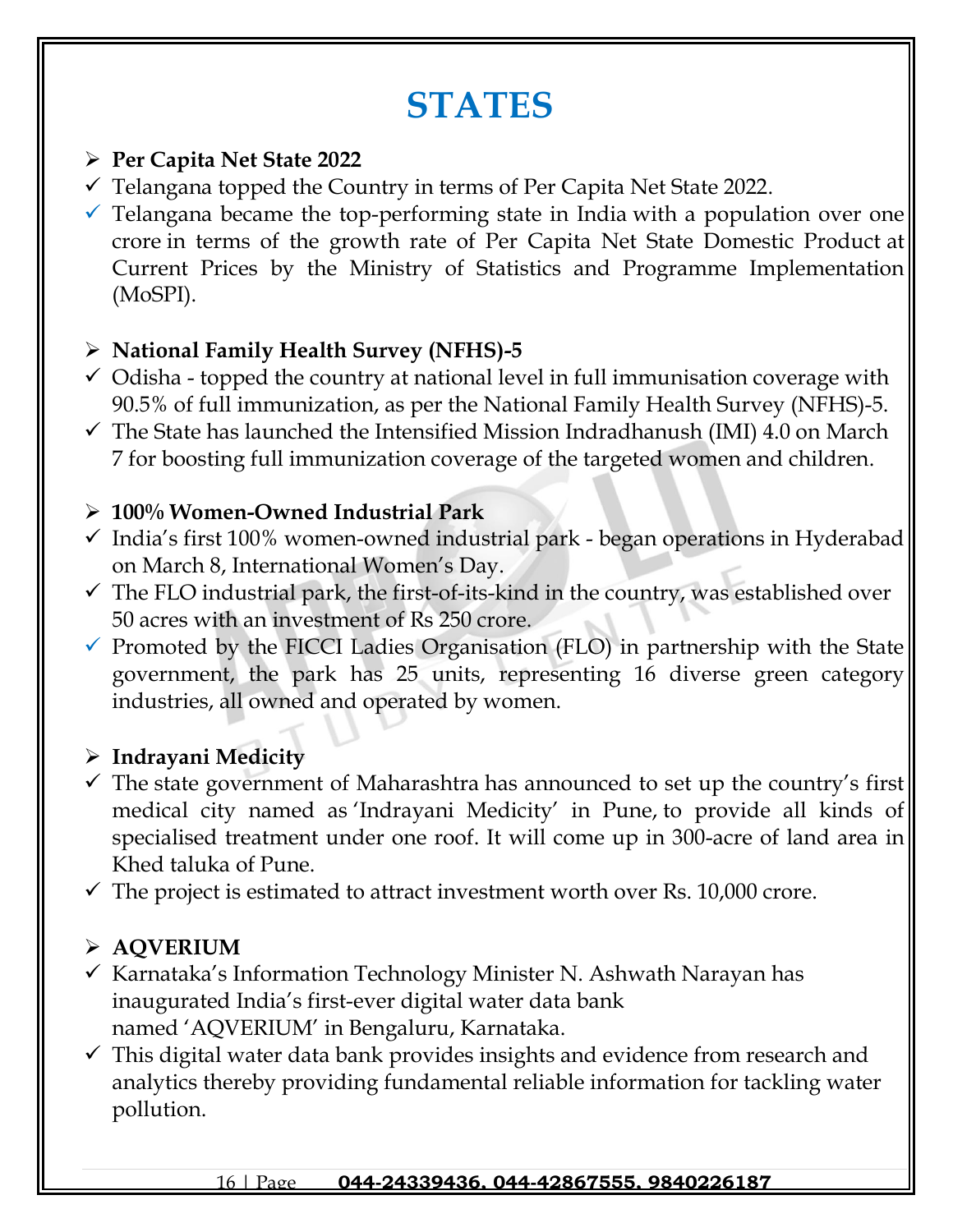# **STATES**

## ➢ **Per Capita Net State 2022**

- $\checkmark$  Telangana topped the Country in terms of Per Capita Net State 2022.
- $\checkmark$  Telangana became the top-performing state in India with a population over one crore in terms of the growth rate of Per Capita Net State Domestic Product at Current Prices by the Ministry of Statistics and Programme Implementation (MoSPI).

## ➢ **National Family Health Survey (NFHS)-5**

- $\checkmark$  Odisha topped the country at national level in full immunisation coverage with 90.5% of full immunization, as per the National Family Health Survey (NFHS)-5.
- $\checkmark$  The State has launched the Intensified Mission Indradhanush (IMI) 4.0 on March 7 for boosting full immunization coverage of the targeted women and children.

## ➢ **100% Women-Owned Industrial Park**

- $\checkmark$  India's first 100% women-owned industrial park began operations in Hyderabad on March 8, International Women's Day.
- $\checkmark$  The FLO industrial park, the first-of-its-kind in the country, was established over 50 acres with an investment of Rs 250 crore.
- ✓ Promoted by the FICCI Ladies Organisation (FLO) in partnership with the State government, the park has 25 units, representing 16 diverse green category industries, all owned and operated by women.

## ➢ **Indrayani Medicity**

- ✓ The state government of Maharashtra has announced to set up the country's first medical city named as 'Indrayani Medicity' in Pune, to provide all kinds of specialised treatment under one roof. It will come up in 300-acre of land area in Khed taluka of Pune.
- $\checkmark$  The project is estimated to attract investment worth over Rs. 10,000 crore.

## ➢ **AQVERIUM**

- $\checkmark$  [Karnataka](https://raceinstitute.in/branches/)'s Information Technology Minister N. Ashwath Narayan has inaugurated India's first-ever digital water data bank named 'AQVERIUM' in [Bengaluru,](https://raceinstitute.in/branches/bengaluru/) [Karnataka.](https://raceinstitute.in/branches/)
- $\checkmark$  This digital water data bank provides insights and evidence from research and analytics thereby providing fundamental reliable information for tackling water pollution.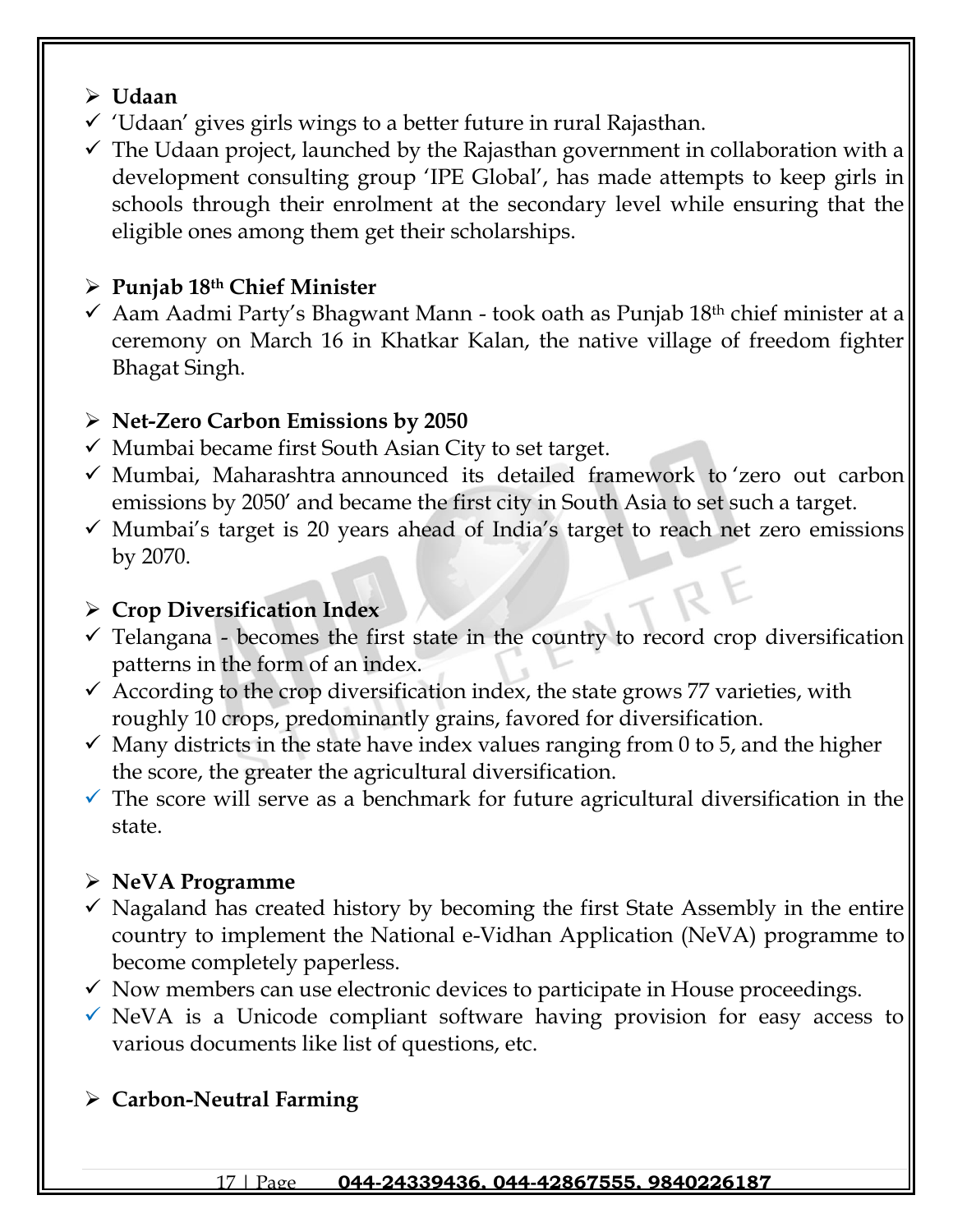## ➢ **Udaan**

- ✓ 'Udaan' gives girls wings to a better future in rural Rajasthan.
- $\checkmark$  The Udaan project, launched by the Rajasthan government in collaboration with a development consulting group 'IPE Global', has made attempts to keep girls in schools through their enrolment at the secondary level while ensuring that the eligible ones among them get their scholarships.

## ➢ **Punjab 18th Chief Minister**

 $\checkmark$  Aam Aadmi Party's Bhagwant Mann - took oath as Punjab 18<sup>th</sup> chief minister at a ceremony on March 16 in Khatkar Kalan, the native village of freedom fighter Bhagat Singh.

## ➢ **Net-Zero Carbon Emissions by 2050**

- $\checkmark$  Mumbai became first South Asian City to set target.
- $\checkmark$  Mumbai, Maharashtra announced its detailed framework to zero out carbon emissions by 2050' and became the first city in South Asia to set such a target.
- $\checkmark$  Mumbai's target is 20 years ahead of India's target to reach net zero emissions by 2070.

## ➢ **Crop Diversification Index**

- ✓ Telangana becomes the first state in the country to record crop diversification patterns in the form of an index.
- $\checkmark$  According to the crop diversification index, the state grows 77 varieties, with roughly 10 crops, predominantly grains, favored for diversification.
- $\checkmark$  Many districts in the state have index values ranging from 0 to 5, and the higher the score, the greater the agricultural diversification.
- $\checkmark$  The score will serve as a benchmark for future agricultural diversification in the state.

## ➢ **NeVA Programme**

- $\checkmark$  Nagaland has created history by becoming the first State Assembly in the entire country to implement the National e-Vidhan Application (NeVA) programme to become completely paperless.
- $\checkmark$  Now members can use electronic devices to participate in House proceedings.
- $\checkmark$  NeVA is a Unicode compliant software having provision for easy access to various documents like list of questions, etc.

## ➢ **Carbon-Neutral Farming**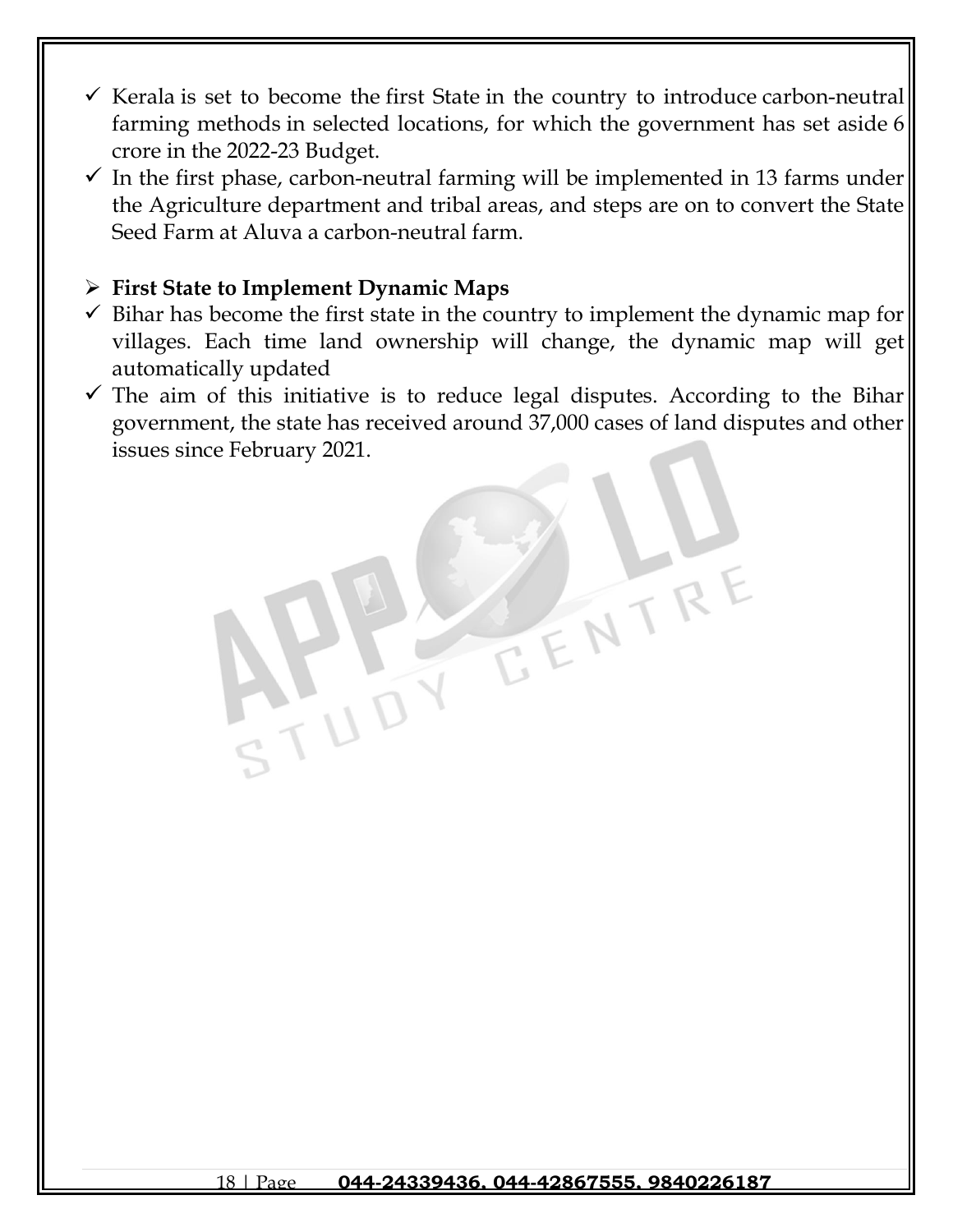- $\checkmark$  Kerala is set to become the first State in the country to introduce carbon-neutral farming methods in selected locations, for which the government has set aside 6 crore in the 2022-23 Budget.
- $\checkmark$  In the first phase, carbon-neutral farming will be implemented in 13 farms under the Agriculture department and tribal areas, and steps are on to convert the State Seed Farm at Aluva a carbon-neutral farm.

## ➢ **First State to Implement Dynamic Maps**

- $\checkmark$  Bihar has become the first state in the country to implement the dynamic map for villages. Each time land ownership will change, the dynamic map will get automatically updated
- $\checkmark$  The aim of this initiative is to reduce legal disputes. According to the Bihar government, the state has received around 37,000 cases of land disputes and other issues since February 2021.

EENTR

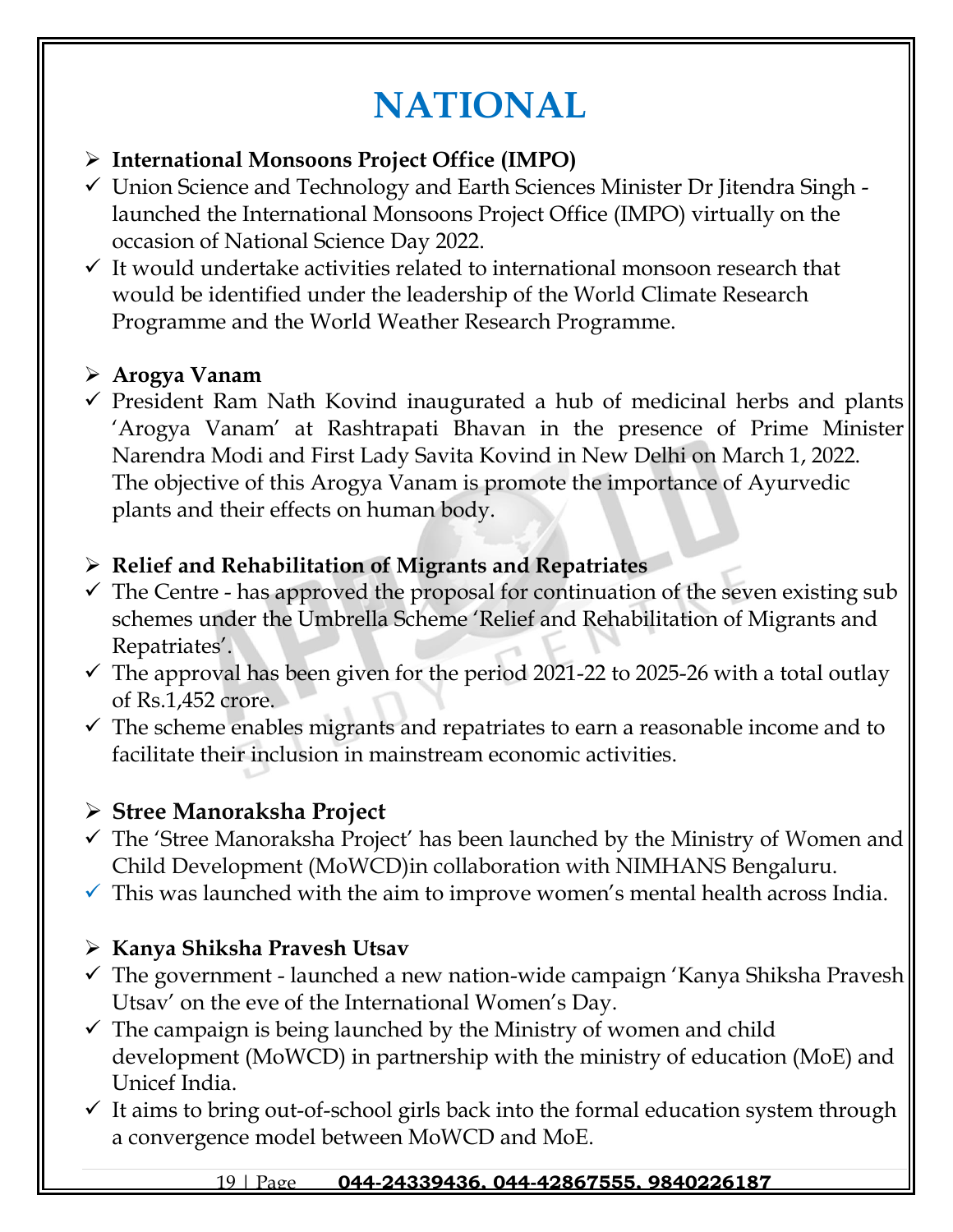# **NATIONAL**

## ➢ **International Monsoons Project Office (IMPO)**

- ✓ Union Science and Technology and Earth Sciences Minister Dr Jitendra Singh launched the International Monsoons Project Office (IMPO) virtually on the occasion of National Science Day 2022.
- $\checkmark$  It would undertake activities related to international monsoon research that would be identified under the leadership of the World Climate Research Programme and the World Weather Research Programme.

## ➢ **[Arogya Vanam](https://www.gkseries.com/blog/president-ram-nath-kovind-inaugurates-arogya-vanam-at-rashtrapati-bhavan/)**

 $\checkmark$  President Ram Nath Kovind inaugurated a hub of medicinal herbs and plants 'Arogya Vanam' at Rashtrapati Bhavan in the presence of Prime Minister Narendra Modi and First Lady Savita Kovind in New Delhi on March 1, 2022. The objective of this Arogya Vanam is promote the importance of Ayurvedic plants and their effects on human body.

## ➢ **Relief and Rehabilitation of Migrants and Repatriates**

- $\checkmark$  The Centre has approved the proposal for continuation of the seven existing sub schemes under the Umbrella Scheme 'Relief and Rehabilitation of Migrants and Repatriates'.
- $\checkmark$  The approval has been given for the period 2021-22 to 2025-26 with a total outlay of Rs.1,452 crore.
- $\checkmark$  The scheme enables migrants and repatriates to earn a reasonable income and to facilitate their inclusion in mainstream economic activities.

## ➢ **Stree Manoraksha Project**

- $\checkmark$  The 'Stree Manoraksha Project' has been launched by the Ministry of Women and Child Development (MoWCD)in collaboration with NIMHANS Bengaluru.
- $\checkmark$  This was launched with the aim to improve women's mental health across India.

## ➢ **Kanya Shiksha Pravesh Utsav**

- $\checkmark$  The government launched a new nation-wide campaign 'Kanya Shiksha Pravesh Utsav' on the eve of the International Women's Day.
- $\checkmark$  The campaign is being launched by the Ministry of women and child development (MoWCD) in partnership with the ministry of education (MoE) and Unicef India.
- $\checkmark$  It aims to bring out-of-school girls back into the formal education system through a convergence model between MoWCD and MoE.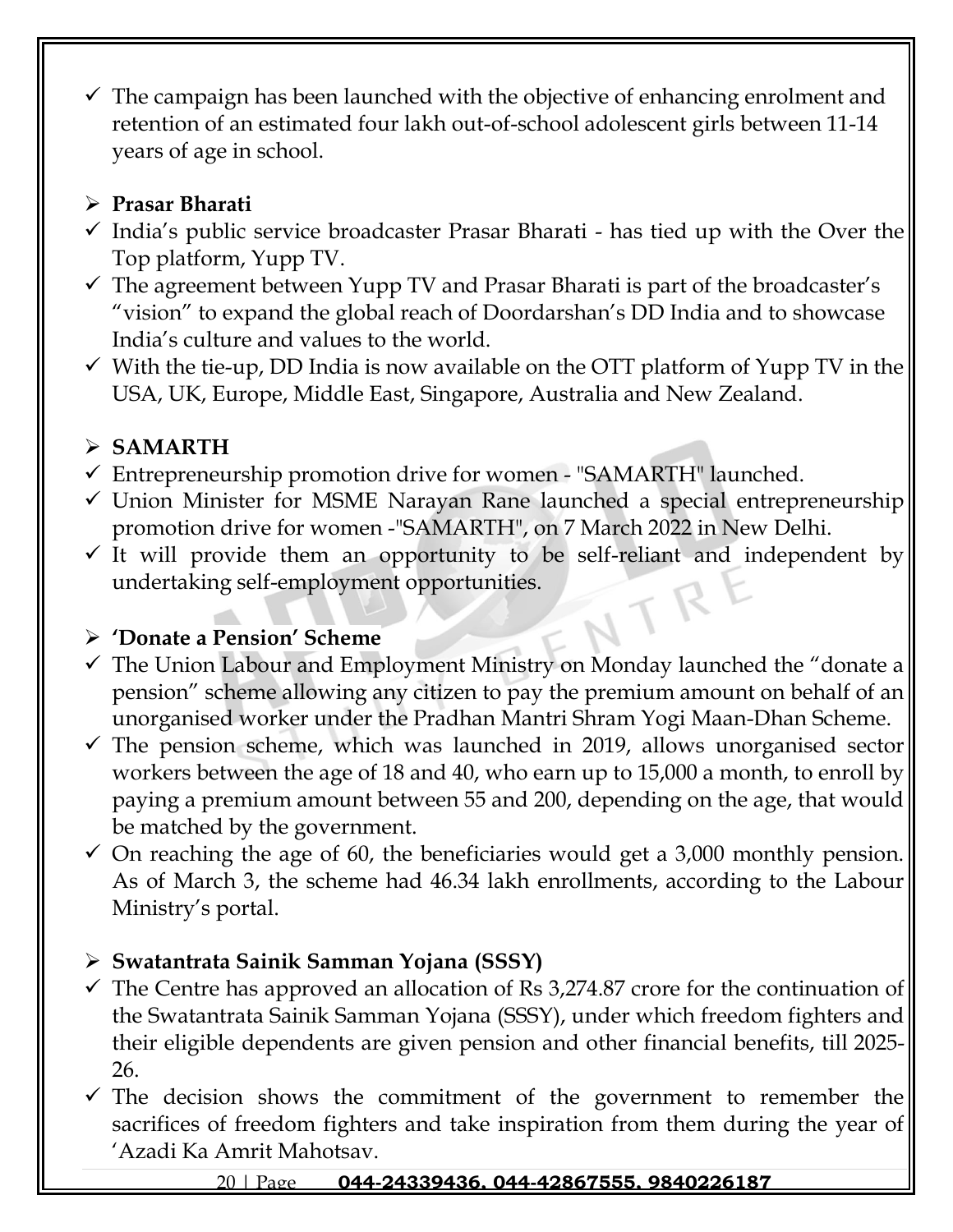$\checkmark$  The campaign has been launched with the objective of enhancing enrolment and retention of an estimated four lakh out-of-school adolescent girls between 11-14 years of age in school.

## ➢ **Prasar Bharati**

- $\checkmark$  India's public service broadcaster Prasar Bharati has tied up with the Over the Top platform, Yupp TV.
- $\checkmark$  The agreement between Yupp TV and Prasar Bharati is part of the broadcaster's "vision" to expand the global reach of Doordarshan's DD India and to showcase India's culture and values to the world.
- $\checkmark$  With the tie-up, DD India is now available on the OTT platform of Yupp TV in the USA, UK, Europe, Middle East, Singapore, Australia and New Zealand.

# ➢ **SAMARTH**

- $\checkmark$  Entrepreneurship promotion drive for women "SAMARTH" launched.
- ✓ Union Minister for MSME Narayan Rane launched a special entrepreneurship promotion drive for women -"SAMARTH", on 7 March 2022 in New Delhi.
- $\checkmark$  It will provide them an opportunity to be self-reliant and independent by undertaking self-employment opportunities.

## ➢ **'Donate a Pension' Scheme**

- $\checkmark$  The Union Labour and Employment Ministry on Monday launched the "donate a pension" scheme allowing any citizen to pay the premium amount on behalf of an unorganised worker under the Pradhan Mantri Shram Yogi Maan-Dhan Scheme.
- $\checkmark$  The pension scheme, which was launched in 2019, allows unorganised sector workers between the age of 18 and 40, who earn up to 15,000 a month, to enroll by paying a premium amount between 55 and 200, depending on the age, that would be matched by the government.
- $\checkmark$  On reaching the age of 60, the beneficiaries would get a 3,000 monthly pension. As of March 3, the scheme had 46.34 lakh enrollments, according to the Labour Ministry's portal.

# ➢ **Swatantrata Sainik Samman Yojana (SSSY)**

- $\checkmark$  The Centre has approved an allocation of Rs 3,274.87 crore for the continuation of the Swatantrata Sainik Samman Yojana (SSSY), under which freedom fighters and their eligible dependents are given pension and other financial benefits, till 2025- 26.
- $\checkmark$  The decision shows the commitment of the government to remember the sacrifices of freedom fighters and take inspiration from them during the year of 'Azadi Ka Amrit Mahotsav.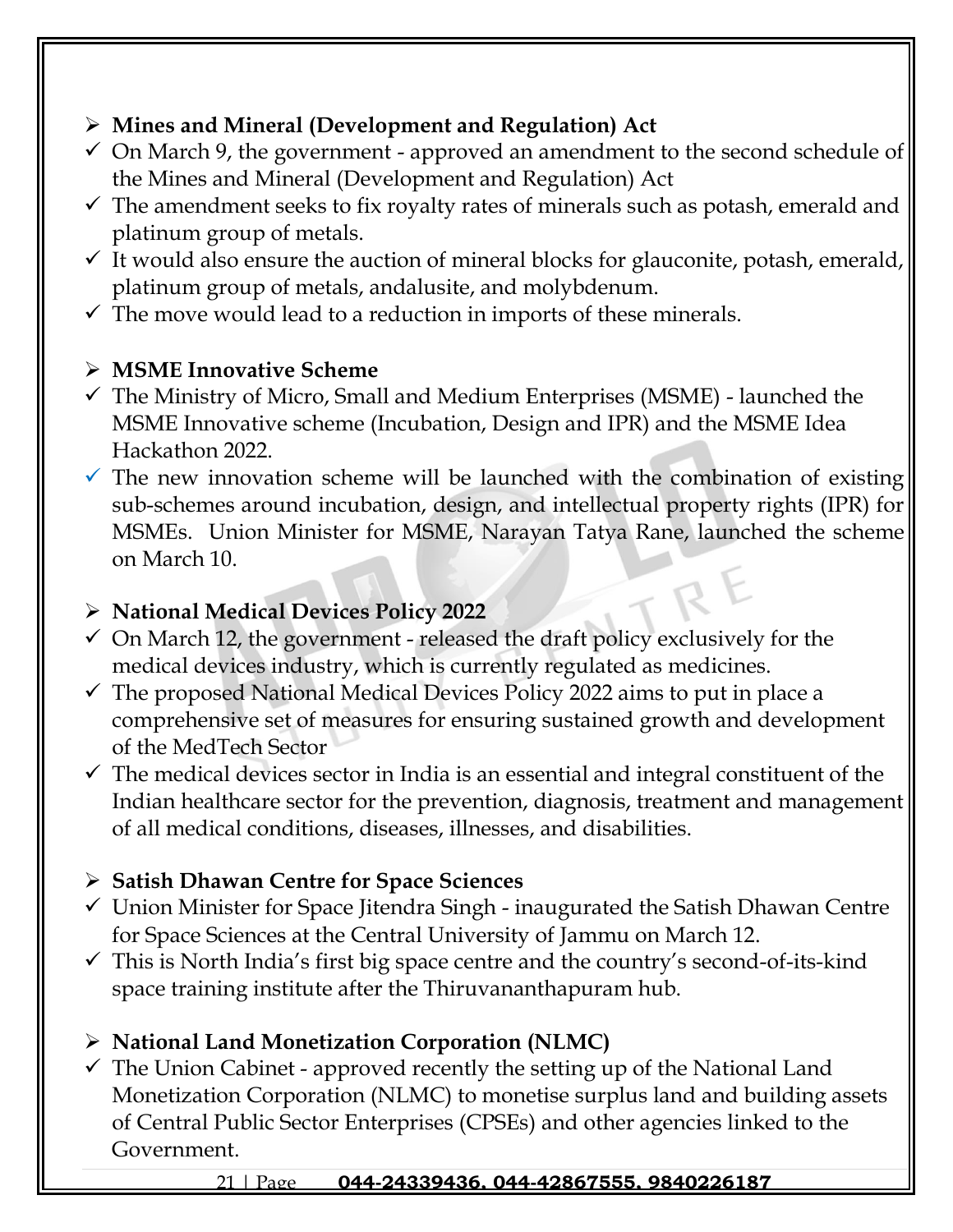## ➢ **Mines and Mineral (Development and Regulation) Act**

- $\checkmark$  On March 9, the government approved an amendment to the second schedule of the Mines and Mineral (Development and Regulation) Act
- $\checkmark$  The amendment seeks to fix royalty rates of minerals such as potash, emerald and platinum group of metals.
- $\checkmark$  It would also ensure the auction of mineral blocks for glauconite, potash, emerald, platinum group of metals, andalusite, and molybdenum.
- $\checkmark$  The move would lead to a reduction in imports of these minerals.

## ➢ **MSME Innovative Scheme**

- $\checkmark$  The Ministry of Micro, Small and Medium Enterprises (MSME) launched the MSME Innovative scheme (Incubation, Design and IPR) and the MSME Idea Hackathon 2022.
- $\checkmark$  The new innovation scheme will be launched with the combination of existing sub-schemes around incubation, design, and intellectual property rights (IPR) for MSMEs. Union Minister for MSME, Narayan Tatya Rane, launched the scheme on March 10.

## ➢ **National Medical Devices Policy 2022**

- $\checkmark$  On March 12, the government released the draft policy exclusively for the medical devices industry, which is currently regulated as medicines.
- $\checkmark$  The proposed National Medical Devices Policy 2022 aims to put in place a comprehensive set of measures for ensuring sustained growth and development of the MedTech Sector
- $\checkmark$  The medical devices sector in India is an essential and integral constituent of the Indian healthcare sector for the prevention, diagnosis, treatment and management of all medical conditions, diseases, illnesses, and disabilities.

# ➢ **Satish Dhawan Centre for Space Sciences**

- $\checkmark$  Union Minister for Space Jitendra Singh inaugurated the Satish Dhawan Centre for Space Sciences at the Central University of Jammu on March 12.
- $\checkmark$  This is North India's first big space centre and the country's second-of-its-kind space training institute after the Thiruvananthapuram hub.

# ➢ **National Land Monetization Corporation (NLMC)**

 $\checkmark$  The Union Cabinet - approved recently the setting up of the National Land Monetization Corporation (NLMC) to monetise surplus land and building assets of Central Public Sector Enterprises (CPSEs) and other agencies linked to the Government.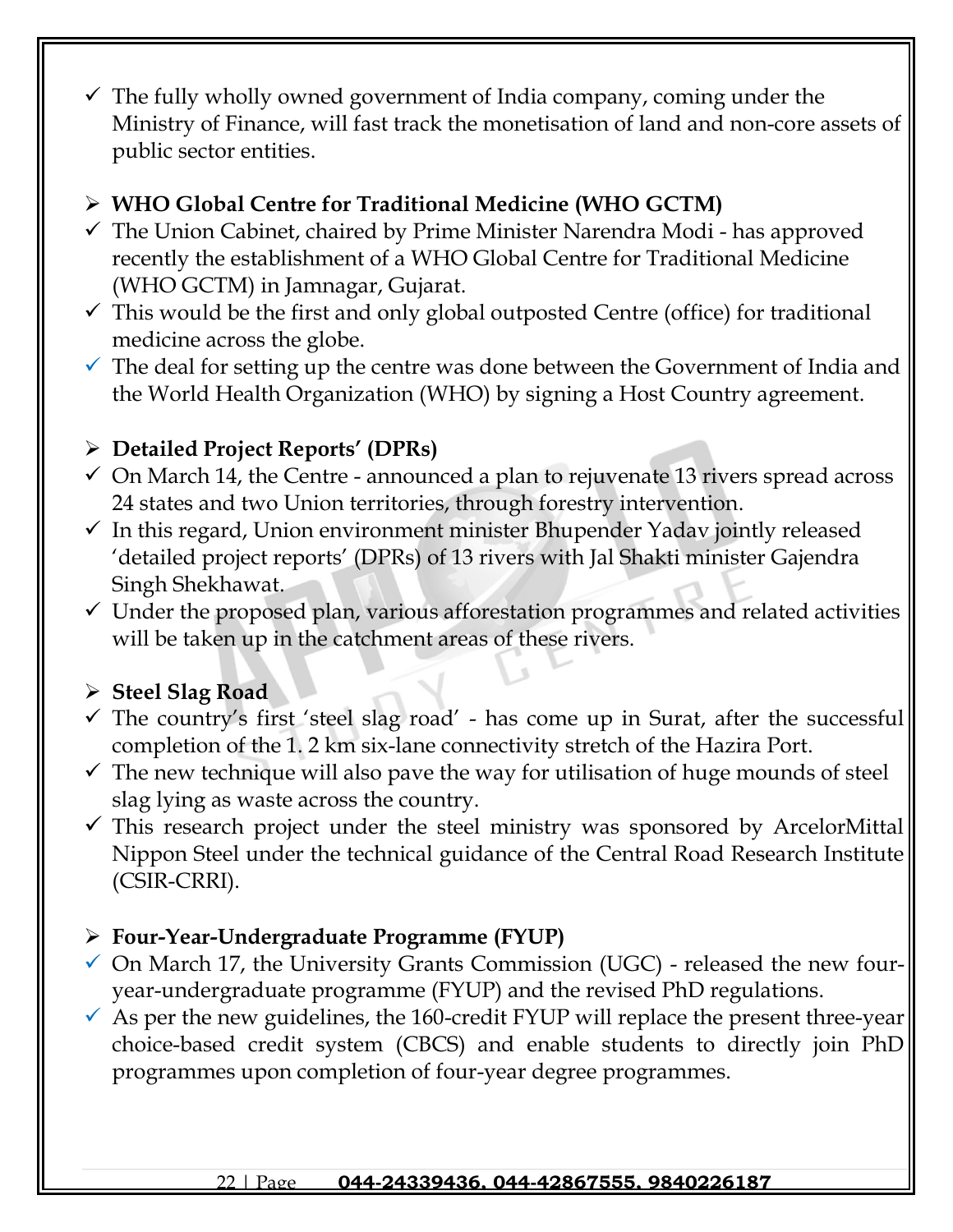$\checkmark$  The fully wholly owned government of India company, coming under the Ministry of Finance, will fast track the monetisation of land and non-core assets of public sector entities.

## ➢ **WHO Global Centre for Traditional Medicine (WHO GCTM)**

- $\checkmark$  The Union Cabinet, chaired by Prime Minister Narendra Modi has approved recently the establishment of a WHO Global Centre for Traditional Medicine (WHO GCTM) in Jamnagar, Gujarat.
- $\checkmark$  This would be the first and only global outposted Centre (office) for traditional medicine across the globe.
- $\checkmark$  The deal for setting up the centre was done between the Government of India and the World Health Organization (WHO) by signing a Host Country agreement.

## ➢ **Detailed Project Reports' (DPRs)**

- $\checkmark$  On March 14, the Centre announced a plan to rejuvenate 13 rivers spread across 24 states and two Union territories, through forestry intervention.
- $\checkmark$  In this regard, Union environment minister Bhupender Yadav jointly released 'detailed project reports' (DPRs) of 13 rivers with Jal Shakti minister Gajendra Singh Shekhawat.
- ✓ Under the proposed plan, various afforestation programmes and related activities will be taken up in the catchment areas of these rivers.

## ➢ **Steel Slag Road**

- $\checkmark$  The country's first 'steel slag road' has come up in Surat, after the successful completion of the 1. 2 km six-lane connectivity stretch of the Hazira Port.
- $\checkmark$  The new technique will also pave the way for utilisation of huge mounds of steel slag lying as waste across the country.
- $\checkmark$  This research project under the steel ministry was sponsored by ArcelorMittal Nippon Steel under the technical guidance of the Central Road Research Institute (CSIR-CRRI).

## ➢ **Four-Year-Undergraduate Programme (FYUP)**

- $\checkmark$  On March 17, the University Grants Commission (UGC) released the new fouryear-undergraduate programme (FYUP) and the revised PhD regulations.
- $\checkmark$  As per the new guidelines, the 160-credit FYUP will replace the present three-year choice-based credit system (CBCS) and enable students to directly join PhD programmes upon completion of four-year degree programmes.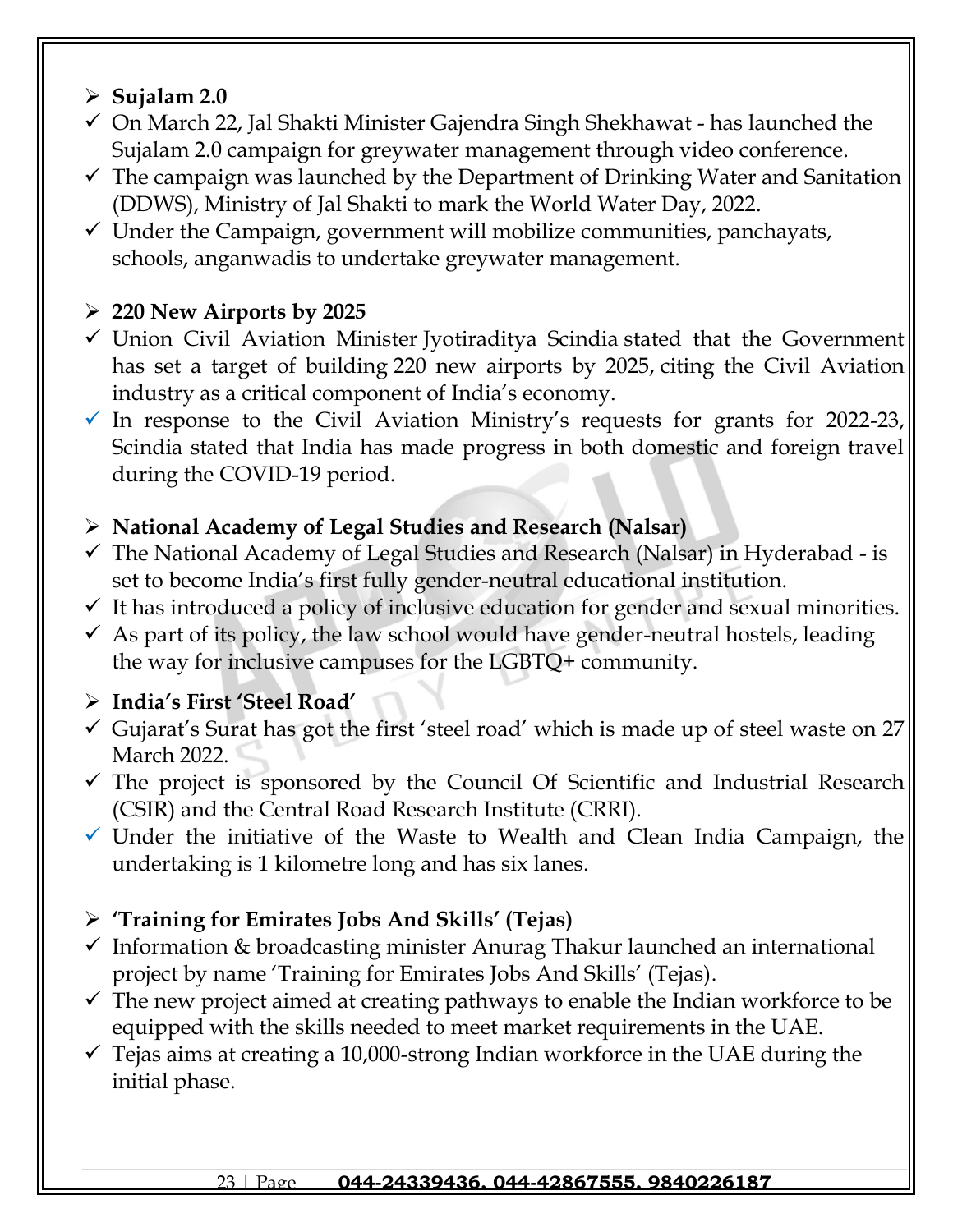## ➢ **Sujalam 2.0**

- ✓ On March 22, Jal Shakti Minister Gajendra Singh Shekhawat has launched the Sujalam 2.0 campaign for greywater management through video conference.
- $\checkmark$  The campaign was launched by the Department of Drinking Water and Sanitation (DDWS), Ministry of Jal Shakti to mark the World Water Day, 2022.
- $\checkmark$  Under the Campaign, government will mobilize communities, panchayats, schools, anganwadis to undertake greywater management.

## ➢ **220 New Airports by 2025**

- ✓ Union Civil Aviation Minister Jyotiraditya Scindia stated that the Government has set a target of building 220 new airports by 2025, citing the Civil Aviation industry as a critical component of India's economy.
- $\checkmark$  In response to the Civil Aviation Ministry's requests for grants for 2022-23, Scindia stated that India has made progress in both domestic and foreign travel during the COVID-19 period.

## ➢ **National Academy of Legal Studies and Research (Nalsar)**

- $\checkmark$  The National Academy of Legal Studies and Research (Nalsar) in Hyderabad is set to become India's first fully gender-neutral educational institution.
- $\checkmark$  It has introduced a policy of inclusive education for gender and sexual minorities.
- $\checkmark$  As part of its policy, the law school would have gender-neutral hostels, leading the way for inclusive campuses for the LGBTQ+ community.

## ➢ **India's First 'Steel Road'**

- $\checkmark$  Gujarat's Surat has got the first 'steel road' which is made up of steel waste on 27 March 2022.
- $\checkmark$  The project is sponsored by the Council Of Scientific and Industrial Research (CSIR) and the Central Road Research Institute (CRRI).
- $\checkmark$  Under the initiative of the Waste to Wealth and Clean India Campaign, the undertaking is 1 kilometre long and has six lanes.

## ➢ **'Training for Emirates Jobs And Skills' (Tejas)**

- $\checkmark$  Information & broadcasting minister Anurag Thakur launched an international project by name 'Training for Emirates Jobs And Skills' (Tejas).
- $\checkmark$  The new project aimed at creating pathways to enable the Indian workforce to be equipped with the skills needed to meet market requirements in the UAE.
- $\checkmark$  Tejas aims at creating a 10,000-strong Indian workforce in the UAE during the initial phase.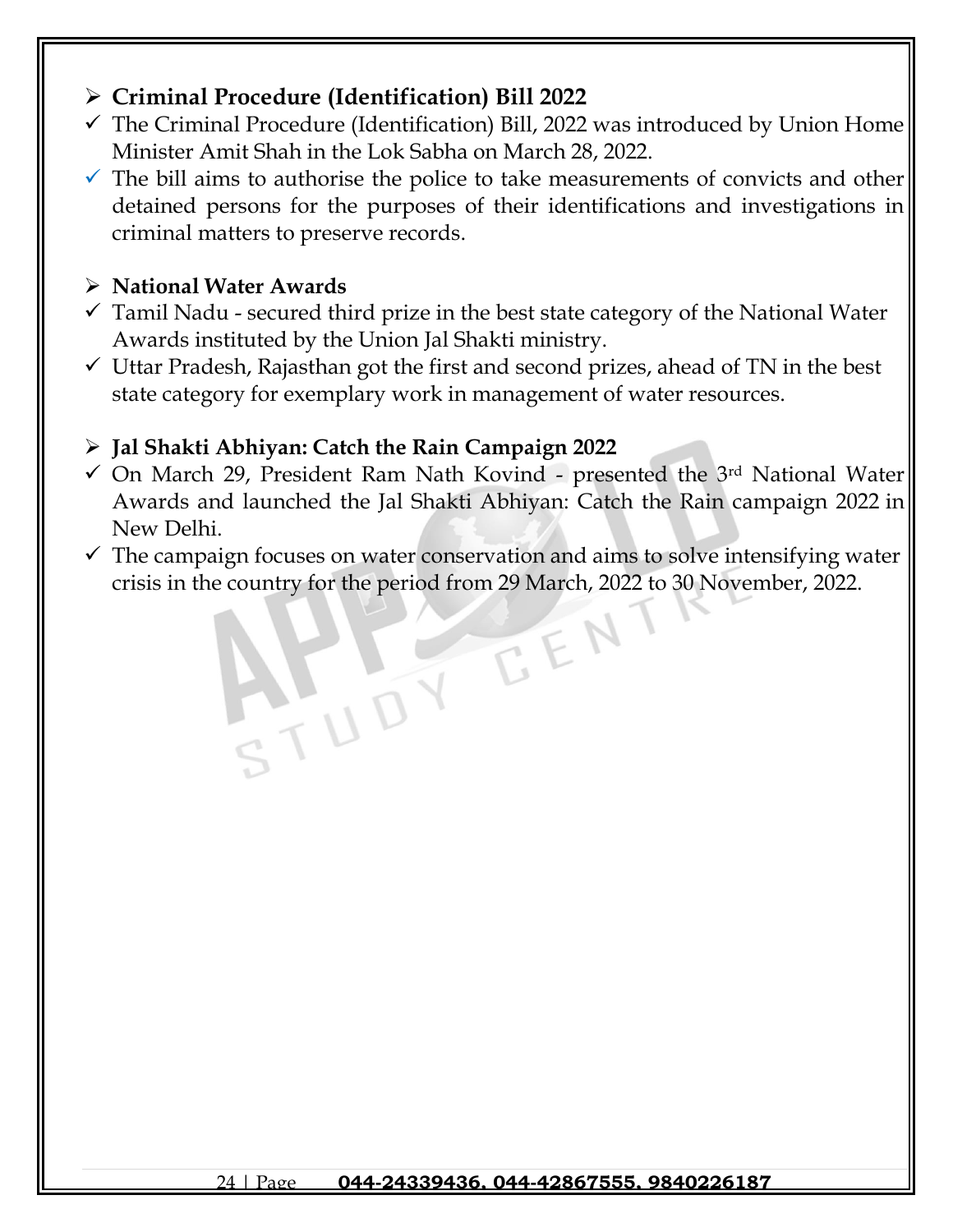## ➢ **[Criminal Procedure \(Identification\) Bill 2022](https://www.jagranjosh.com/current-affairs/criminal-procedure-identification-bill-2022-1648453201-1?ref=list_ca)**

- $\checkmark$  The Criminal Procedure (Identification) Bill, 2022 was introduced by Union Home Minister Amit Shah in the Lok Sabha on March 28, 2022.
- $\checkmark$  The bill aims to authorise the police to take measurements of convicts and other detained persons for the purposes of their identifications and investigations in criminal matters to preserve records.

## ➢ **National Water Awards**

- $\checkmark$  Tamil Nadu secured third prize in the best state category of the National Water Awards instituted by the Union Jal Shakti ministry.
- $\checkmark$  Uttar Pradesh, Rajasthan got the first and second prizes, ahead of TN in the best state category for exemplary work in management of water resources.

## ➢ **Jal Shakti Abhiyan: Catch the Rain Campaign 2022**

ATUDY

- $\checkmark$  On March 29, President Ram Nath Kovind presented the 3<sup>rd</sup> National Water Awards and launched the Jal Shakti Abhiyan: Catch the Rain campaign 2022 in New Delhi.
- $\checkmark$  The campaign focuses on water conservation and aims to solve intensifying water crisis in the country for the period from 29 March, 2022 to 30 November, 2022.

EEN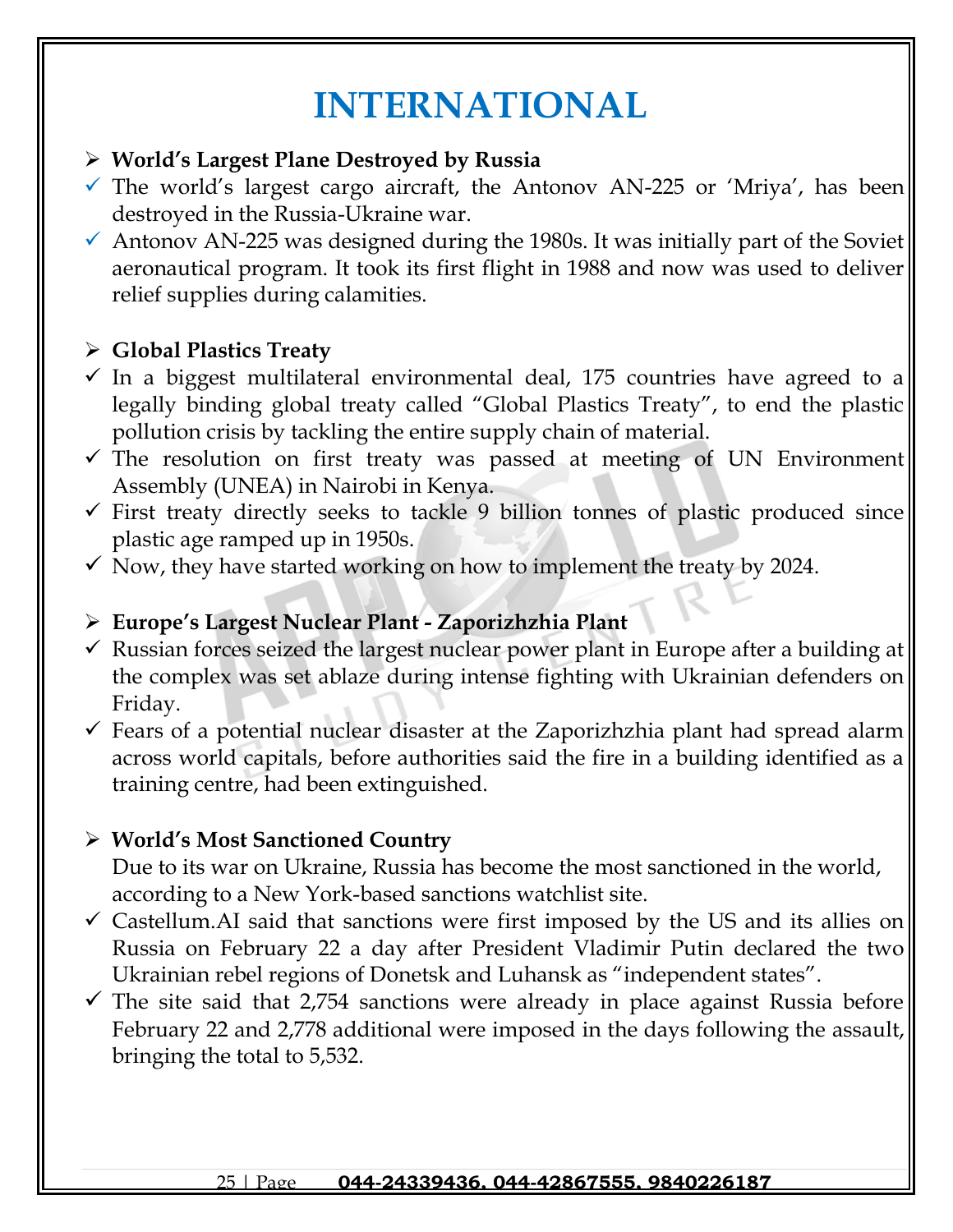# **INTERNATIONAL**

### ➢ **World's Largest Plane Destroyed by Russia**

- $\checkmark$  The world's largest cargo aircraft, the Antonov AN-225 or 'Mriya', has been destroyed in the Russia-Ukraine war.
- $\checkmark$  Antonov AN-225 was designed during the 1980s. It was initially part of the Soviet aeronautical program. It took its first flight in 1988 and now was used to deliver relief supplies during calamities.

## ➢ **Global Plastics Treaty**

- $\checkmark$  In a biggest multilateral environmental deal, 175 countries have agreed to a legally binding global treaty called "Global Plastics Treaty", to end the plastic pollution crisis by tackling the entire supply chain of material.
- $\checkmark$  The resolution on first treaty was passed at meeting of UN Environment Assembly (UNEA) in Nairobi in Kenya.
- $\checkmark$  First treaty directly seeks to tackle 9 billion tonnes of plastic produced since plastic age ramped up in 1950s.
- $\checkmark$  Now, they have started working on how to implement the treaty by 2024.

## ➢ **Europe's Largest Nuclear Plant - Zaporizhzhia Plant**

- $\checkmark$  Russian forces seized the largest nuclear power plant in Europe after a building at the complex was set ablaze during intense fighting with Ukrainian defenders on Friday.
- $\checkmark$  Fears of a potential nuclear disaster at the Zaporizhzhia plant had spread alarm across world capitals, before authorities said the fire in a building identified as a training centre, had been extinguished.

## ➢ **World's Most Sanctioned Country**

Due to its war on Ukraine, Russia has become the most sanctioned in the world, according to a New York-based sanctions watchlist site.

- $\checkmark$  Castellum. AI said that sanctions were first imposed by the US and its allies on Russia on February 22 a day after President Vladimir Putin declared the two Ukrainian rebel regions of Donetsk and Luhansk as "independent states".
- $\checkmark$  The site said that 2,754 sanctions were already in place against Russia before February 22 and 2,778 additional were imposed in the days following the assault, bringing the total to 5,532.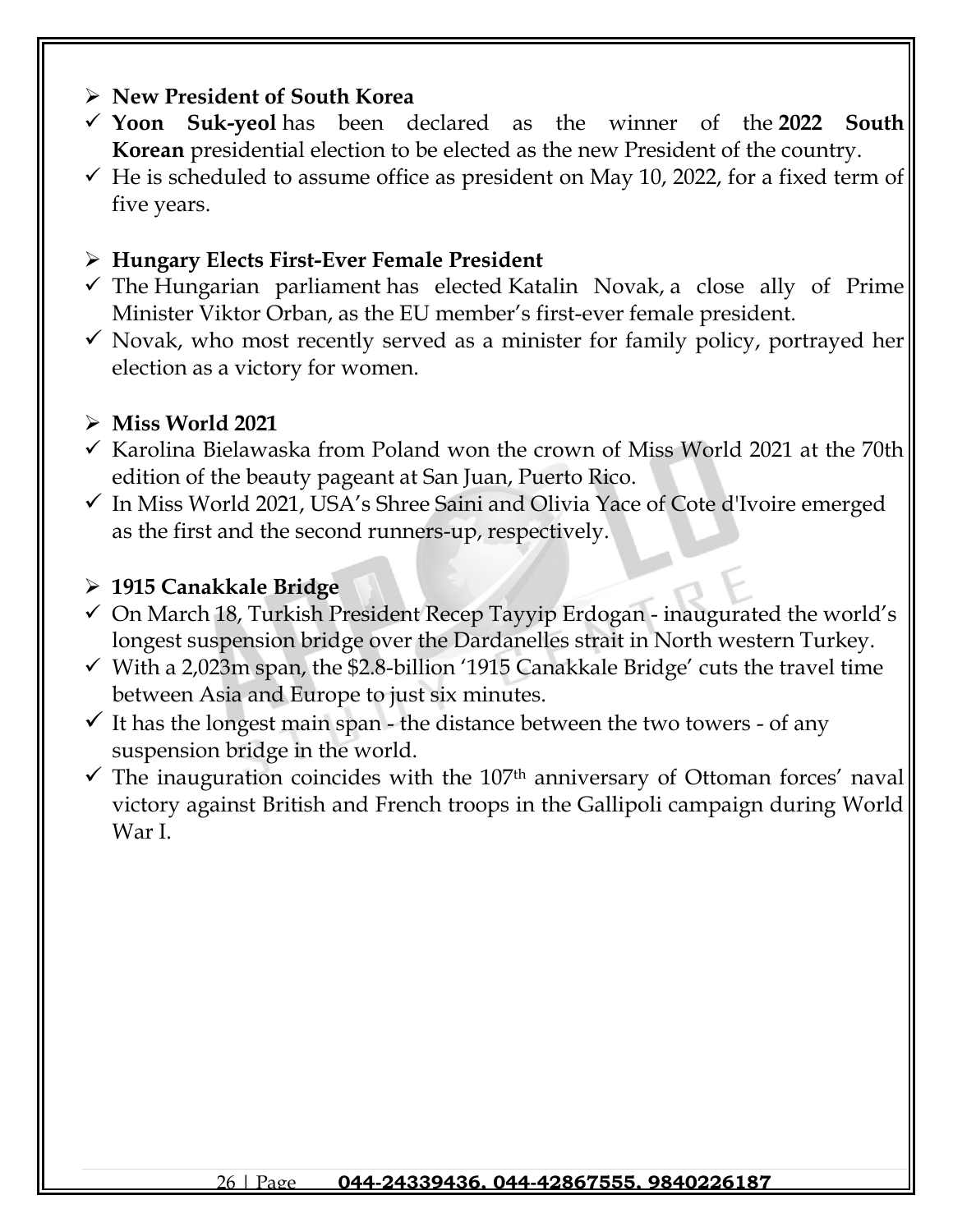### ➢ **New President of South Korea**

- ✓ **Yoon Suk-yeol** has been declared as the winner of the **2022 South Korean** presidential election to be elected as the new President of the country.
- $\checkmark$  He is scheduled to assume office as president on May 10, 2022, for a fixed term of five years.

#### ➢ **Hungary Elects First-Ever Female President**

- $\checkmark$  The Hungarian parliament has elected Katalin Novak, a close ally of Prime Minister Viktor Orban, as the EU member's first-ever female president.
- $\checkmark$  Novak, who most recently served as a minister for family policy, portrayed her election as a victory for women.

#### ➢ **Miss World 2021**

- ✓ Karolina Bielawaska from Poland won the crown of Miss World 2021 at the 70th edition of the beauty pageant at San Juan, Puerto Rico.
- ✓ In Miss World 2021, USA's Shree Saini and Olivia Yace of Cote d'Ivoire emerged as the first and the second runners-up, respectively.

#### ➢ **1915 Canakkale Bridge**

- $\checkmark$  On March 18, Turkish President Recep Tayyip Erdogan inaugurated the world's longest suspension bridge over the Dardanelles strait in North western Turkey.
- $\checkmark$  With a 2,023m span, the \$2.8-billion '1915 Canakkale Bridge' cuts the travel time between Asia and Europe to just six minutes.
- $\checkmark$  It has the longest main span the distance between the two towers of any suspension bridge in the world.
- $\checkmark$  The inauguration coincides with the 107<sup>th</sup> anniversary of Ottoman forces' naval victory against British and French troops in the Gallipoli campaign during World War I.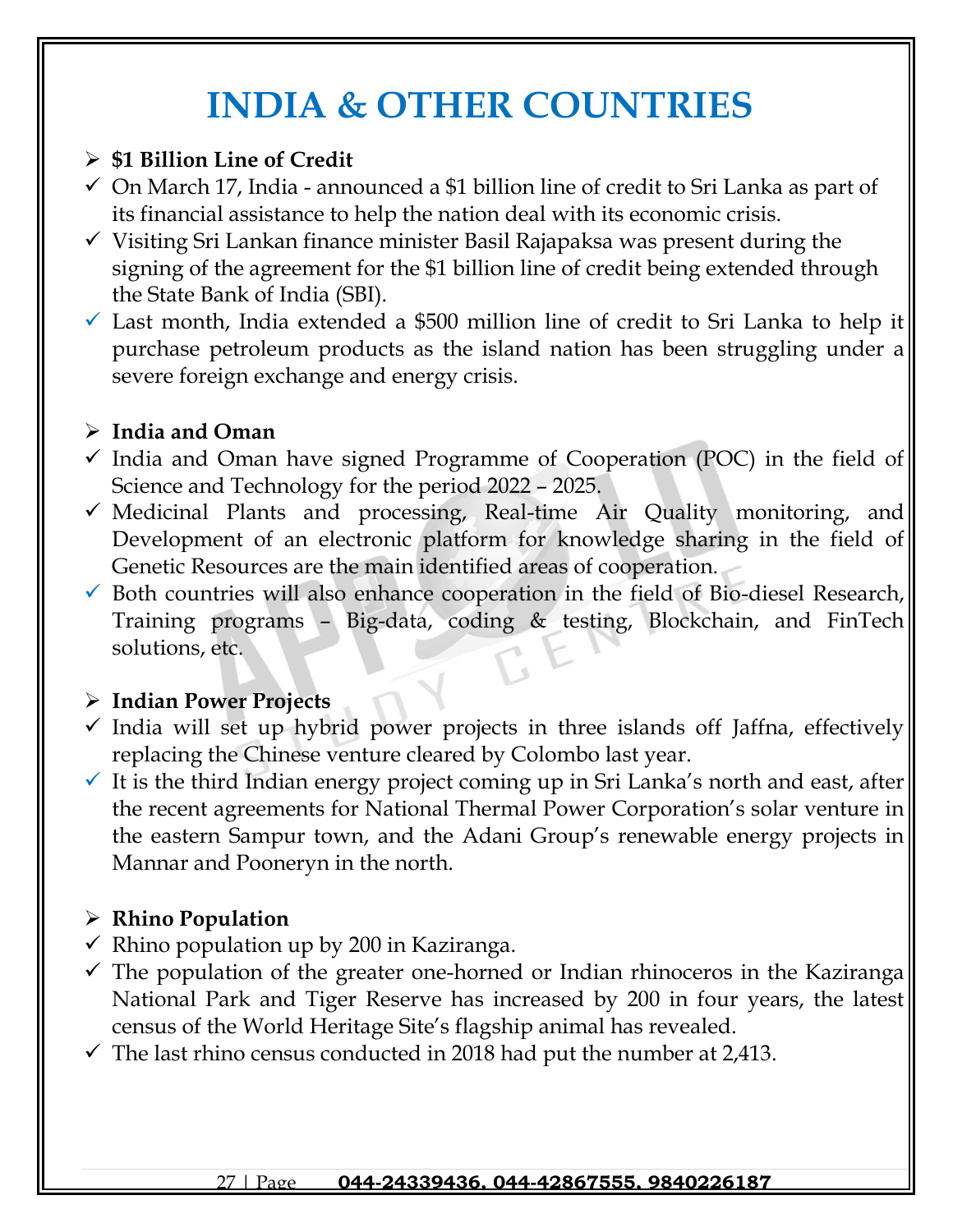# **INDIA & OTHER COUNTRIES**

## ➢ **\$1 Billion Line of Credit**

- ✓ On March 17, India announced a \$1 billion line of credit to Sri Lanka as part of its financial assistance to help the nation deal with its economic crisis.
- $\checkmark$  Visiting Sri Lankan finance minister Basil Rajapaksa was present during the signing of the agreement for the \$1 billion line of credit being extended through the State Bank of India (SBI).
- $\checkmark$  Last month, India extended a \$500 million line of credit to Sri Lanka to help it purchase petroleum products as the island nation has been struggling under a severe foreign exchange and energy crisis.

## ➢ **India and Oman**

- $\checkmark$  India and Oman have signed Programme of Cooperation (POC) in the field of Science and Technology for the period 2022 – 2025.
- $\checkmark$  Medicinal Plants and processing, Real-time Air Quality monitoring, and Development of an electronic platform for knowledge sharing in the field of Genetic Resources are the main identified areas of cooperation.
- $\checkmark$  Both countries will also enhance cooperation in the field of Bio-diesel Research, Training programs – Big-data, coding & testing, Blockchain, and FinTech solutions, etc.

## ➢ **Indian Power Projects**

- $\checkmark$  India will set up hybrid power projects in three islands off Jaffna, effectively replacing the Chinese venture cleared by Colombo last year.
- $\checkmark$  It is the third Indian energy project coming up in Sri Lanka's north and east, after the recent agreements for National Thermal Power Corporation's solar venture in the eastern Sampur town, and the Adani Group's renewable energy projects in Mannar and Pooneryn in the north.

# ➢ **Rhino Population**

- $\checkmark$  Rhino population up by 200 in Kaziranga.
- $\checkmark$  The population of the greater one-horned or Indian rhinoceros in the Kaziranga National Park and Tiger Reserve has increased by 200 in four years, the latest census of the World Heritage Site's flagship animal has revealed.
- $\checkmark$  The last rhino census conducted in 2018 had put the number at 2,413.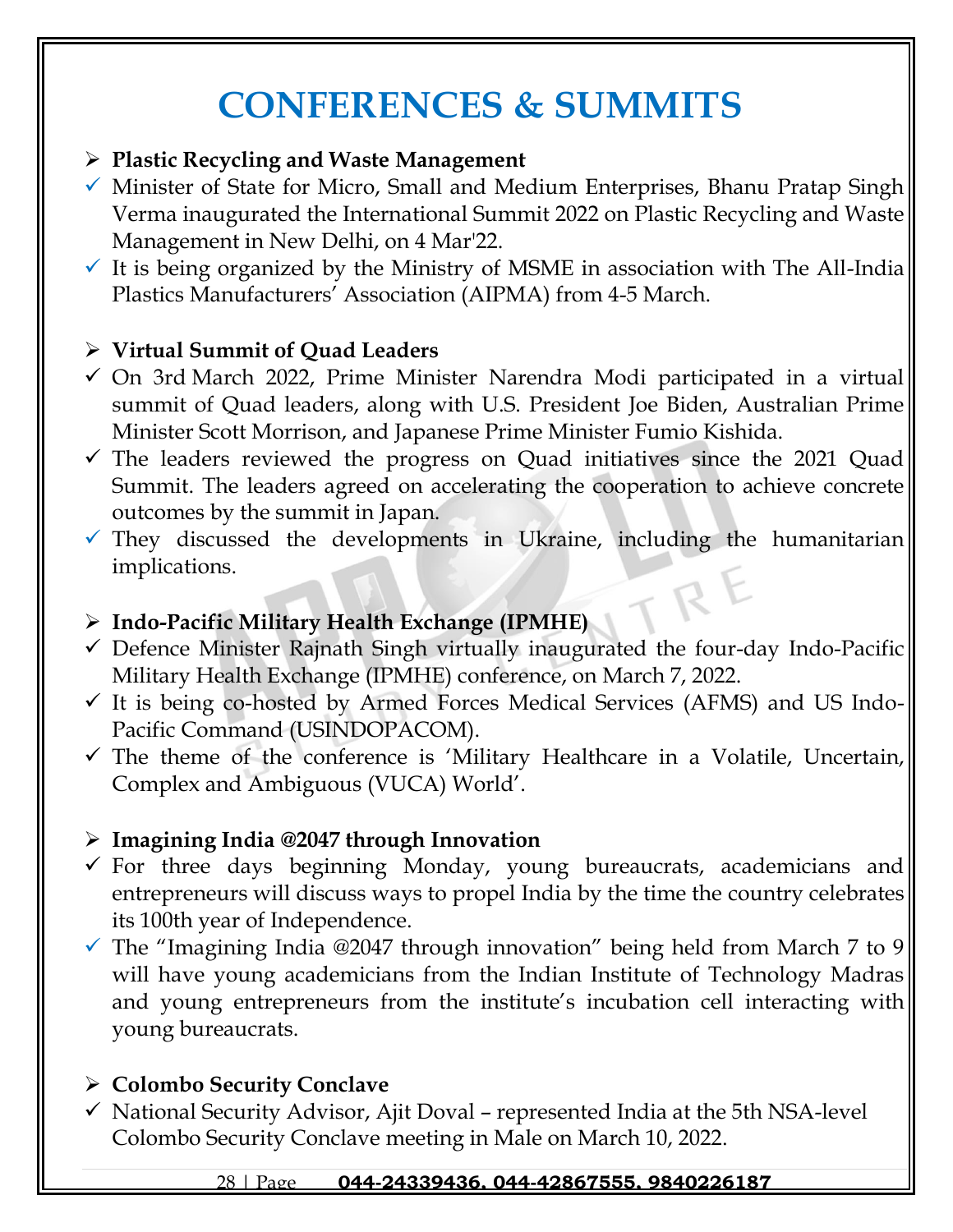# **CONFERENCES & SUMMITS**

### ➢ **Plastic Recycling and Waste Management**

- $\checkmark$  Minister of State for Micro, Small and Medium Enterprises, Bhanu Pratap Singh Verma inaugurated the International Summit 2022 on Plastic Recycling and Waste Management in New Delhi, on 4 Mar'22.
- $\checkmark$  It is being organized by the Ministry of MSME in association with The All-India Plastics Manufacturers' Association (AIPMA) from 4-5 March.

## ➢ **Virtual Summit of Quad Leaders**

- $\checkmark$  On 3rd March 2022, Prime Minister Narendra Modi participated in a virtual summit of Quad leaders, along with U.S. President Joe Biden, Australian Prime Minister Scott Morrison, and Japanese Prime Minister Fumio Kishida.
- $\checkmark$  The leaders reviewed the progress on Quad initiatives since the 2021 Quad Summit. The leaders agreed on accelerating the cooperation to achieve concrete outcomes by the summit in Japan.
- $\checkmark$  They discussed the developments in Ukraine, including the humanitarian implications.

## ➢ **Indo-Pacific Military Health Exchange (IPMHE)**

- $\checkmark$  Defence Minister Rajnath Singh virtually inaugurated the four-day Indo-Pacific Military Health Exchange (IPMHE) conference, on March 7, 2022.
- $\checkmark$  It is being co-hosted by Armed Forces Medical Services (AFMS) and US Indo-Pacific Command (USINDOPACOM).
- $\checkmark$  The theme of the conference is 'Military Healthcare in a Volatile, Uncertain, Complex and Ambiguous (VUCA) World'.

## ➢ **Imagining India @2047 through Innovation**

- $\checkmark$  For three days beginning Monday, young bureaucrats, academicians and entrepreneurs will discuss ways to propel India by the time the country celebrates its 100th year of Independence.
- $\checkmark$  The "Imagining India @2047 through innovation" being held from March 7 to 9 will have young academicians from the Indian Institute of Technology Madras and young entrepreneurs from the institute's incubation cell interacting with young bureaucrats.

## ➢ **Colombo Security Conclave**

 $\checkmark$  National Security Advisor, Ajit Doval – represented India at the 5th NSA-level Colombo Security Conclave meeting in Male on March 10, 2022.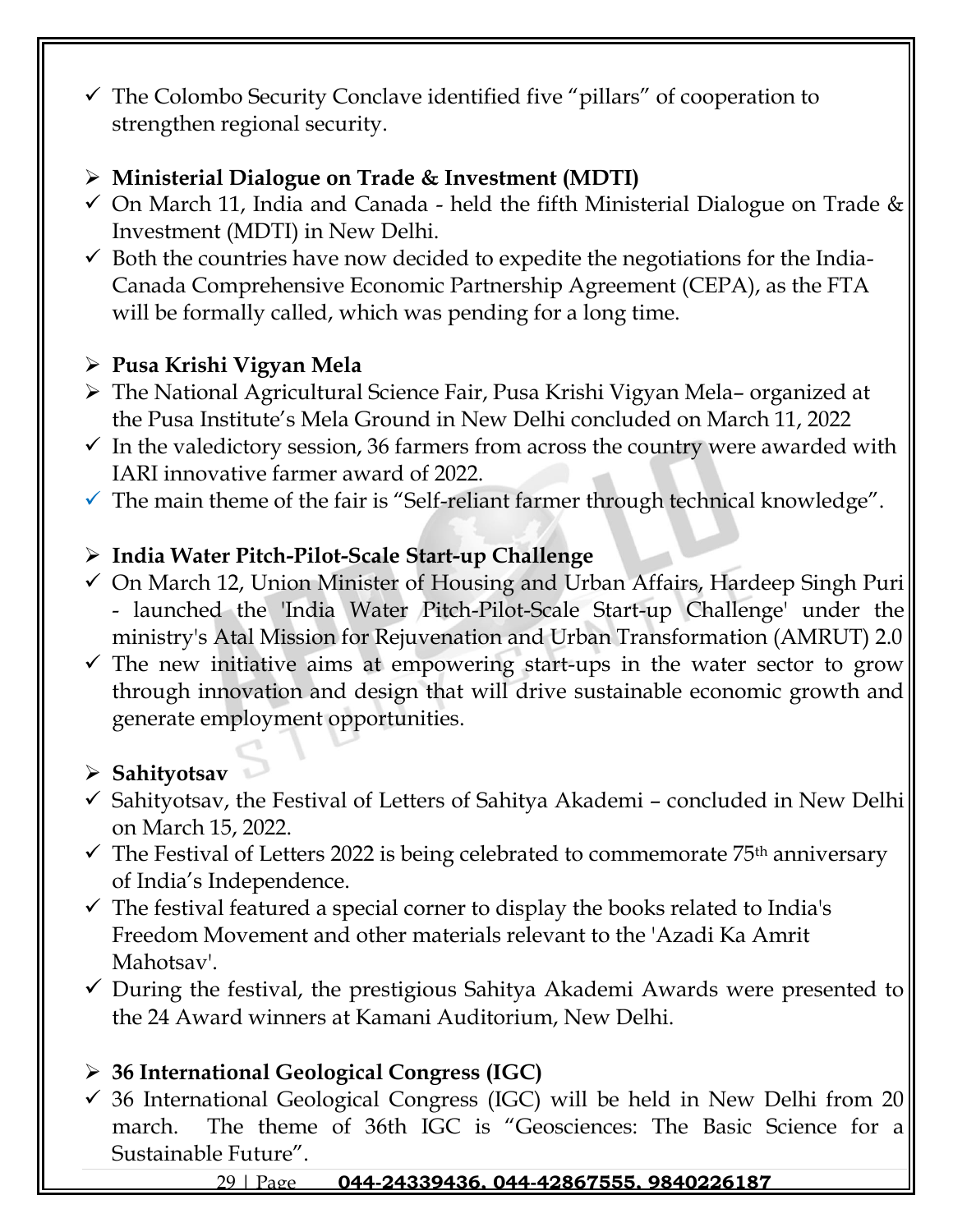✓ The Colombo Security Conclave identified five "pillars" of cooperation to strengthen regional security.

# ➢ **Ministerial Dialogue on Trade & Investment (MDTI)**

- $\checkmark$  On March 11, India and Canada held the fifth Ministerial Dialogue on Trade & Investment (MDTI) in New Delhi.
- $\checkmark$  Both the countries have now decided to expedite the negotiations for the India-Canada Comprehensive Economic Partnership Agreement (CEPA), as the FTA will be formally called, which was pending for a long time.

## ➢ **Pusa Krishi Vigyan Mela**

- ➢ The National Agricultural Science Fair, Pusa Krishi Vigyan Mela– organized at the Pusa Institute's Mela Ground in New Delhi concluded on March 11, 2022
- $\checkmark$  In the valedictory session, 36 farmers from across the country were awarded with IARI innovative farmer award of 2022.
- $\checkmark$  The main theme of the fair is "Self-reliant farmer through technical knowledge".

## ➢ **India Water Pitch-Pilot-Scale Start-up Challenge**

- ✓ On March 12, Union Minister of Housing and Urban Affairs, Hardeep Singh Puri - launched the 'India Water Pitch-Pilot-Scale Start-up Challenge' under the ministry's Atal Mission for Rejuvenation and Urban Transformation (AMRUT) 2.0
- $\checkmark$  The new initiative aims at empowering start-ups in the water sector to grow through innovation and design that will drive sustainable economic growth and generate employment opportunities.

# ➢ **Sahityotsav**

- ✓ Sahityotsav, the Festival of Letters of Sahitya Akademi concluded in New Delhi on March 15, 2022.
- $\checkmark$  The Festival of Letters 2022 is being celebrated to commemorate 75<sup>th</sup> anniversary of India's Independence.
- $\checkmark$  The festival featured a special corner to display the books related to India's Freedom Movement and other materials relevant to the 'Azadi Ka Amrit Mahotsav'.
- $\checkmark$  During the festival, the prestigious Sahitya Akademi Awards were presented to the 24 Award winners at Kamani Auditorium, New Delhi.

# ➢ **36 International Geological Congress (IGC)**

 $\checkmark$  36 International Geological Congress (IGC) will be held in New Delhi from 20 march. The theme of 36th IGC is "Geosciences: The Basic Science for a Sustainable Future".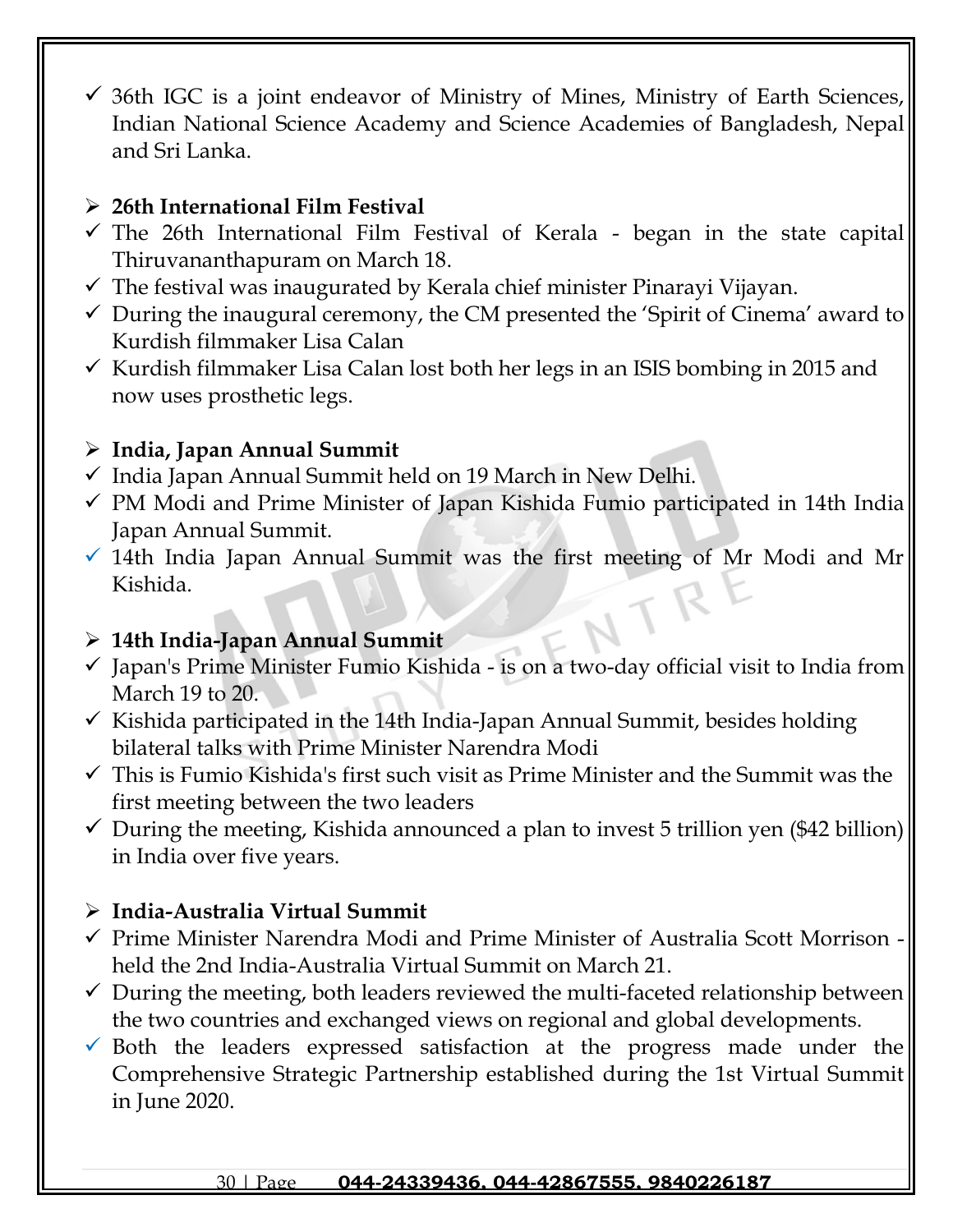$\checkmark$  36th IGC is a joint endeavor of Ministry of Mines, Ministry of Earth Sciences, Indian National Science Academy and Science Academies of Bangladesh, Nepal and Sri Lanka.

## ➢ **26th International Film Festival**

- $\checkmark$  The 26th International Film Festival of Kerala began in the state capital Thiruvananthapuram on March 18.
- $\checkmark$  The festival was inaugurated by Kerala chief minister Pinarayi Vijayan.
- $\checkmark$  During the inaugural ceremony, the CM presented the 'Spirit of Cinema' award to Kurdish filmmaker Lisa Calan
- $\checkmark$  Kurdish filmmaker Lisa Calan lost both her legs in an ISIS bombing in 2015 and now uses prosthetic legs.

## ➢ **India, Japan Annual Summit**

- ✓ India Japan Annual Summit held on 19 March in New Delhi.
- $\checkmark$  PM Modi and Prime Minister of Japan Kishida Fumio participated in 14th India Japan Annual Summit.
- $\checkmark$  14th India Japan Annual Summit was the first meeting of Mr Modi and Mr Kishida.

## ➢ **14th India-Japan Annual Summit**

- $\checkmark$  Japan's Prime Minister Fumio Kishida is on a two-day official visit to India from March 19 to 20.
- $\checkmark$  Kishida participated in the 14th India-Japan Annual Summit, besides holding bilateral talks with Prime Minister Narendra Modi
- $\checkmark$  This is Fumio Kishida's first such visit as Prime Minister and the Summit was the first meeting between the two leaders
- $\checkmark$  During the meeting, Kishida announced a plan to invest 5 trillion yen (\$42 billion) in India over five years.

## ➢ **India-Australia Virtual Summit**

- ✓ Prime Minister Narendra Modi and Prime Minister of Australia Scott Morrison held the 2nd India-Australia Virtual Summit on March 21.
- $\checkmark$  During the meeting, both leaders reviewed the multi-faceted relationship between the two countries and exchanged views on regional and global developments.
- $\checkmark$  Both the leaders expressed satisfaction at the progress made under the Comprehensive Strategic Partnership established during the 1st Virtual Summit in June 2020.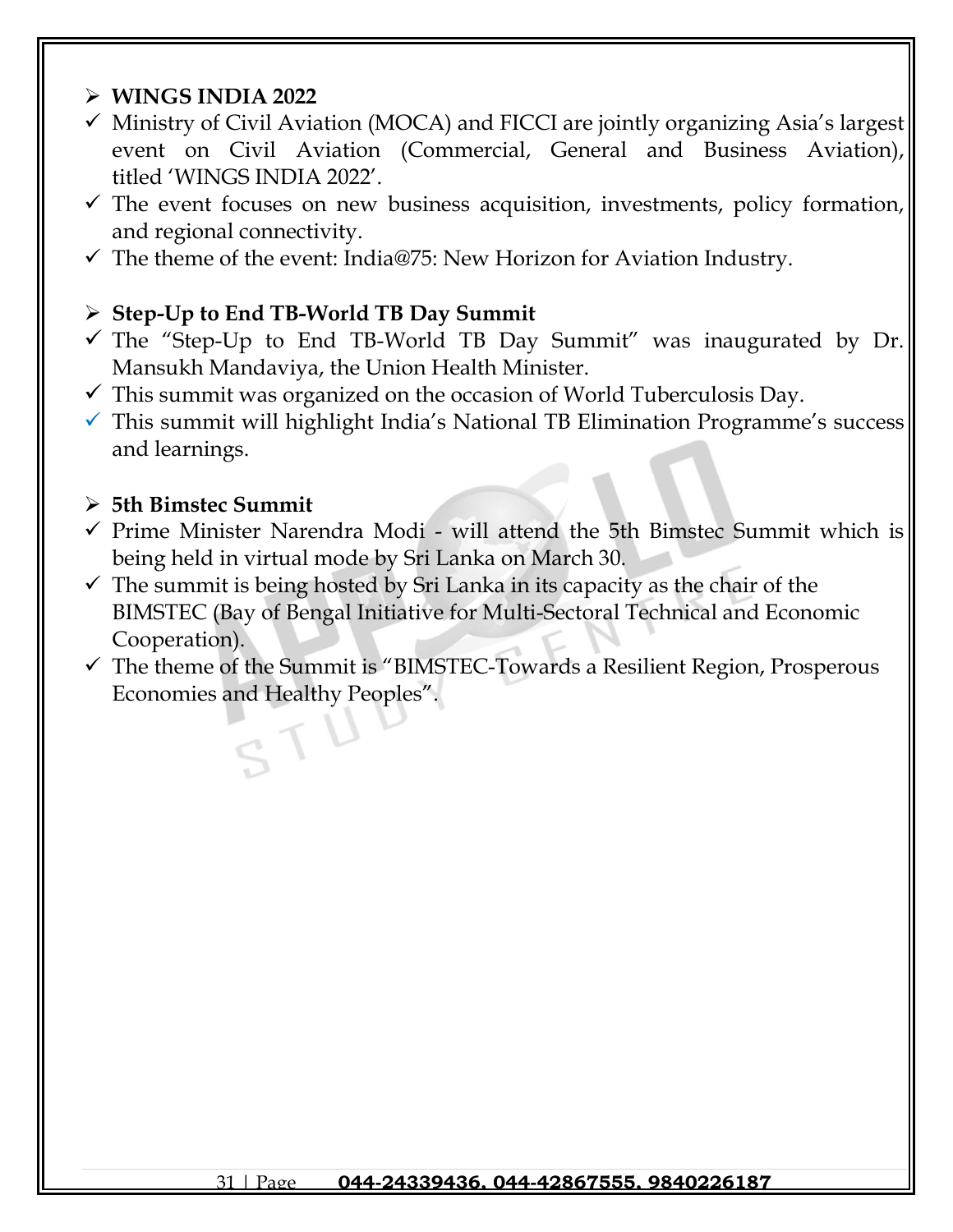### ➢ **WINGS INDIA 2022**

- $\checkmark$  Ministry of Civil Aviation (MOCA) and FICCI are jointly organizing Asia's largest event on Civil Aviation (Commercial, General and Business Aviation), titled 'WINGS INDIA 2022'.
- $\checkmark$  The event focuses on new business acquisition, investments, policy formation, and regional connectivity.
- $\checkmark$  The theme of the event: India@75: New Horizon for Aviation Industry.

### ➢ **Step-Up to End TB-World TB Day Summit**

- $\checkmark$  The "Step-Up to End TB-World TB Day Summit" was inaugurated by Dr. Mansukh Mandaviya, the Union Health Minister.
- $\checkmark$  This summit was organized on the occasion of World Tuberculosis Day.
- $\checkmark$  This summit will highlight India's National TB Elimination Programme's success and learnings.

#### ➢ **5th Bimstec Summit**

- ✓ Prime Minister Narendra Modi will attend the 5th Bimstec Summit which is being held in virtual mode by Sri Lanka on March 30.
- $\checkmark$  The summit is being hosted by Sri Lanka in its capacity as the chair of the BIMSTEC (Bay of Bengal Initiative for Multi-Sectoral Technical and Economic Cooperation).
- $\checkmark$  The theme of the Summit is "BIMSTEC-Towards a Resilient Region, Prosperous Economies and Healthy Peoples".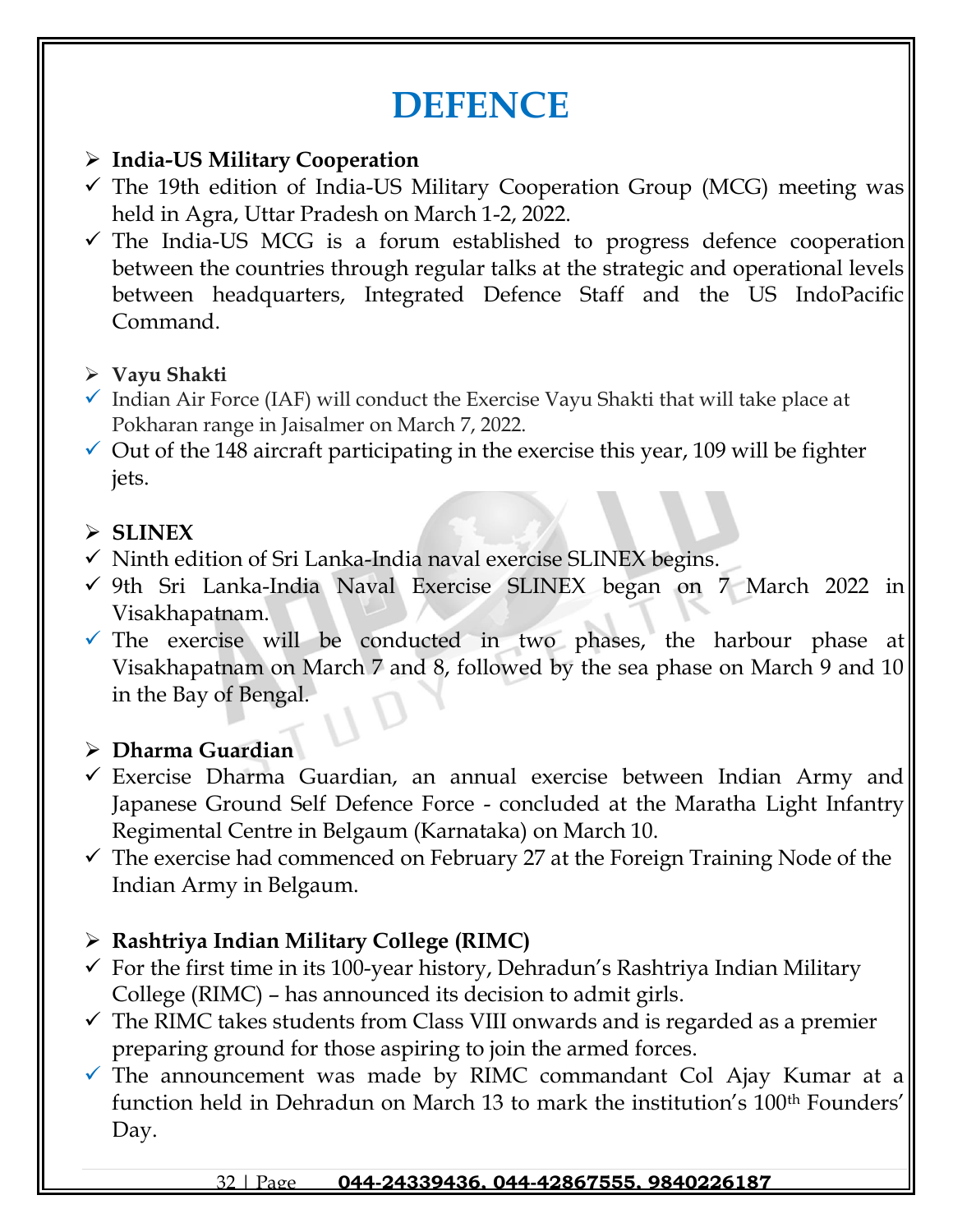# **DEFENCE**

## ➢ **India-US Military Cooperation**

- $\checkmark$  The 19th edition of India-US Military Cooperation Group (MCG) meeting was held in Agra, Uttar Pradesh on March 1-2, 2022.
- $\checkmark$  The India-US MCG is a forum established to progress defence cooperation between the countries through regular talks at the strategic and operational levels between headquarters, Integrated Defence Staff and the US IndoPacific Command.
- ➢ **Vayu Shakti**
- $\checkmark$  Indian Air Force (IAF) will conduct the Exercise Vayu Shakti that will take place at Pokharan range in Jaisalmer on March 7, 2022.
- $\checkmark$  Out of the 148 aircraft participating in the exercise this year, 109 will be fighter jets.

## ➢ **SLINEX**

- $\checkmark$  Ninth edition of Sri Lanka-India naval exercise SLINEX begins.
- ✓ 9th Sri Lanka-India Naval Exercise SLINEX began on 7 March 2022 in Visakhapatnam.
- $\checkmark$  The exercise will be conducted in two phases, the harbour phase at Visakhapatnam on March 7 and 8, followed by the sea phase on March 9 and 10 in the Bay of Bengal.

## ➢ **Dharma Guardian**

- $\checkmark$  Exercise Dharma Guardian, an annual exercise between Indian Army and Japanese Ground Self Defence Force - concluded at the Maratha Light Infantry Regimental Centre in Belgaum (Karnataka) on March 10.
- $\checkmark$  The exercise had commenced on February 27 at the Foreign Training Node of the Indian Army in Belgaum.

## ➢ **Rashtriya Indian Military College (RIMC)**

- $\checkmark$  For the first time in its 100-year history, Dehradun's Rashtriya Indian Military College (RIMC) – has announced its decision to admit girls.
- $\checkmark$  The RIMC takes students from Class VIII onwards and is regarded as a premier preparing ground for those aspiring to join the armed forces.
- $\checkmark$  The announcement was made by RIMC commandant Col Ajay Kumar at a function held in Dehradun on March 13 to mark the institution's 100<sup>th</sup> Founders' Day.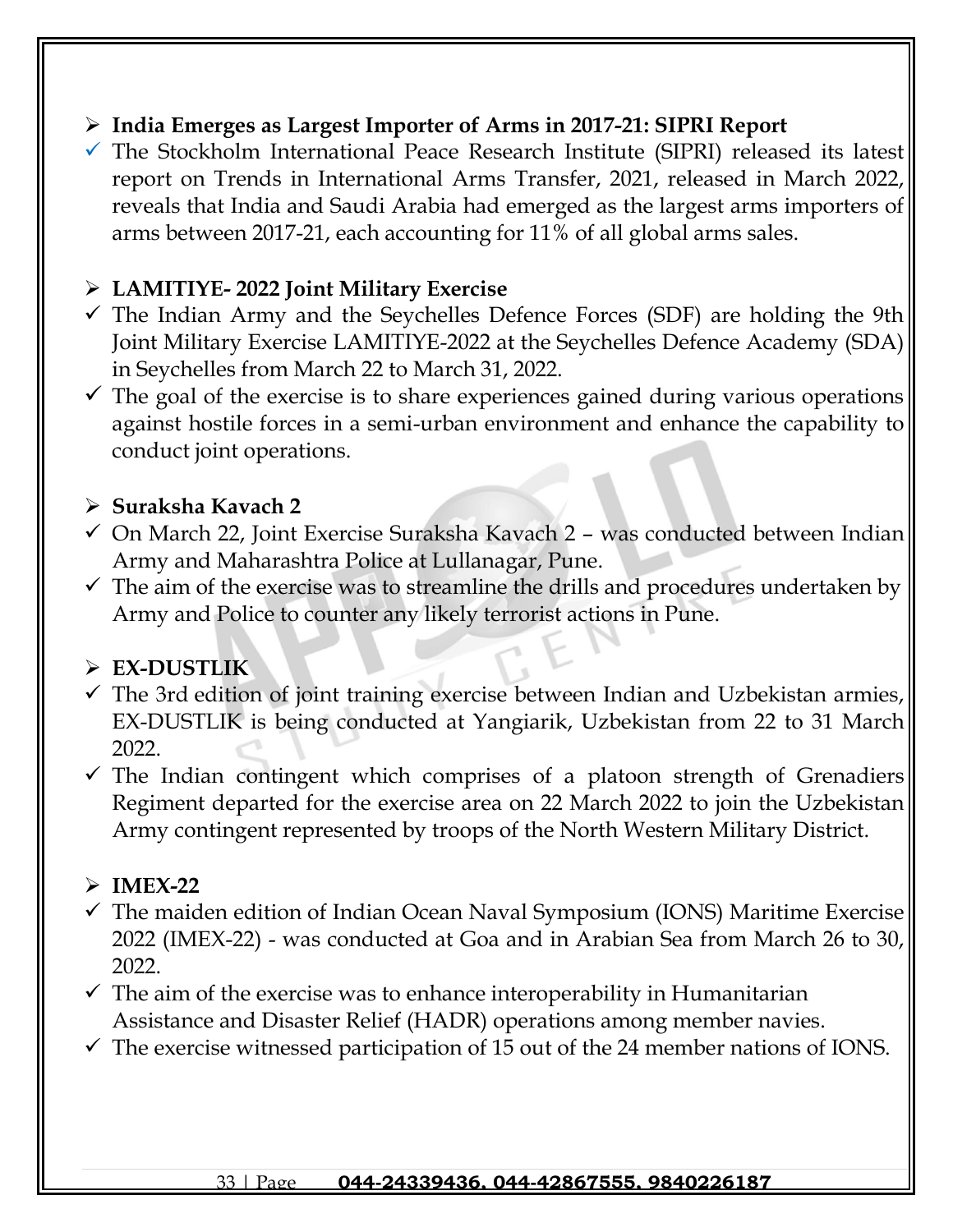## ➢ **[India Emerges as Largest Importer of Arms in 2017-21: SIPRI Report](https://www.gkseries.com/blog/india-emerges-as-largest-importer-of-arms-in-2017-21-sipri-report/)**

 $\checkmark$  The Stockholm International Peace Research Institute (SIPRI) released its latest report on Trends in International Arms Transfer, 2021, released in March 2022, reveals that India and Saudi Arabia had emerged as the largest arms importers of arms between 2017-21, each accounting for 11% of all global arms sales.

## ➢ **LAMITIYE- 2022 Joint Military Exercise**

- $\checkmark$  The Indian Army and the Seychelles Defence Forces (SDF) are holding the 9th Joint Military Exercise LAMITIYE-2022 at the Seychelles Defence Academy (SDA) in Seychelles from March 22 to March 31, 2022.
- $\checkmark$  The goal of the exercise is to share experiences gained during various operations against hostile forces in a semi-urban environment and enhance the capability to conduct joint operations.

### ➢ **Suraksha Kavach 2**

- $\checkmark$  On March 22, Joint Exercise Suraksha Kavach 2 was conducted between Indian Army and Maharashtra Police at Lullanagar, Pune.
- $\checkmark$  The aim of the exercise was to streamline the drills and procedures undertaken by Army and Police to counter any likely terrorist actions in Pune.

## ➢ **EX-DUSTLIK**

- $\checkmark$  The 3rd edition of joint training exercise between Indian and Uzbekistan armies, EX-DUSTLIK is being conducted at Yangiarik, Uzbekistan from 22 to 31 March 2022.
- $\checkmark$  The Indian contingent which comprises of a platoon strength of Grenadiers Regiment departed for the exercise area on 22 March 2022 to join the Uzbekistan Army contingent represented by troops of the North Western Military District.

## ➢ **IMEX-22**

- $\checkmark$  The maiden edition of Indian Ocean Naval Symposium (IONS) Maritime Exercise 2022 (IMEX-22) - was conducted at Goa and in Arabian Sea from March 26 to 30, 2022.
- $\checkmark$  The aim of the exercise was to enhance interoperability in Humanitarian Assistance and Disaster Relief (HADR) operations among member navies.
- $\checkmark$  The exercise witnessed participation of 15 out of the 24 member nations of IONS.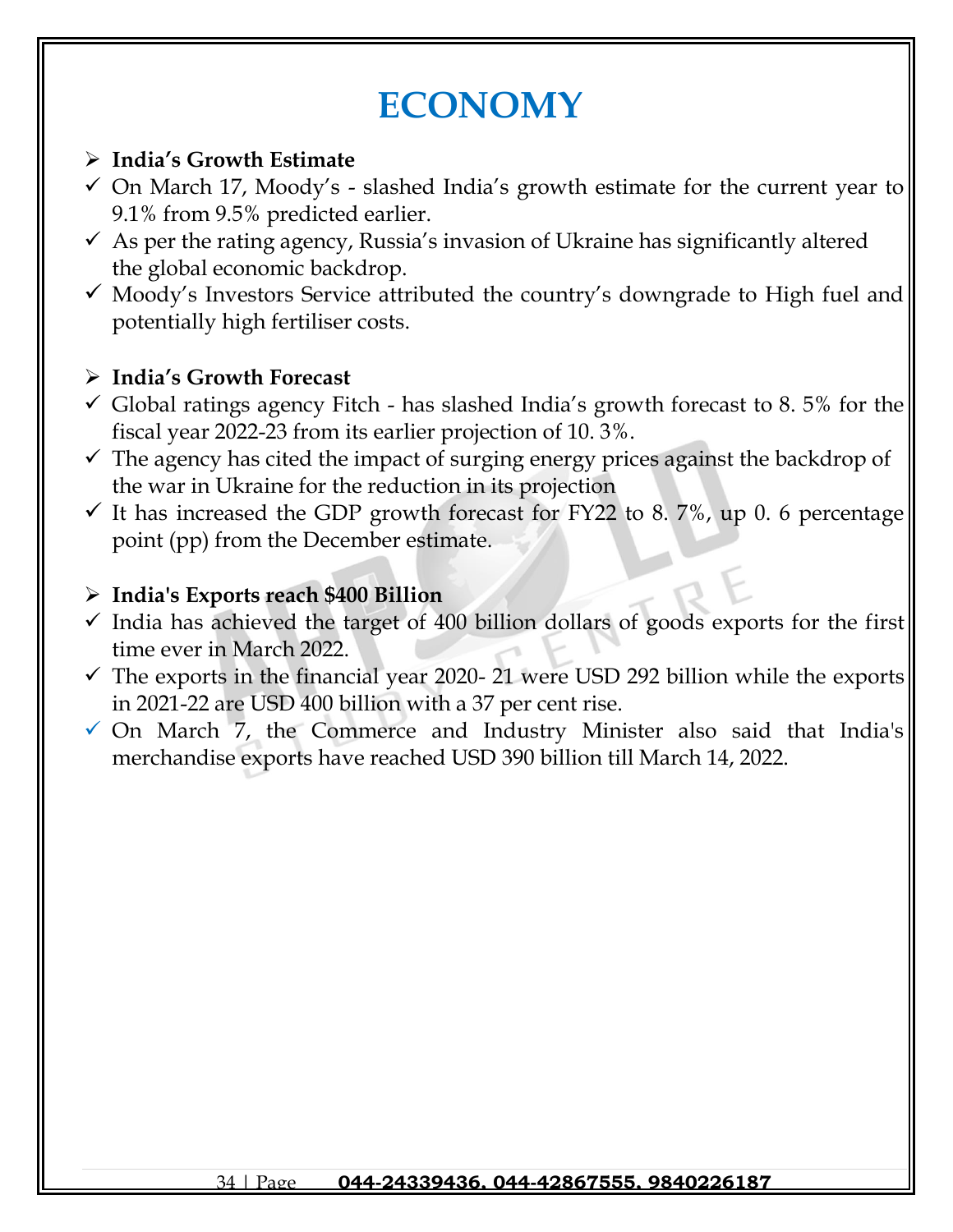# **ECONOMY**

## ➢ **India's Growth Estimate**

- $\checkmark$  On March 17, Moody's slashed India's growth estimate for the current year to 9.1% from 9.5% predicted earlier.
- $\checkmark$  As per the rating agency, Russia's invasion of Ukraine has significantly altered the global economic backdrop.
- $\checkmark$  Moody's Investors Service attributed the country's downgrade to High fuel and potentially high fertiliser costs.

## ➢ **India's Growth Forecast**

- $\checkmark$  Global ratings agency Fitch has slashed India's growth forecast to 8.5% for the fiscal year 2022-23 from its earlier projection of 10. 3%.
- $\checkmark$  The agency has cited the impact of surging energy prices against the backdrop of the war in Ukraine for the reduction in its projection
- $\checkmark$  It has increased the GDP growth forecast for FY22 to 8. 7%, up 0. 6 percentage point (pp) from the December estimate.

## ➢ **India's Exports reach \$400 Billion**

- $\checkmark$  India has achieved the target of 400 billion dollars of goods exports for the first time ever in March 2022.
- $\checkmark$  The exports in the financial year 2020-21 were USD 292 billion while the exports in 2021-22 are USD 400 billion with a 37 per cent rise.
- ✓ On March 7, the Commerce and Industry Minister also said that India's merchandise exports have reached USD 390 billion till March 14, 2022.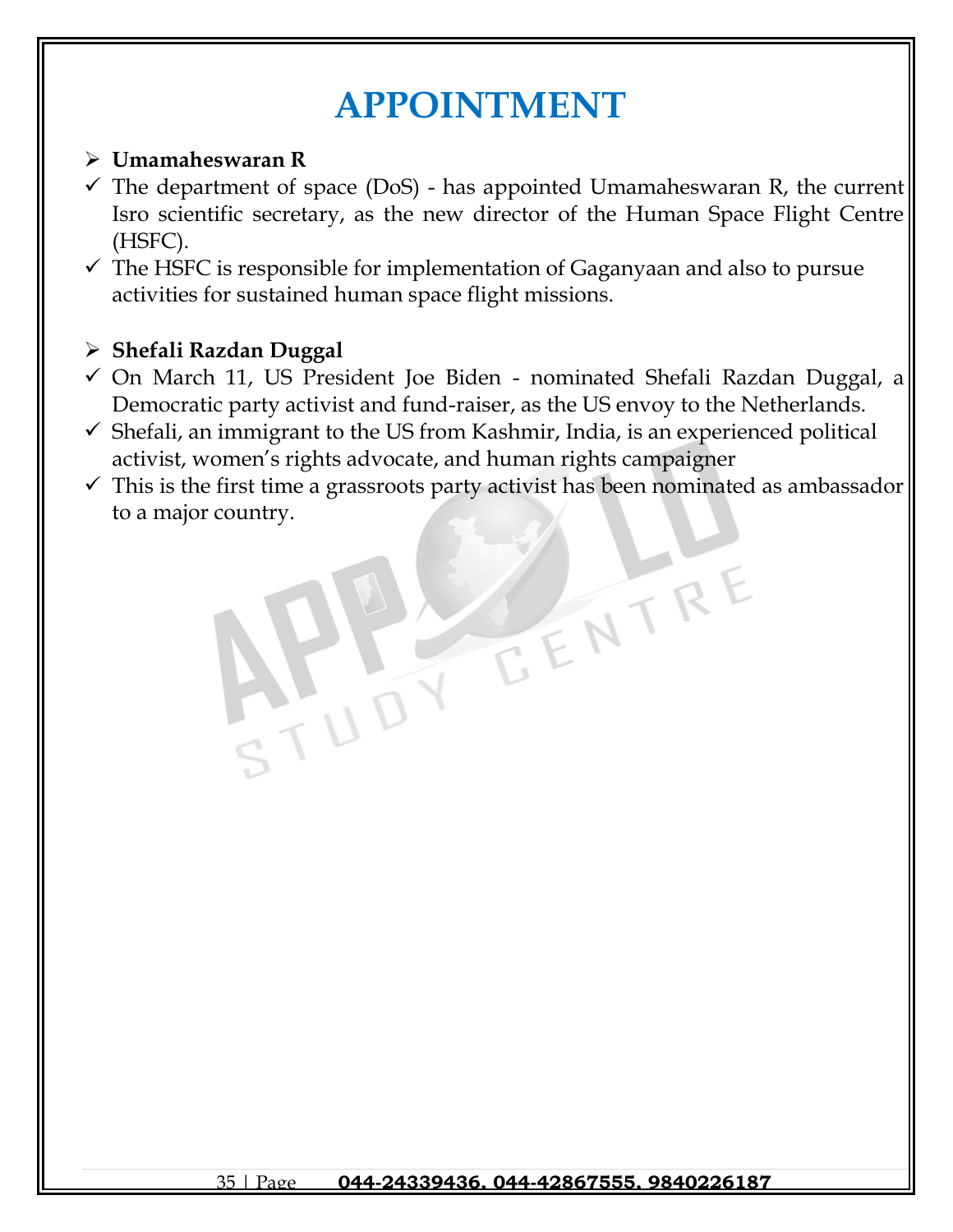# **APPOINTMENT**

## ➢ **Umamaheswaran R**

- $\checkmark$  The department of space (DoS) has appointed Umamaheswaran R, the current Isro scientific secretary, as the new director of the Human Space Flight Centre (HSFC).
- $\checkmark$  The HSFC is responsible for implementation of Gaganyaan and also to pursue activities for sustained human space flight missions.

## ➢ **Shefali Razdan Duggal**

- ✓ On March 11, US President Joe Biden nominated Shefali Razdan Duggal, a Democratic party activist and fund-raiser, as the US envoy to the Netherlands.
- $\checkmark$  Shefali, an immigrant to the US from Kashmir, India, is an experienced political activist, women's rights advocate, and human rights campaigner
- $\checkmark$  This is the first time a grassroots party activist has been nominated as ambassador to a major country.

TENTRE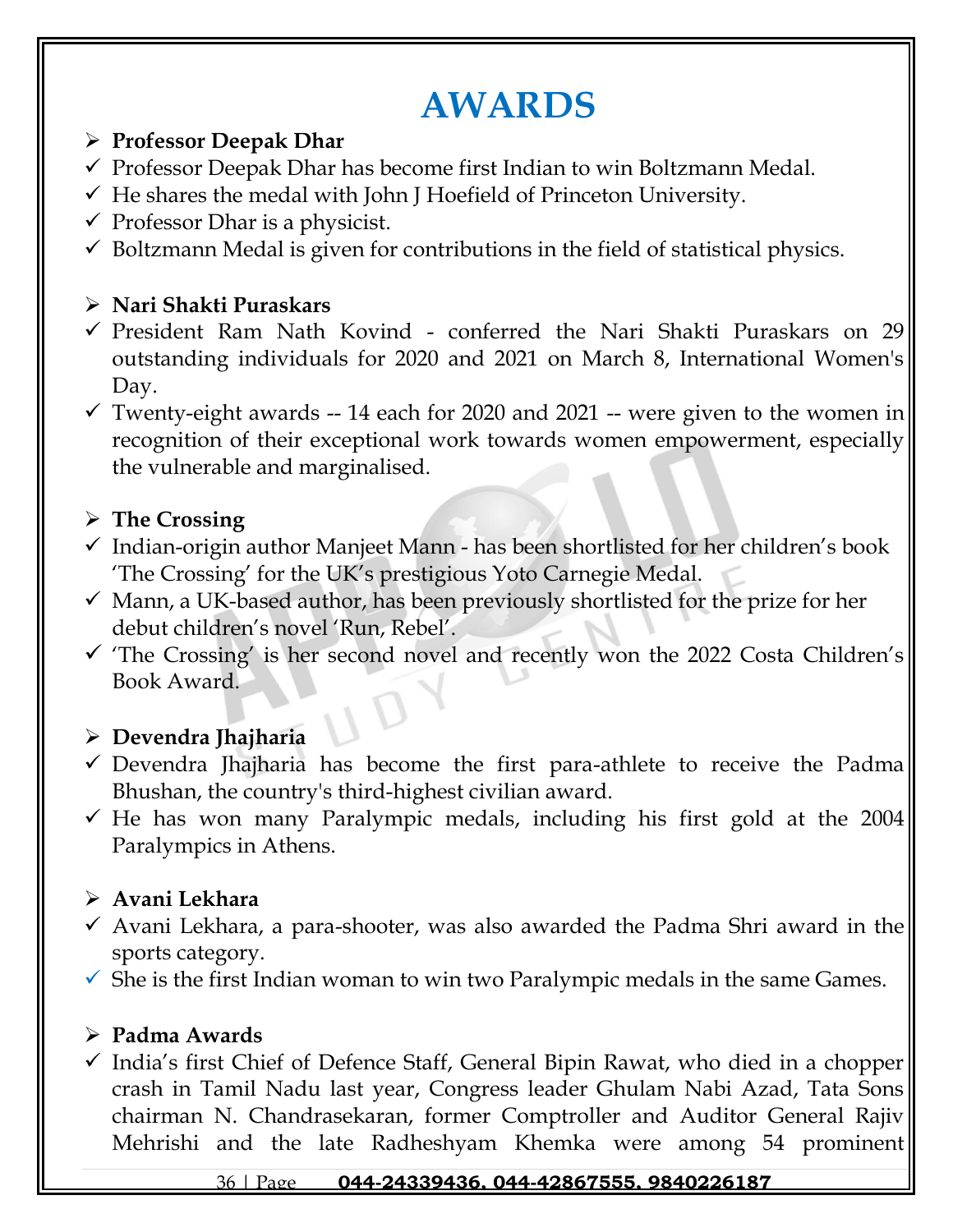# **AWARDS**

### ➢ **Professor Deepak Dhar**

- $\checkmark$  Professor Deepak Dhar has become first Indian to win Boltzmann Medal.
- $\checkmark$  He shares the medal with John J Hoefield of Princeton University.
- $\checkmark$  Professor Dhar is a physicist.
- $\checkmark$  Boltzmann Medal is given for contributions in the field of statistical physics.

## ➢ **Nari Shakti Puraskars**

- ✓ President Ram Nath Kovind conferred the Nari Shakti Puraskars on 29 outstanding individuals for 2020 and 2021 on March 8, International Women's Day.
- $\checkmark$  Twenty-eight awards -- 14 each for 2020 and 2021 -- were given to the women in recognition of their exceptional work towards women empowerment, especially the vulnerable and marginalised.

## ➢ **The Crossing**

- $\checkmark$  Indian-origin author Manjeet Mann has been shortlisted for her children's book 'The Crossing' for the UK's prestigious Yoto Carnegie Medal.
- $\checkmark$  Mann, a UK-based author, has been previously shortlisted for the prize for her debut children's novel 'Run, Rebel'.
- ✓ 'The Crossing' is her second novel and recently won the 2022 Costa Children's Book Award.

## ➢ **Devendra Jhajharia**

- ✓ Devendra Jhajharia has become the first para-athlete to receive the Padma Bhushan, the country's third-highest civilian award.
- $\checkmark$  He has won many Paralympic medals, including his first gold at the 2004 Paralympics in Athens.

# ➢ **Avani Lekhara**

- $\checkmark$  Avani Lekhara, a para-shooter, was also awarded the Padma Shri award in the sports category.
- $\checkmark$  She is the first Indian woman to win two Paralympic medals in the same Games.

## ➢ **Padma Awards**

✓ India's first Chief of Defence Staff, General Bipin Rawat, who died in a chopper crash in Tamil Nadu last year, Congress leader Ghulam Nabi Azad, Tata Sons chairman N. Chandrasekaran, former Comptroller and Auditor General Rajiv Mehrishi and the late Radheshyam Khemka were among 54 prominent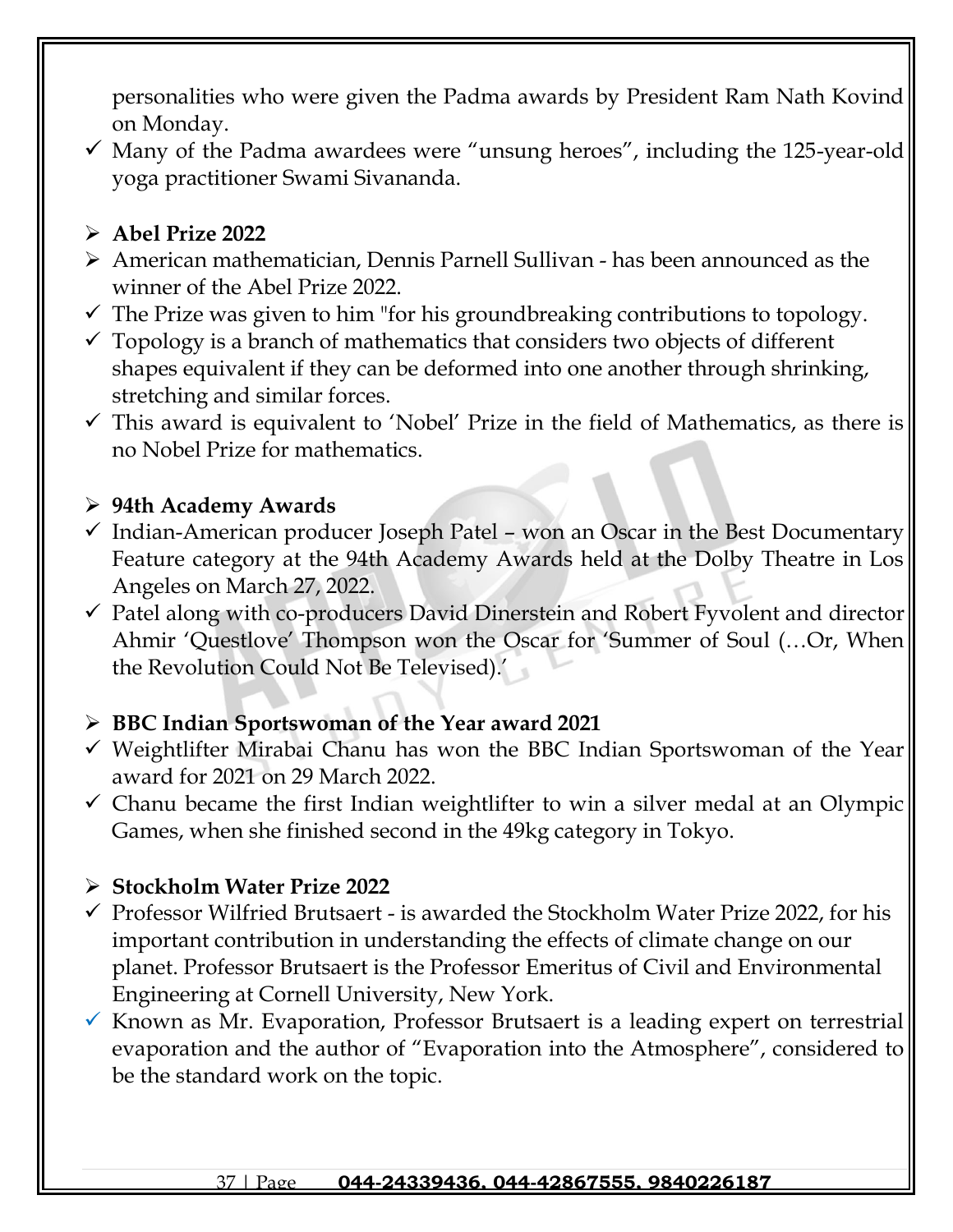personalities who were given the Padma awards by President Ram Nath Kovind on Monday.

 $\checkmark$  Many of the Padma awardees were "unsung heroes", including the 125-year-old yoga practitioner Swami Sivananda.

## ➢ **Abel Prize 2022**

- ➢ American mathematician, Dennis Parnell Sullivan has been announced as the winner of the Abel Prize 2022.
- $\checkmark$  The Prize was given to him "for his groundbreaking contributions to topology.
- $\checkmark$  Topology is a branch of mathematics that considers two objects of different shapes equivalent if they can be deformed into one another through shrinking, stretching and similar forces.
- $\checkmark$  This award is equivalent to 'Nobel' Prize in the field of Mathematics, as there is no Nobel Prize for mathematics.

## ➢ **94th Academy Awards**

- $\checkmark$  Indian-American producer Joseph Patel won an Oscar in the Best Documentary Feature category at the 94th Academy Awards held at the Dolby Theatre in Los Angeles on March 27, 2022.
- ✓ Patel along with co-producers David Dinerstein and Robert Fyvolent and director Ahmir 'Questlove' Thompson won the Oscar for 'Summer of Soul (…Or, When the Revolution Could Not Be Televised).'

## ➢ **BBC Indian Sportswoman of the Year award 2021**

- ✓ Weightlifter Mirabai Chanu has won the BBC Indian Sportswoman of the Year award for 2021 on 29 March 2022.
- $\checkmark$  Chanu became the first Indian weightlifter to win a silver medal at an Olympic Games, when she finished second in the 49kg category in Tokyo.

## ➢ **Stockholm Water Prize 2022**

- ✓ Professor Wilfried Brutsaert is awarded the Stockholm Water Prize 2022, for his important contribution in understanding the effects of climate change on our planet. Professor Brutsaert is the Professor Emeritus of Civil and Environmental Engineering at Cornell University, New York.
- $\checkmark$  Known as Mr. Evaporation, Professor Brutsaert is a leading expert on terrestrial evaporation and the author of "Evaporation into the Atmosphere", considered to be the standard work on the topic.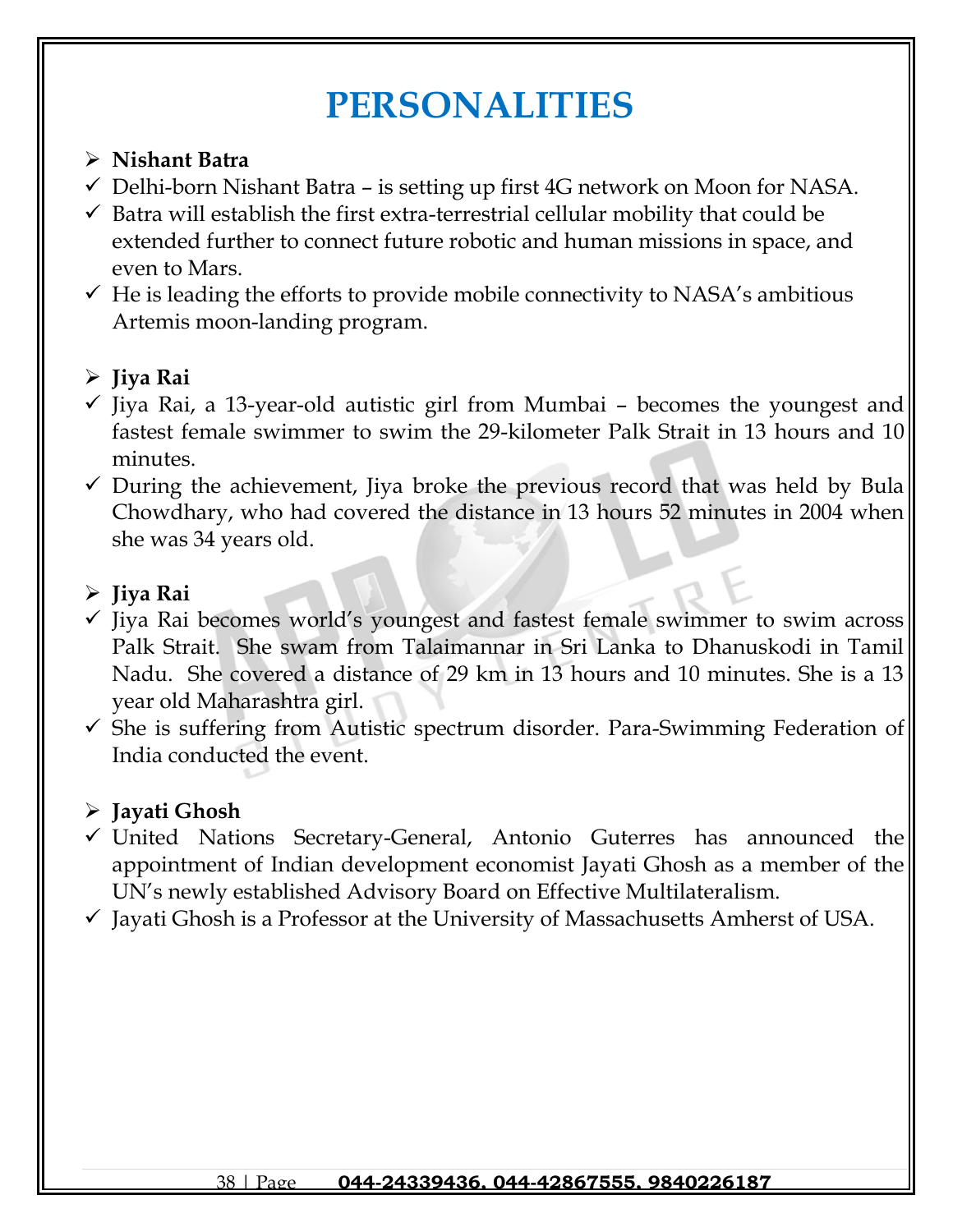# **PERSONALITIES**

## ➢ **Nishant Batra**

- $\checkmark$  Delhi-born Nishant Batra is setting up first 4G network on Moon for NASA.
- $\checkmark$  Batra will establish the first extra-terrestrial cellular mobility that could be extended further to connect future robotic and human missions in space, and even to Mars.
- $\checkmark$  He is leading the efforts to provide mobile connectivity to NASA's ambitious Artemis moon-landing program.

## ➢ **Jiya Rai**

- $\checkmark$  Jiya Rai, a 13-year-old autistic girl from Mumbai becomes the youngest and fastest female swimmer to swim the 29-kilometer Palk Strait in 13 hours and 10 minutes.
- $\checkmark$  During the achievement, Jiya broke the previous record that was held by Bula Chowdhary, who had covered the distance in 13 hours 52 minutes in 2004 when she was 34 years old.

# ➢ **Jiya Rai**

- ✓ Jiya Rai becomes world's youngest and fastest female swimmer to swim across Palk Strait. She swam from Talaimannar in Sri Lanka to Dhanuskodi in Tamil Nadu. She covered a distance of 29 km in 13 hours and 10 minutes. She is a 13 year old Maharashtra girl.
- $\checkmark$  She is suffering from Autistic spectrum disorder. Para-Swimming Federation of India conducted the event.

# ➢ **Jayati Ghosh**

- ✓ United Nations Secretary-General, Antonio Guterres has announced the appointment of Indian development economist Jayati Ghosh as a member of the UN's newly established Advisory Board on Effective Multilateralism.
- $\checkmark$  Jayati Ghosh is a Professor at the University of Massachusetts Amherst of USA.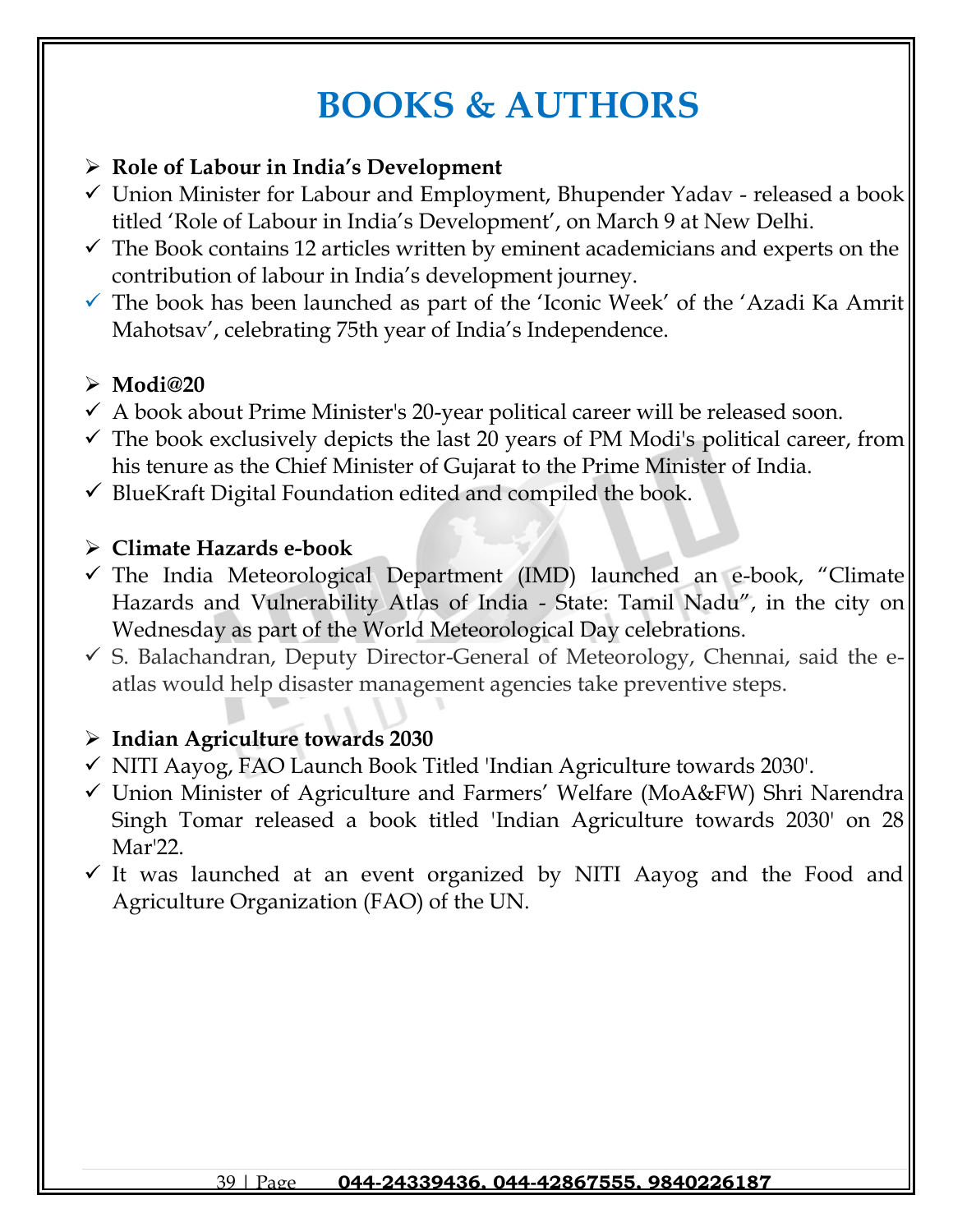# **BOOKS & AUTHORS**

## ➢ **Role of Labour in India's Development**

- ✓ Union Minister for Labour and Employment, Bhupender Yadav released a book titled 'Role of Labour in India's Development', on March 9 at New Delhi.
- $\checkmark$  The Book contains 12 articles written by eminent academicians and experts on the contribution of labour in India's development journey.
- $\checkmark$  The book has been launched as part of the 'Iconic Week' of the 'Azadi Ka Amrit Mahotsav', celebrating 75th year of India's Independence.

## ➢ **Modi@20**

- $\checkmark$  A book about Prime Minister's 20-year political career will be released soon.
- $\checkmark$  The book exclusively depicts the last 20 years of PM Modi's political career, from his tenure as the Chief Minister of Gujarat to the Prime Minister of India.
- $\checkmark$  BlueKraft Digital Foundation edited and compiled the book.

### ➢ **Climate Hazards e-book**

- ✓ The India Meteorological Department (IMD) launched an e-book, "Climate Hazards and Vulnerability Atlas of India - State: Tamil Nadu", in the city on Wednesday as part of the World Meteorological Day celebrations.
- $\checkmark$  S. Balachandran, Deputy Director-General of Meteorology, Chennai, said the eatlas would help disaster management agencies take preventive steps.

## ➢ **Indian Agriculture towards 2030**

- ✓ NITI Aayog, FAO Launch Book Titled 'Indian Agriculture towards 2030'.
- ✓ Union Minister of Agriculture and Farmers' Welfare (MoA&FW) Shri Narendra Singh Tomar released a book titled 'Indian Agriculture towards 2030' on 28 Mar'22.
- $\checkmark$  It was launched at an event organized by NITI Aayog and the Food and Agriculture Organization (FAO) of the UN.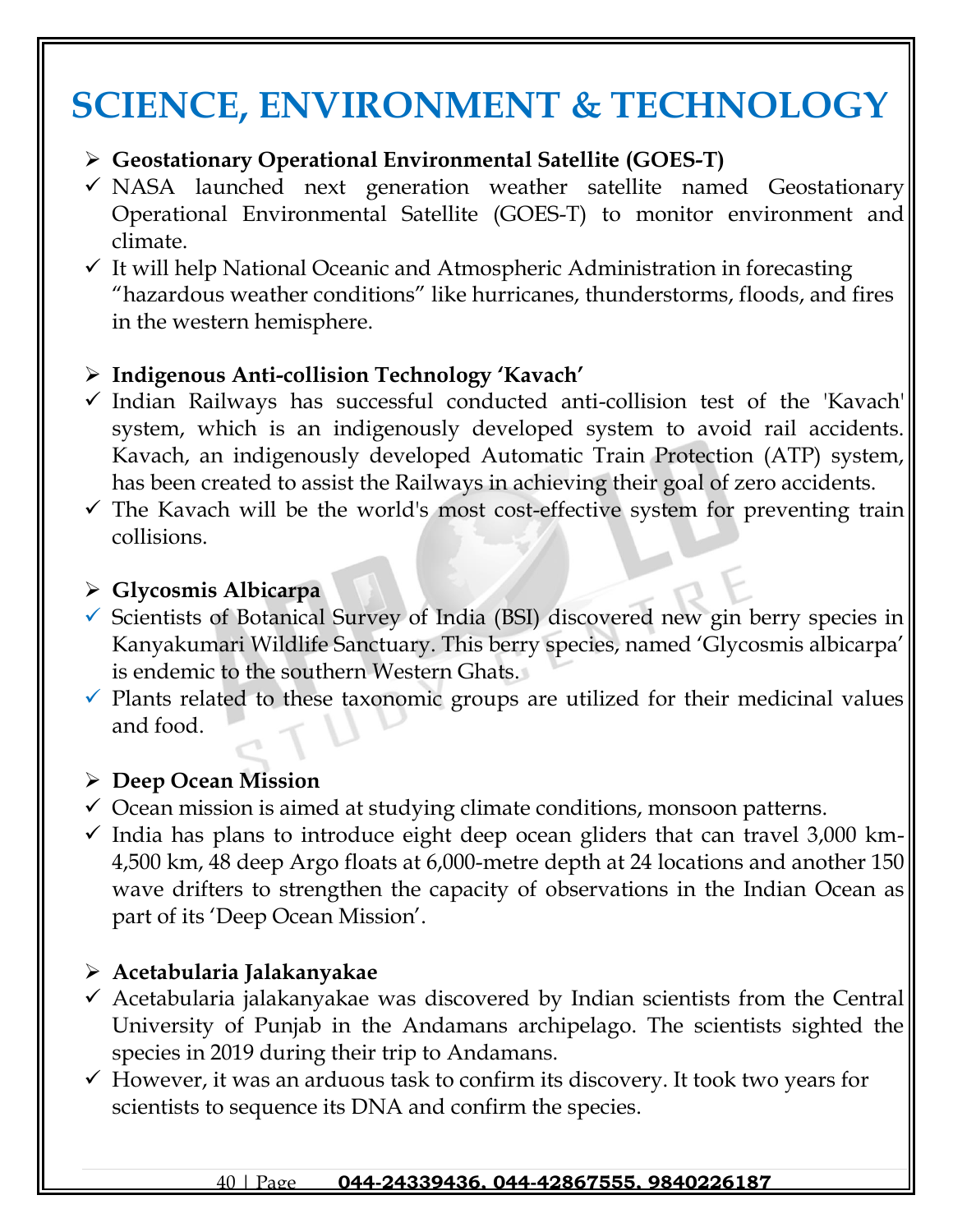# **SCIENCE, ENVIRONMENT & TECHNOLOGY**

## ➢ **Geostationary Operational Environmental Satellite (GOES-T)**

- $\checkmark$  NASA launched next generation weather satellite named Geostationary Operational Environmental Satellite (GOES-T) to monitor environment and climate.
- $\checkmark$  It will help National Oceanic and Atmospheric Administration in forecasting "hazardous weather conditions" like hurricanes, thunderstorms, floods, and fires in the western hemisphere.

## ➢ **Indigenous Anti-collision Technology 'Kavach'**

- ✓ Indian Railways has successful conducted anti-collision test of the 'Kavach' system, which is an indigenously developed system to avoid rail accidents. Kavach, an indigenously developed Automatic Train Protection (ATP) system, has been created to assist the Railways in achieving their goal of zero accidents.
- $\checkmark$  The Kavach will be the world's most cost-effective system for preventing train collisions.

### ➢ **Glycosmis Albicarpa**

- ✓ Scientists of Botanical Survey of India (BSI) discovered new gin berry species in Kanyakumari Wildlife Sanctuary. This berry species, named 'Glycosmis albicarpa' is endemic to the southern Western Ghats.
- $\checkmark$  Plants related to these taxonomic groups are utilized for their medicinal values and food.

## ➢ **Deep Ocean Mission**

- $\checkmark$  Ocean mission is aimed at studying climate conditions, monsoon patterns.
- $\checkmark$  India has plans to introduce eight deep ocean gliders that can travel 3,000 km-4,500 km, 48 deep Argo floats at 6,000-metre depth at 24 locations and another 150 wave drifters to strengthen the capacity of observations in the Indian Ocean as part of its 'Deep Ocean Mission'.

## ➢ **Acetabularia Jalakanyakae**

- $\checkmark$  Acetabularia jalakanyakae was discovered by Indian scientists from the Central University of Punjab in the Andamans archipelago. The scientists sighted the species in 2019 during their trip to Andamans.
- $\checkmark$  However, it was an arduous task to confirm its discovery. It took two years for scientists to sequence its DNA and confirm the species.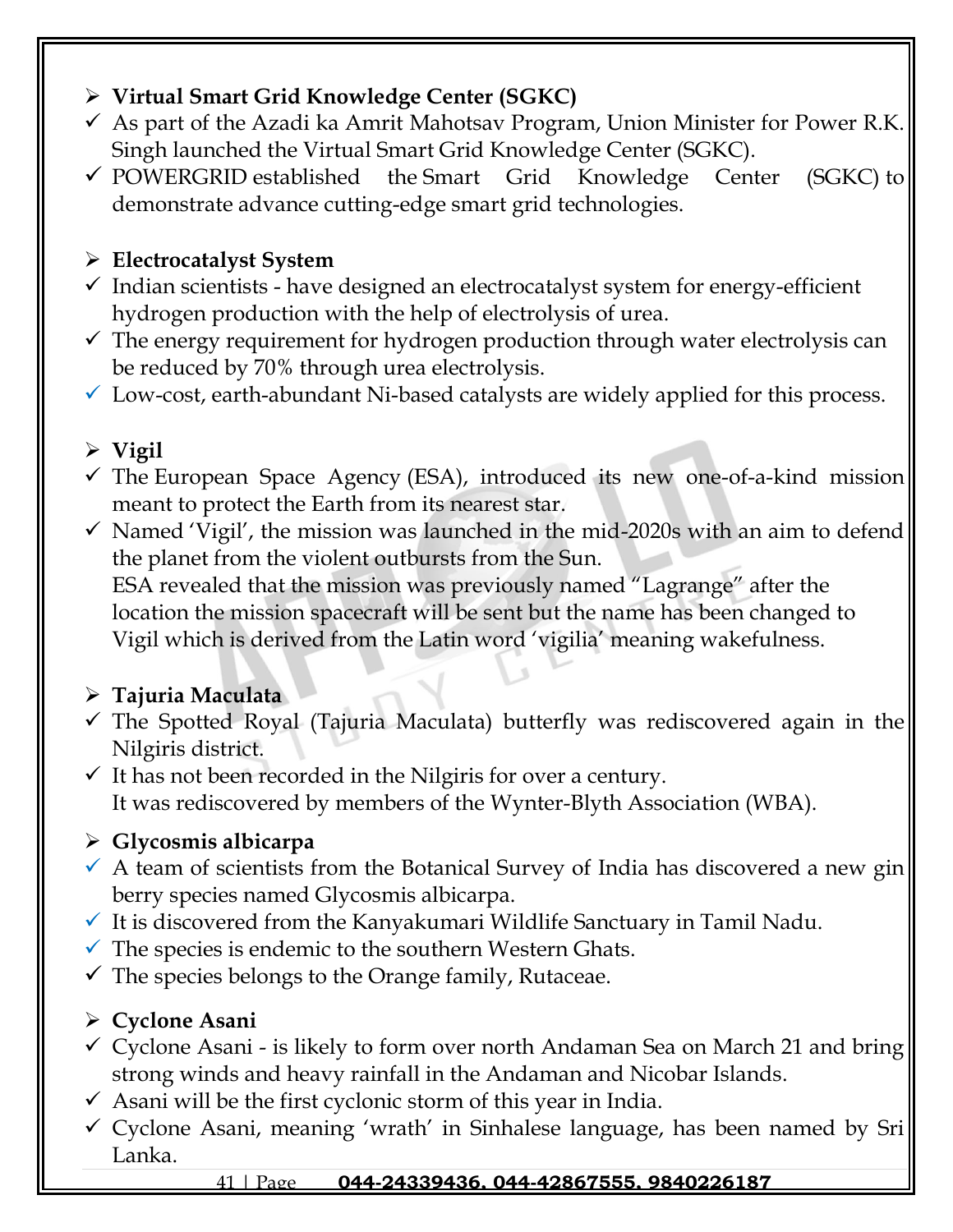# ➢ **Virtual Smart Grid Knowledge Center (SGKC)**

- $\checkmark$  As part of the Azadi ka Amrit Mahotsav Program, Union Minister for Power R.K. Singh launched the Virtual Smart Grid Knowledge Center (SGKC).
- ✓ POWERGRID established the Smart Grid Knowledge Center (SGKC) to demonstrate advance cutting-edge smart grid technologies.

# ➢ **Electrocatalyst System**

- $\checkmark$  Indian scientists have designed an electrocatalyst system for energy-efficient hydrogen production with the help of electrolysis of urea.
- $\checkmark$  The energy requirement for hydrogen production through water electrolysis can be reduced by 70% through urea electrolysis.
- $\checkmark$  Low-cost, earth-abundant Ni-based catalysts are widely applied for this process.

# ➢ **Vigil**

- $\checkmark$  The European Space Agency (ESA), introduced its new one-of-a-kind mission meant to protect the Earth from its nearest star.
- $\checkmark$  Named 'Vigil', the mission was launched in the mid-2020s with an aim to defend the planet from the violent outbursts from the Sun. ESA revealed that the mission was previously named "Lagrange" after the location the mission spacecraft will be sent but the name has been changed to Vigil which is derived from the Latin word 'vigilia' meaning wakefulness.

# ➢ **Tajuria Maculata**

- ✓ The Spotted Royal (Tajuria Maculata) butterfly was rediscovered again in the Nilgiris district.
- $\checkmark$  It has not been recorded in the Nilgiris for over a century. It was rediscovered by members of the Wynter-Blyth Association (WBA).

# ➢ **Glycosmis albicarpa**

- $\checkmark$  A team of scientists from the Botanical Survey of India has discovered a new gin berry species named Glycosmis albicarpa.
- $\checkmark$  It is discovered from the Kanyakumari Wildlife Sanctuary in Tamil Nadu.
- $\checkmark$  The species is endemic to the southern Western Ghats.
- $\checkmark$  The species belongs to the Orange family, Rutaceae.

# ➢ **Cyclone Asani**

- $\checkmark$  Cyclone Asani is likely to form over north Andaman Sea on March 21 and bring strong winds and heavy rainfall in the Andaman and Nicobar Islands.
- $\checkmark$  Asani will be the first cyclonic storm of this year in India.
- ✓ Cyclone Asani, meaning 'wrath' in Sinhalese language, has been named by Sri Lanka.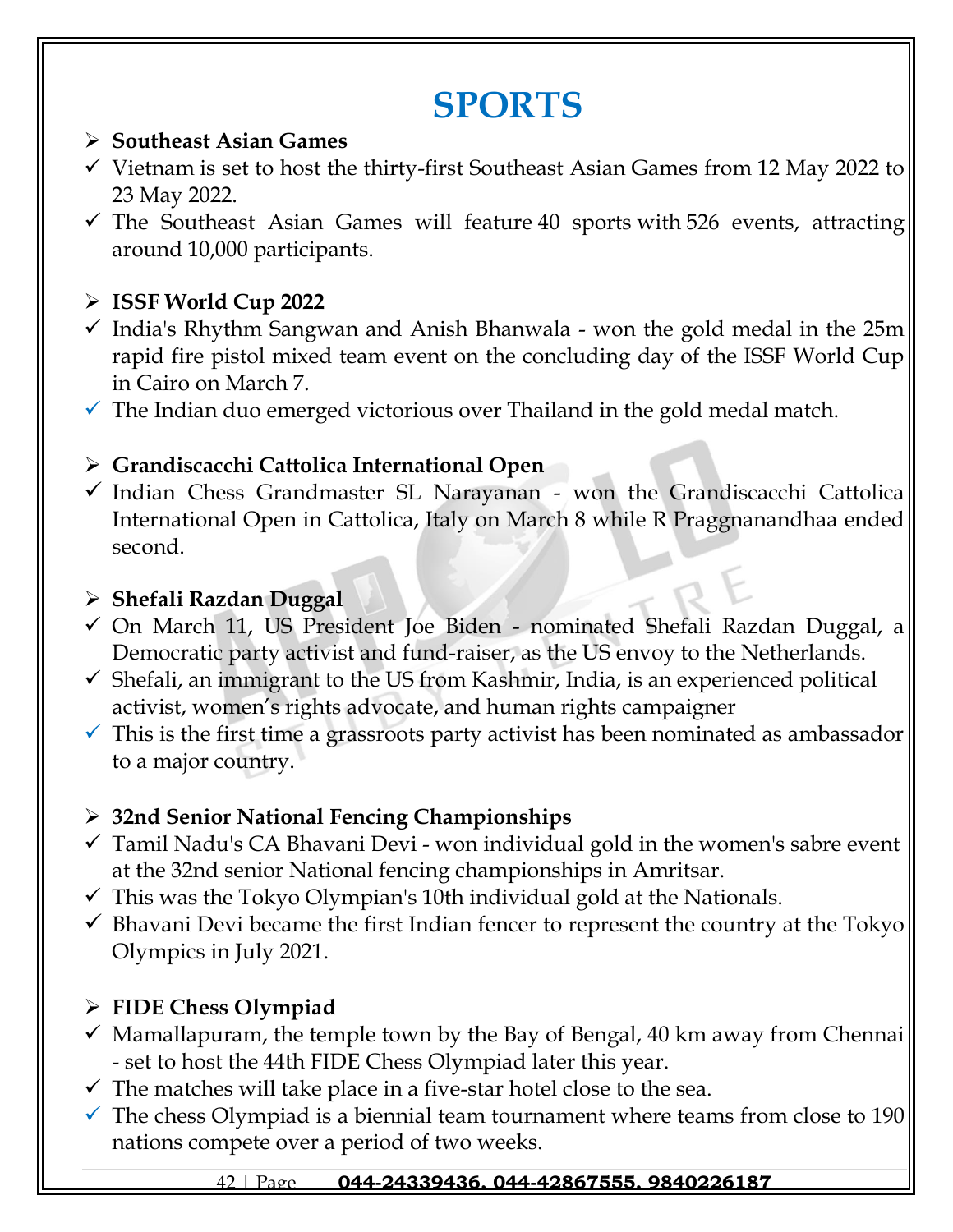# **SPORTS**

### ➢ **Southeast Asian Games**

- ✓ Vietnam is set to host the thirty-first Southeast Asian Games from 12 May 2022 to 23 May 2022.
- $\checkmark$  The Southeast Asian Games will feature 40 sports with 526 events, attracting around 10,000 participants.

## ➢ **ISSF World Cup 2022**

✓ India's Rhythm Sangwan and Anish Bhanwala - won the gold medal in the 25m rapid fire pistol mixed team event on the concluding day of the ISSF World Cup in Cairo on March 7.

 $\checkmark$  The Indian duo emerged victorious over Thailand in the gold medal match.

## ➢ **Grandiscacchi Cattolica International Open**

✓ Indian Chess Grandmaster SL Narayanan - won the Grandiscacchi Cattolica International Open in Cattolica, Italy on March 8 while R Praggnanandhaa ended second.

## ➢ **Shefali Razdan Duggal**

- ✓ On March 11, US President Joe Biden nominated Shefali Razdan Duggal, a Democratic party activist and fund-raiser, as the US envoy to the Netherlands.
- $\checkmark$  Shefali, an immigrant to the US from Kashmir, India, is an experienced political activist, women's rights advocate, and human rights campaigner
- $\checkmark$  This is the first time a grassroots party activist has been nominated as ambassador to a major country.

## ➢ **32nd Senior National Fencing Championships**

- $\checkmark$  Tamil Nadu's CA Bhavani Devi won individual gold in the women's sabre event at the 32nd senior National fencing championships in Amritsar.
- $\checkmark$  This was the Tokyo Olympian's 10th individual gold at the Nationals.
- $\checkmark$  Bhavani Devi became the first Indian fencer to represent the country at the Tokyo Olympics in July 2021.

# ➢ **FIDE Chess Olympiad**

- $\checkmark$  Mamallapuram, the temple town by the Bay of Bengal, 40 km away from Chennai - set to host the 44th FIDE Chess Olympiad later this year.
- $\checkmark$  The matches will take place in a five-star hotel close to the sea.
- $\checkmark$  The chess Olympiad is a biennial team tournament where teams from close to 190 nations compete over a period of two weeks.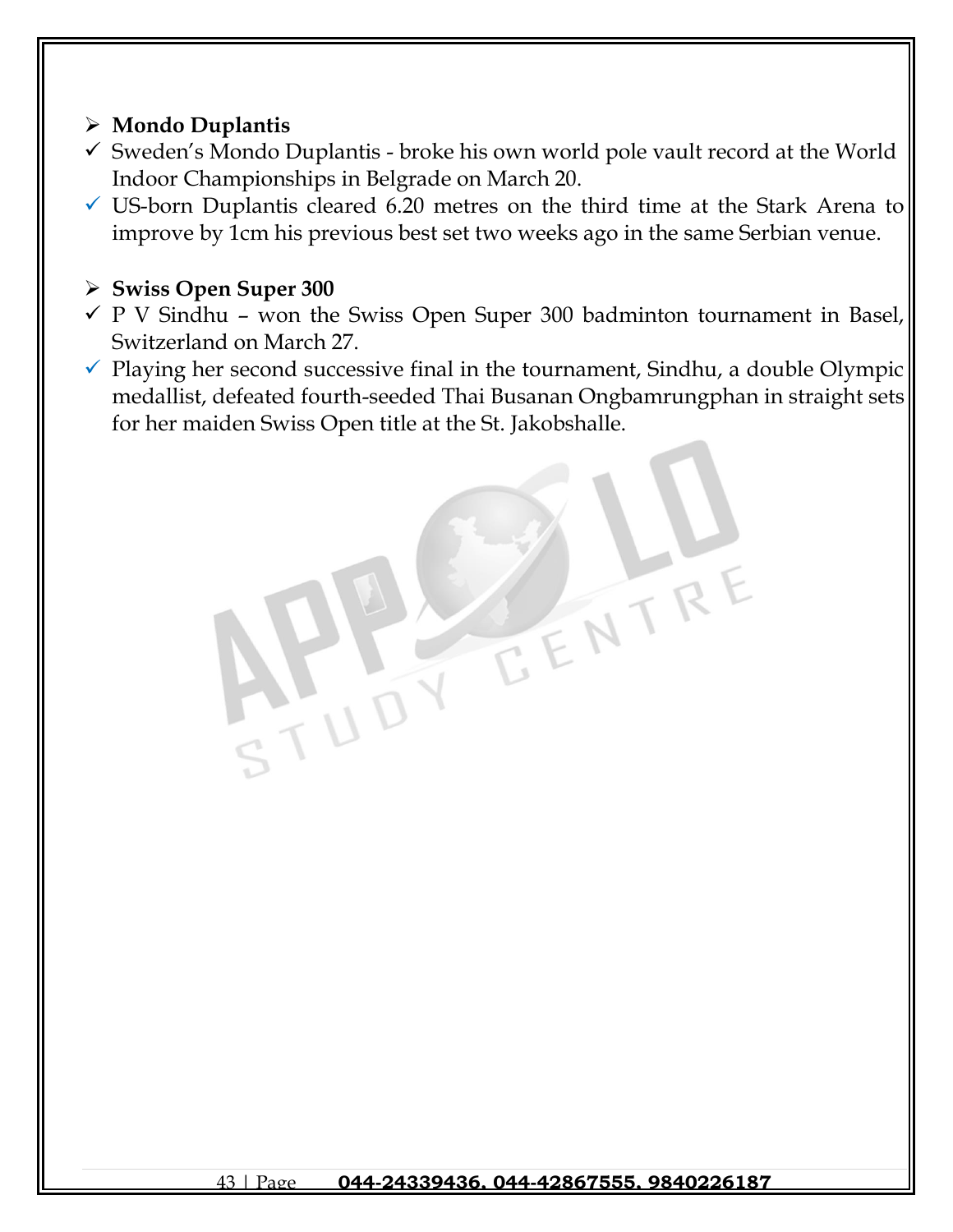## ➢ **Mondo Duplantis**

- ✓ Sweden's Mondo Duplantis broke his own world pole vault record at the World Indoor Championships in Belgrade on March 20.
- $\checkmark$  US-born Duplantis cleared 6.20 metres on the third time at the Stark Arena to improve by 1cm his previous best set two weeks ago in the same Serbian venue.

## ➢ **Swiss Open Super 300**

- $\checkmark$  P V Sindhu won the Swiss Open Super 300 badminton tournament in Basel, Switzerland on March 27.
- $\checkmark$  Playing her second successive final in the tournament, Sindhu, a double Olympic medallist, defeated fourth-seeded Thai Busanan Ongbamrungphan in straight sets for her maiden Swiss Open title at the St. Jakobshalle.

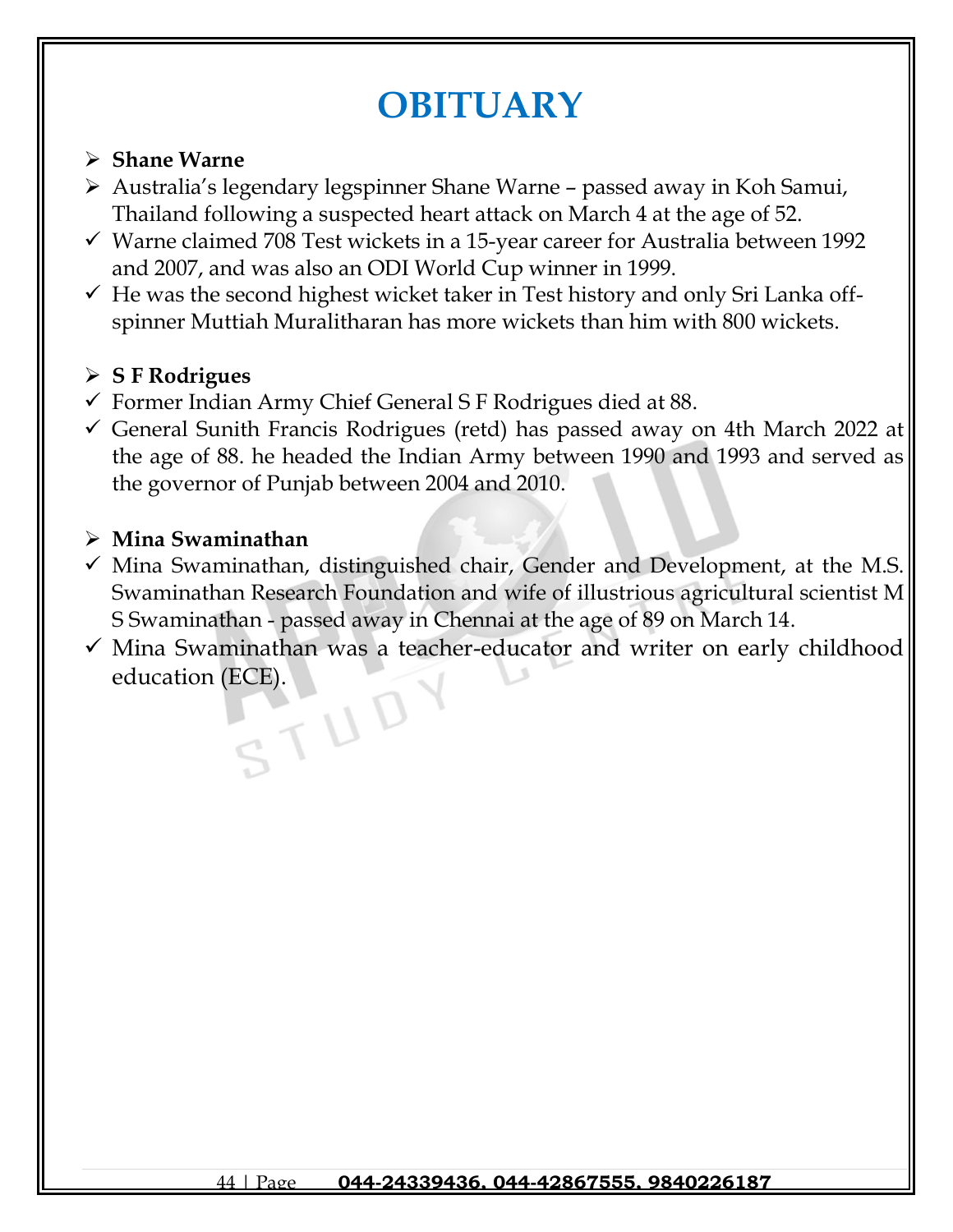# **OBITUARY**

### ➢ **Shane Warne**

- ➢ Australia's legendary legspinner Shane Warne passed away in Koh Samui, Thailand following a suspected heart attack on March 4 at the age of 52.
- $\checkmark$  Warne claimed 708 Test wickets in a 15-year career for Australia between 1992 and 2007, and was also an ODI World Cup winner in 1999.
- $\checkmark$  He was the second highest wicket taker in Test history and only Sri Lanka offspinner Muttiah Muralitharan has more wickets than him with 800 wickets.

## ➢ **S F Rodrigues**

- $\checkmark$  Former Indian Army Chief General S F Rodrigues died at 88.
- ✓ General Sunith Francis Rodrigues (retd) has passed away on 4th March 2022 at the age of 88. he headed the Indian Army between 1990 and 1993 and served as the governor of Punjab between 2004 and 2010.

### ➢ **Mina Swaminathan**

- $\checkmark$  Mina Swaminathan, distinguished chair, Gender and Development, at the M.S. Swaminathan Research Foundation and wife of illustrious agricultural scientist M S Swaminathan - passed away in Chennai at the age of 89 on March 14.
- $\checkmark$  Mina Swaminathan was a teacher-educator and writer on early childhood education (ECE).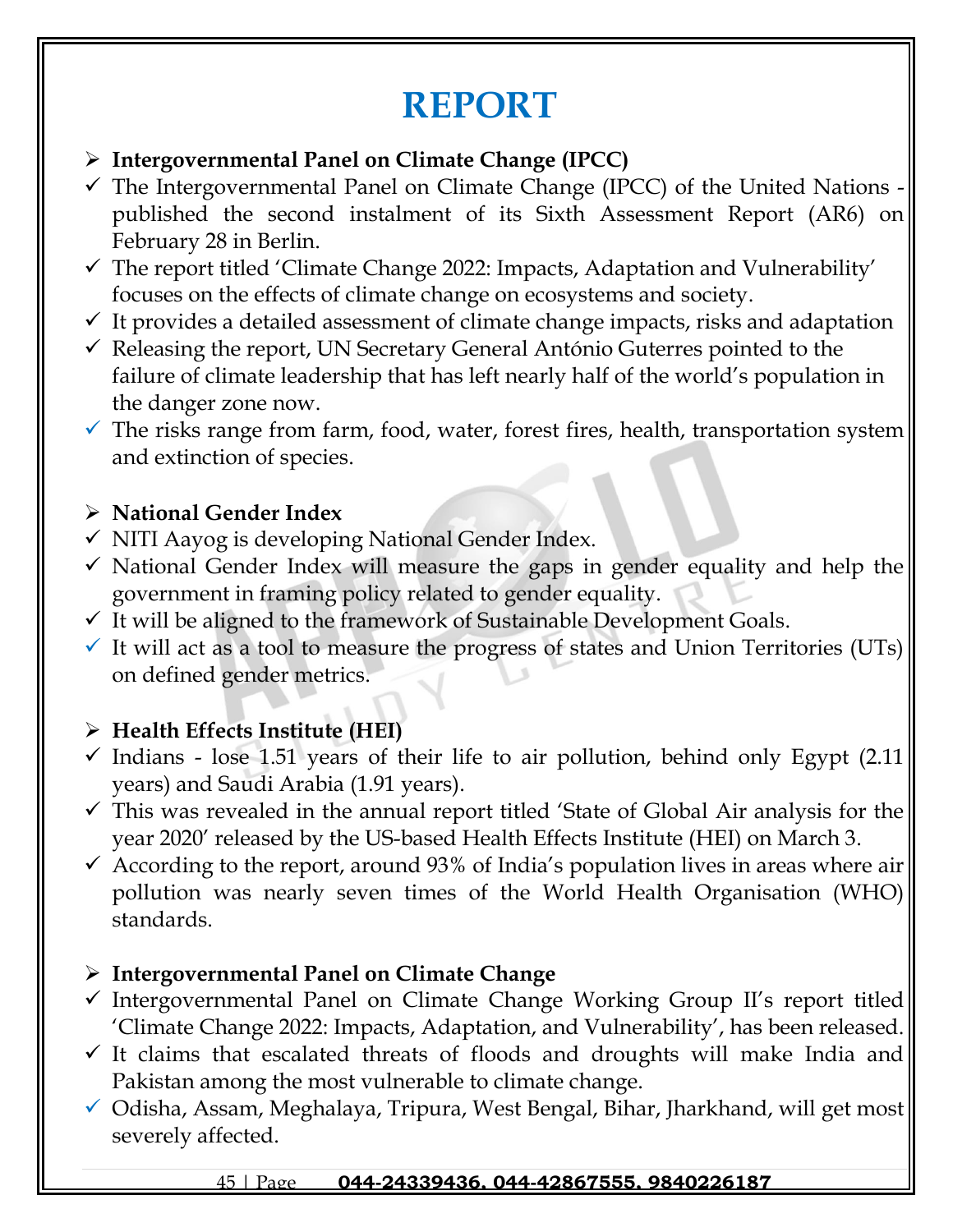# **REPORT**

## ➢ **Intergovernmental Panel on Climate Change (IPCC)**

- $\checkmark$  The Intergovernmental Panel on Climate Change (IPCC) of the United Nations  $\checkmark$ published the second instalment of its Sixth Assessment Report (AR6) on February 28 in Berlin.
- $\checkmark$  The report titled 'Climate Change 2022: Impacts, Adaptation and Vulnerability' focuses on the effects of climate change on ecosystems and society.
- $\checkmark$  It provides a detailed assessment of climate change impacts, risks and adaptation
- $\checkmark$  Releasing the report, UN Secretary General António Guterres pointed to the failure of climate leadership that has left nearly half of the world's population in the danger zone now.
- $\checkmark$  The risks range from farm, food, water, forest fires, health, transportation system and extinction of species.

## ➢ **National Gender Index**

- $\checkmark$  NITI Aayog is developing National Gender Index.
- $\checkmark$  National Gender Index will measure the gaps in gender equality and help the government in framing policy related to gender equality.
- $\checkmark$  It will be aligned to the framework of Sustainable Development Goals.
- $\checkmark$  It will act as a tool to measure the progress of states and Union Territories (UTs) on defined gender metrics.

## ➢ **Health Effects Institute (HEI)**

- $\checkmark$  Indians lose 1.51 years of their life to air pollution, behind only Egypt (2.11) years) and Saudi Arabia (1.91 years).
- $\checkmark$  This was revealed in the annual report titled 'State of Global Air analysis for the year 2020' released by the US-based Health Effects Institute (HEI) on March 3.
- $\checkmark$  According to the report, around 93% of India's population lives in areas where air pollution was nearly seven times of the World Health Organisation (WHO) standards.

## ➢ **Intergovernmental Panel on Climate Change**

- ✓ Intergovernmental Panel on Climate Change Working Group II's report titled 'Climate Change 2022: Impacts, Adaptation, and Vulnerability', has been released.
- $\checkmark$  It claims that escalated threats of floods and droughts will make India and Pakistan among the most vulnerable to climate change.
- ✓ Odisha, Assam, Meghalaya, Tripura, West Bengal, Bihar, Jharkhand, will get most severely affected.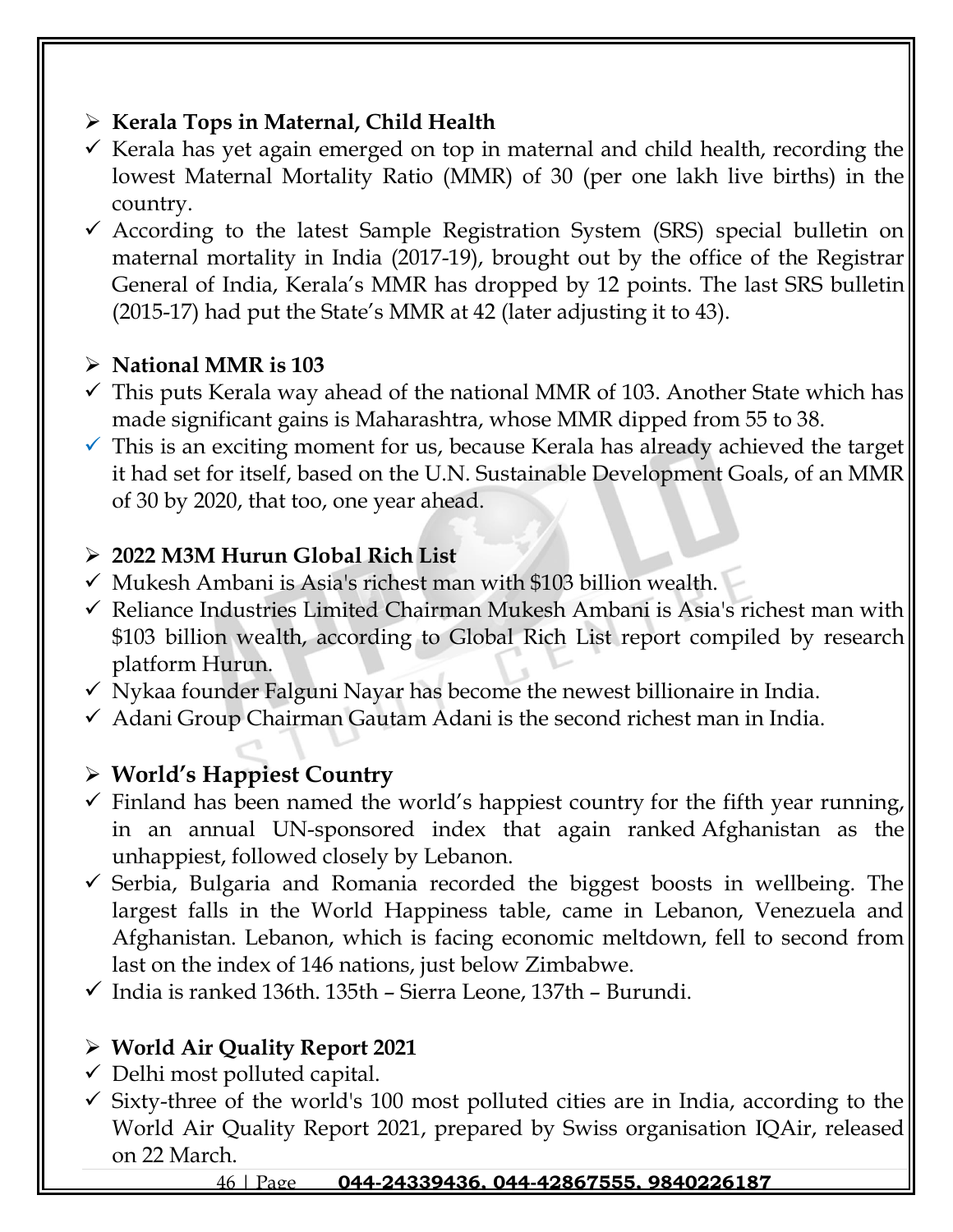## ➢ **Kerala Tops in Maternal, Child Health**

- $\checkmark$  Kerala has yet again emerged on top in maternal and child health, recording the lowest Maternal Mortality Ratio (MMR) of 30 (per one lakh live births) in the country.
- $\checkmark$  According to the latest Sample Registration System (SRS) special bulletin on maternal mortality in India (2017-19), brought out by the office of the Registrar General of India, Kerala's MMR has dropped by 12 points. The last SRS bulletin (2015-17) had put the State's MMR at 42 (later adjusting it to 43).

## ➢ **National MMR is 103**

- $\checkmark$  This puts Kerala way ahead of the national MMR of 103. Another State which has made significant gains is Maharashtra, whose MMR dipped from 55 to 38.
- $\checkmark$  This is an exciting moment for us, because Kerala has already achieved the target it had set for itself, based on the U.N. Sustainable Development Goals, of an MMR of 30 by 2020, that too, one year ahead.

## ➢ **2022 M3M Hurun Global Rich List**

- $\checkmark$  Mukesh Ambani is Asia's richest man with \$103 billion wealth.
- ✓ Reliance Industries Limited Chairman Mukesh Ambani is Asia's richest man with \$103 billion wealth, according to Global Rich List report compiled by research platform Hurun.
- $\checkmark$  Nykaa founder Falguni Nayar has become the newest billionaire in India.
- $\checkmark$  Adani Group Chairman Gautam Adani is the second richest man in India.

# ➢ **World's Happiest Country**

- $\checkmark$  Finland has been named the world's happiest country for the fifth year running, in an annual UN-sponsored index that again ranked Afghanistan as the unhappiest, followed closely by Lebanon.
- $\checkmark$  Serbia, Bulgaria and Romania recorded the biggest boosts in wellbeing. The largest falls in the World Happiness table, came in Lebanon, Venezuela and Afghanistan. Lebanon, which is facing economic meltdown, fell to second from last on the index of 146 nations, just below Zimbabwe.
- ✓ India is ranked 136th. 135th Sierra Leone, 137th Burundi.

## ➢ **World Air Quality Report 2021**

- $\checkmark$  Delhi most polluted capital.
- $\checkmark$  Sixty-three of the world's 100 most polluted cities are in India, according to the World Air Quality Report 2021, prepared by Swiss organisation IQAir, released on 22 March.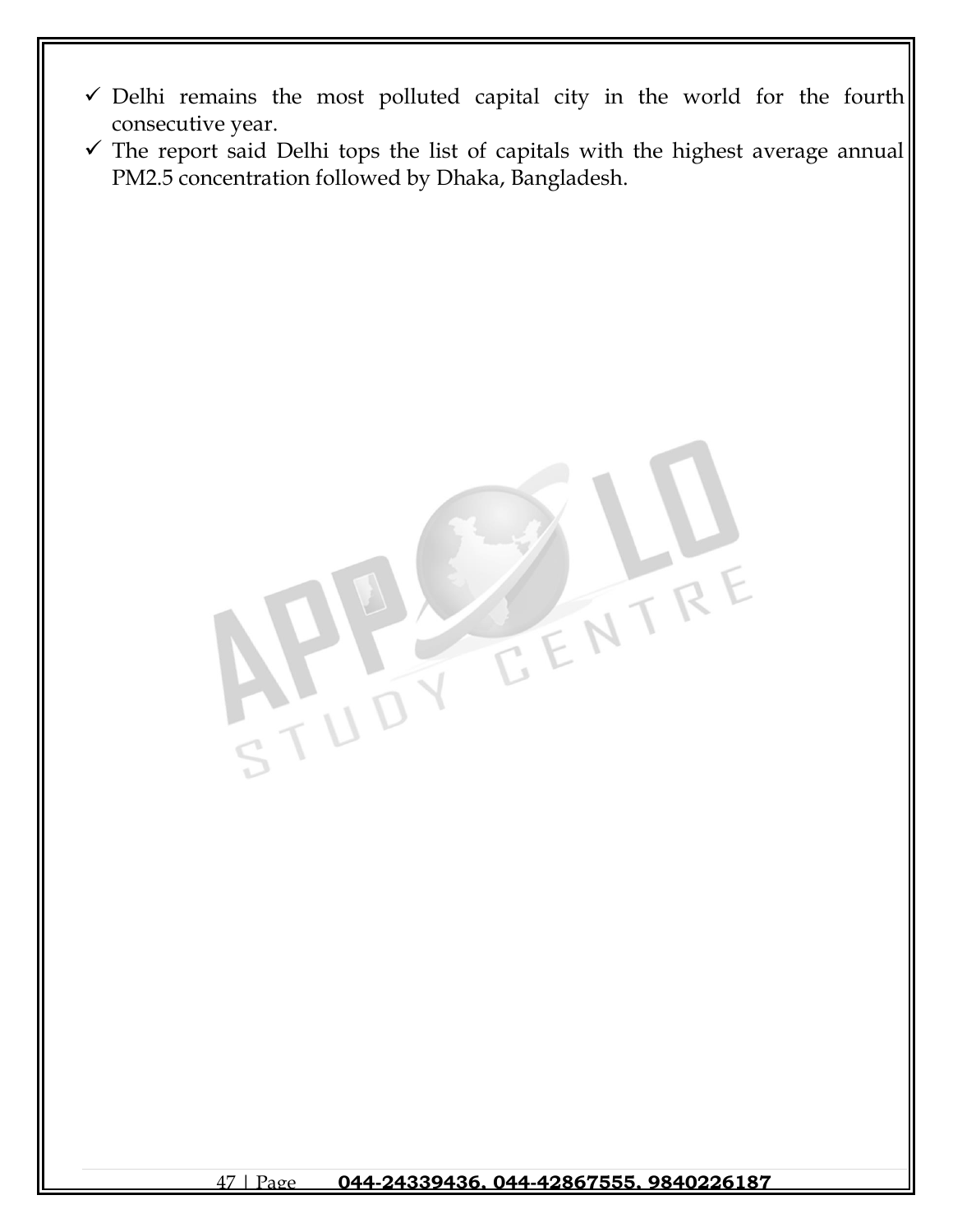- ✓ Delhi remains the most polluted capital city in the world for the fourth consecutive year.
- $\checkmark$  The report said Delhi tops the list of capitals with the highest average annual PM2.5 concentration followed by Dhaka, Bangladesh.

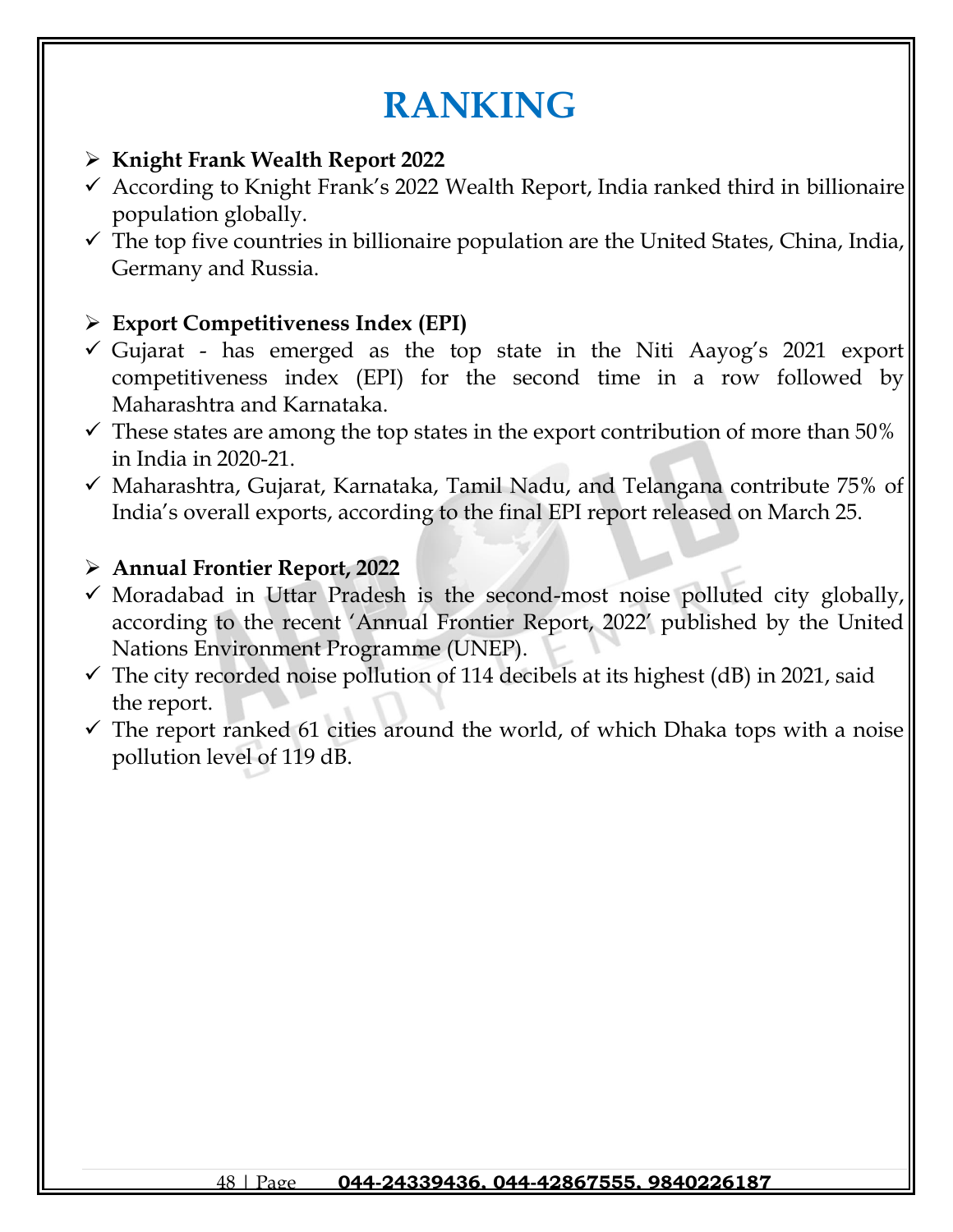# **RANKING**

- ➢ **Knight Frank Wealth Report 2022**
- $\checkmark$  According to Knight Frank's 2022 Wealth Report, India ranked third in billionaire population globally.
- $\checkmark$  The top five countries in billionaire population are the United States, China, India, Germany and Russia.

## ➢ **Export Competitiveness Index (EPI)**

- $\checkmark$  Gujarat has emerged as the top state in the Niti Aayog's 2021 export competitiveness index (EPI) for the second time in a row followed by Maharashtra and Karnataka.
- $\checkmark$  These states are among the top states in the export contribution of more than 50% in India in 2020-21.
- $\checkmark$  Maharashtra, Gujarat, Karnataka, Tamil Nadu, and Telangana contribute 75% of India's overall exports, according to the final EPI report released on March 25.

## ➢ **Annual Frontier Report, 2022**

- $\checkmark$  Moradabad in Uttar Pradesh is the second-most noise polluted city globally, according to the recent 'Annual Frontier Report, 2022' published by the United Nations Environment Programme (UNEP).
- $\checkmark$  The city recorded noise pollution of 114 decibels at its highest (dB) in 2021, said the report.
- $\checkmark$  The report ranked 61 cities around the world, of which Dhaka tops with a noise pollution level of 119 dB.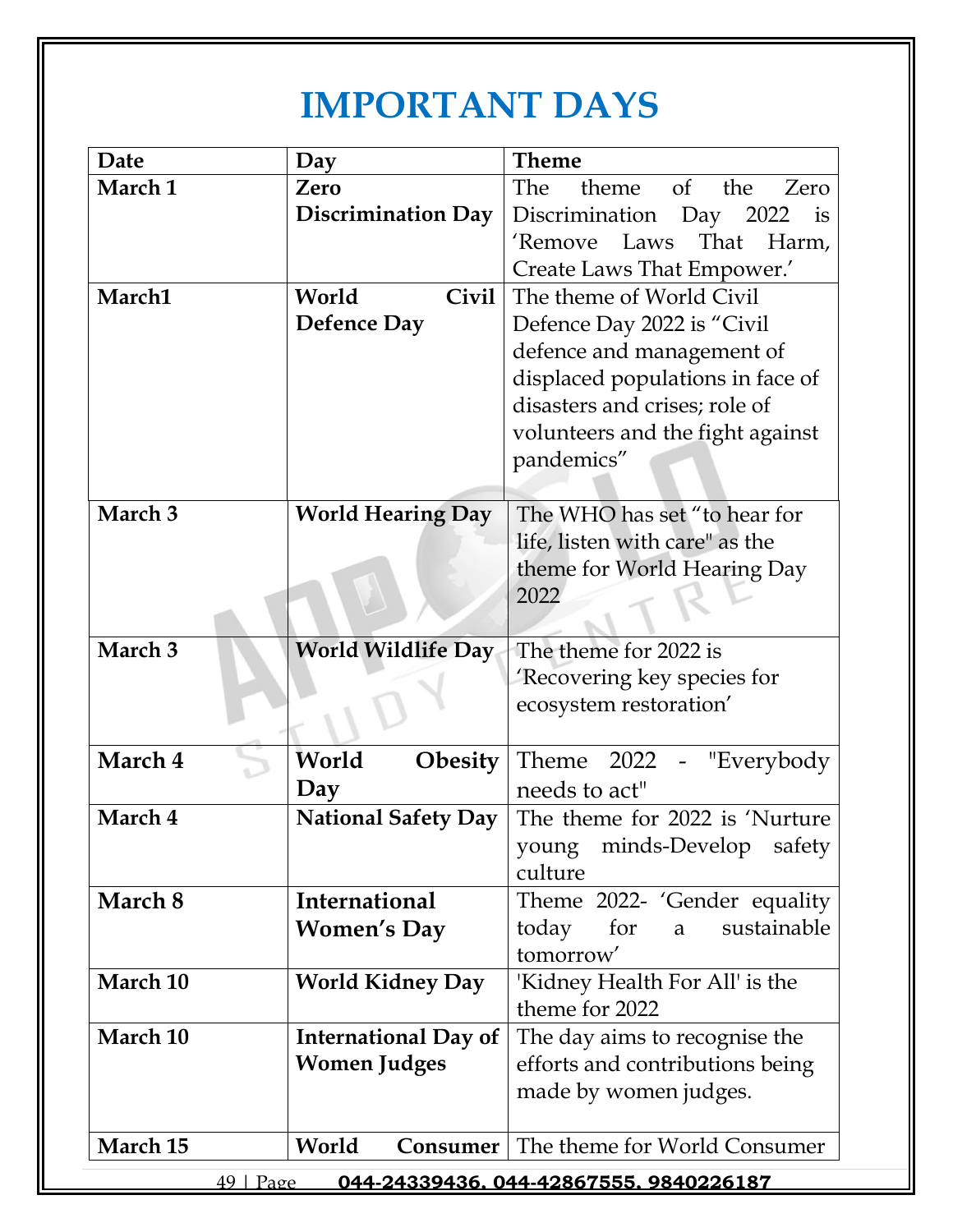# **IMPORTANT DAYS**

| Date                                                   | Day                         | <b>Theme</b>                                 |
|--------------------------------------------------------|-----------------------------|----------------------------------------------|
| March 1                                                | Zero                        | The<br>theme<br>the<br><sub>of</sub><br>Zero |
|                                                        | <b>Discrimination Day</b>   | Discrimination<br>Day 2022<br>is             |
|                                                        |                             | That<br>'Remove<br>Laws<br>Harm,             |
|                                                        |                             | Create Laws That Empower.'                   |
| March1                                                 | World<br><b>Civil</b>       | The theme of World Civil                     |
|                                                        | <b>Defence Day</b>          | Defence Day 2022 is "Civil"                  |
|                                                        |                             | defence and management of                    |
|                                                        |                             | displaced populations in face of             |
|                                                        |                             | disasters and crises; role of                |
|                                                        |                             | volunteers and the fight against             |
|                                                        |                             | pandemics"                                   |
|                                                        |                             |                                              |
| March 3                                                | <b>World Hearing Day</b>    | The WHO has set "to hear for                 |
|                                                        |                             | life, listen with care" as the               |
|                                                        |                             | theme for World Hearing Day                  |
|                                                        |                             | 2022                                         |
|                                                        |                             |                                              |
| March 3                                                | <b>World Wildlife Day</b>   | The theme for 2022 is                        |
|                                                        |                             | 'Recovering key species for                  |
|                                                        |                             | ecosystem restoration'                       |
|                                                        |                             |                                              |
| March 4                                                | World<br><b>Obesity</b>     | Theme<br>2022 - "Everybody                   |
|                                                        | Day                         | needs to act"                                |
| March 4                                                | <b>National Safety Day</b>  | The theme for 2022 is 'Nurture               |
|                                                        |                             | young minds-Develop safety                   |
|                                                        |                             | culture                                      |
| March 8                                                | <b>International</b>        | Theme 2022- 'Gender equality                 |
|                                                        | <b>Women's Day</b>          | sustainable<br>today<br>for<br>a             |
|                                                        |                             | tomorrow'                                    |
| March 10                                               | <b>World Kidney Day</b>     | 'Kidney Health For All' is the               |
|                                                        |                             | theme for 2022                               |
| March 10                                               | <b>International Day of</b> | The day aims to recognise the                |
|                                                        | <b>Women Judges</b>         | efforts and contributions being              |
|                                                        |                             | made by women judges.                        |
|                                                        |                             |                                              |
| March 15                                               | World<br>Consumer           | The theme for World Consumer                 |
| $49 \mid$ Page<br>044-24339436.044-42867555.9840226187 |                             |                                              |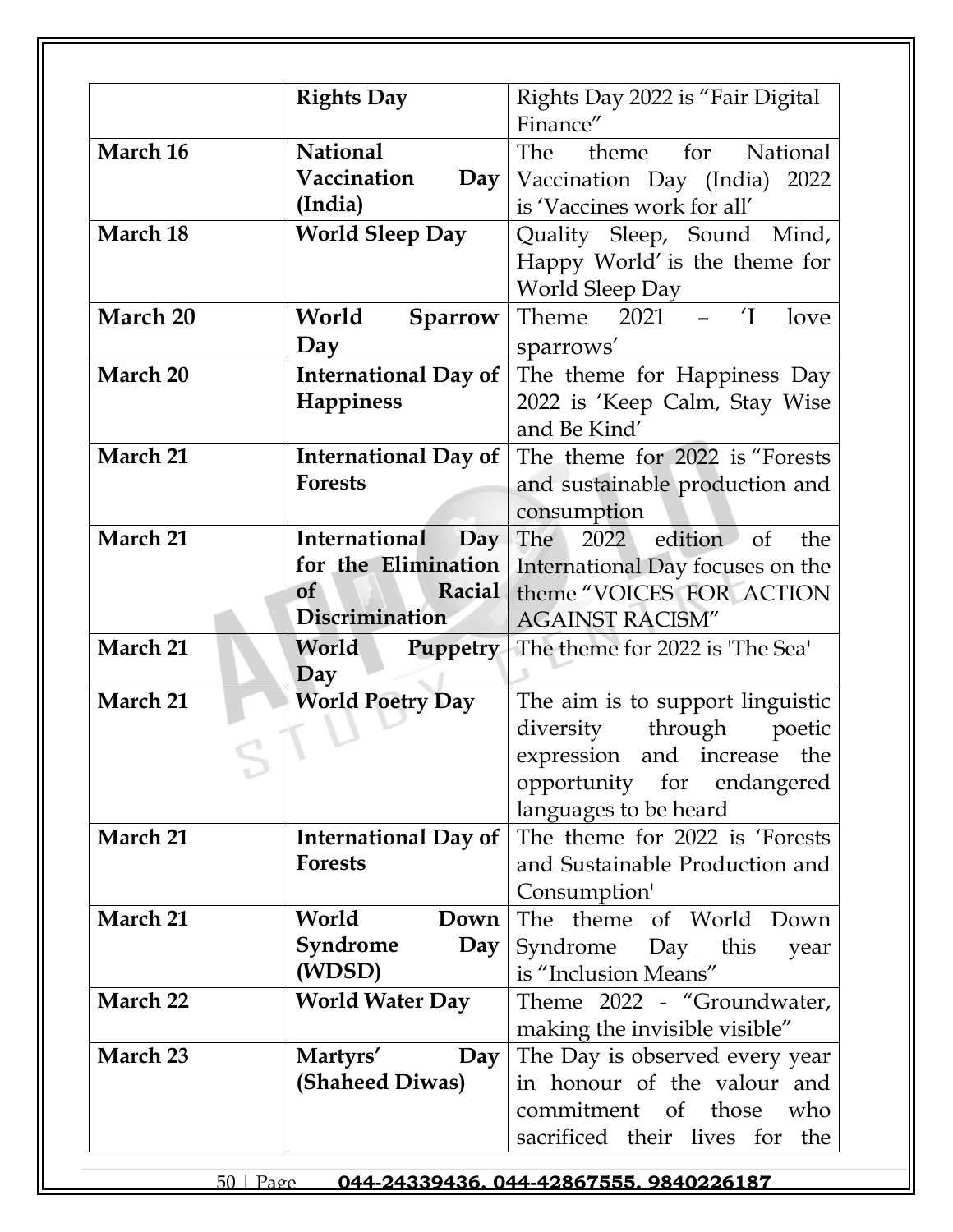| Finance"<br><b>National</b><br>March 16<br>The<br>theme for National<br>Vaccination<br>$\bf Day$<br>Vaccination Day (India) 2022<br>(India)<br>is 'Vaccines work for all'<br><b>World Sleep Day</b><br>March 18<br>Quality Sleep, Sound Mind,<br>Happy World' is the theme for<br><b>World Sleep Day</b><br>$\overline{I}$ – $\overline{I}$<br>March 20<br>Theme 2021<br>World<br>love<br><b>Sparrow</b><br>Day<br>sparrows'<br>March 20<br><b>International Day of</b><br>The theme for Happiness Day<br><b>Happiness</b><br>2022 is 'Keep Calm, Stay Wise<br>and Be Kind'<br>March 21<br><b>International Day of</b><br>The theme for 2022 is "Forests<br><b>Forests</b><br>and sustainable production and<br>consumption<br>March 21<br>International<br>2022 edition of<br>The<br>the<br>$\bf Day$<br>for the Elimination<br>International Day focuses on the<br><b>of</b><br>Racial<br>theme "VOICES FOR ACTION<br>Discrimination<br><b>AGAINST RACISM"</b><br>March 21<br>World<br><b>Puppetry</b><br>The theme for 2022 is 'The Sea'<br>Day<br>March 21<br><b>World Poetry Day</b><br>The aim is to support linguistic<br>through<br>diversity<br>poetic<br>and increase the<br>expression<br>opportunity for endangered<br>languages to be heard<br>The theme for 2022 is 'Forests'<br>March 21<br><b>International Day of</b><br><b>Forests</b><br>and Sustainable Production and<br>Consumption'<br>March 21<br>World<br>The theme of World Down<br>Down<br>Syndrome<br>$\bf Day$<br>Syndrome Day this<br>year<br>(WDSD)<br>is "Inclusion Means"<br>March 22<br><b>World Water Day</b><br>Theme 2022 - "Groundwater,<br>making the invisible visible"<br>March 23<br>The Day is observed every year<br>Martyrs'<br>Day<br>(Shaheed Diwas)<br>in honour of the valour and<br>commitment of those who | <b>Rights Day</b> | Rights Day 2022 is "Fair Digital" |
|---------------------------------------------------------------------------------------------------------------------------------------------------------------------------------------------------------------------------------------------------------------------------------------------------------------------------------------------------------------------------------------------------------------------------------------------------------------------------------------------------------------------------------------------------------------------------------------------------------------------------------------------------------------------------------------------------------------------------------------------------------------------------------------------------------------------------------------------------------------------------------------------------------------------------------------------------------------------------------------------------------------------------------------------------------------------------------------------------------------------------------------------------------------------------------------------------------------------------------------------------------------------------------------------------------------------------------------------------------------------------------------------------------------------------------------------------------------------------------------------------------------------------------------------------------------------------------------------------------------------------------------------------------------------------------------------------------------------------------------------------------------------------------------------------------------|-------------------|-----------------------------------|
|                                                                                                                                                                                                                                                                                                                                                                                                                                                                                                                                                                                                                                                                                                                                                                                                                                                                                                                                                                                                                                                                                                                                                                                                                                                                                                                                                                                                                                                                                                                                                                                                                                                                                                                                                                                                               |                   |                                   |
|                                                                                                                                                                                                                                                                                                                                                                                                                                                                                                                                                                                                                                                                                                                                                                                                                                                                                                                                                                                                                                                                                                                                                                                                                                                                                                                                                                                                                                                                                                                                                                                                                                                                                                                                                                                                               |                   |                                   |
|                                                                                                                                                                                                                                                                                                                                                                                                                                                                                                                                                                                                                                                                                                                                                                                                                                                                                                                                                                                                                                                                                                                                                                                                                                                                                                                                                                                                                                                                                                                                                                                                                                                                                                                                                                                                               |                   |                                   |
|                                                                                                                                                                                                                                                                                                                                                                                                                                                                                                                                                                                                                                                                                                                                                                                                                                                                                                                                                                                                                                                                                                                                                                                                                                                                                                                                                                                                                                                                                                                                                                                                                                                                                                                                                                                                               |                   |                                   |
|                                                                                                                                                                                                                                                                                                                                                                                                                                                                                                                                                                                                                                                                                                                                                                                                                                                                                                                                                                                                                                                                                                                                                                                                                                                                                                                                                                                                                                                                                                                                                                                                                                                                                                                                                                                                               |                   |                                   |
|                                                                                                                                                                                                                                                                                                                                                                                                                                                                                                                                                                                                                                                                                                                                                                                                                                                                                                                                                                                                                                                                                                                                                                                                                                                                                                                                                                                                                                                                                                                                                                                                                                                                                                                                                                                                               |                   |                                   |
|                                                                                                                                                                                                                                                                                                                                                                                                                                                                                                                                                                                                                                                                                                                                                                                                                                                                                                                                                                                                                                                                                                                                                                                                                                                                                                                                                                                                                                                                                                                                                                                                                                                                                                                                                                                                               |                   |                                   |
|                                                                                                                                                                                                                                                                                                                                                                                                                                                                                                                                                                                                                                                                                                                                                                                                                                                                                                                                                                                                                                                                                                                                                                                                                                                                                                                                                                                                                                                                                                                                                                                                                                                                                                                                                                                                               |                   |                                   |
|                                                                                                                                                                                                                                                                                                                                                                                                                                                                                                                                                                                                                                                                                                                                                                                                                                                                                                                                                                                                                                                                                                                                                                                                                                                                                                                                                                                                                                                                                                                                                                                                                                                                                                                                                                                                               |                   |                                   |
|                                                                                                                                                                                                                                                                                                                                                                                                                                                                                                                                                                                                                                                                                                                                                                                                                                                                                                                                                                                                                                                                                                                                                                                                                                                                                                                                                                                                                                                                                                                                                                                                                                                                                                                                                                                                               |                   |                                   |
|                                                                                                                                                                                                                                                                                                                                                                                                                                                                                                                                                                                                                                                                                                                                                                                                                                                                                                                                                                                                                                                                                                                                                                                                                                                                                                                                                                                                                                                                                                                                                                                                                                                                                                                                                                                                               |                   |                                   |
|                                                                                                                                                                                                                                                                                                                                                                                                                                                                                                                                                                                                                                                                                                                                                                                                                                                                                                                                                                                                                                                                                                                                                                                                                                                                                                                                                                                                                                                                                                                                                                                                                                                                                                                                                                                                               |                   |                                   |
|                                                                                                                                                                                                                                                                                                                                                                                                                                                                                                                                                                                                                                                                                                                                                                                                                                                                                                                                                                                                                                                                                                                                                                                                                                                                                                                                                                                                                                                                                                                                                                                                                                                                                                                                                                                                               |                   |                                   |
|                                                                                                                                                                                                                                                                                                                                                                                                                                                                                                                                                                                                                                                                                                                                                                                                                                                                                                                                                                                                                                                                                                                                                                                                                                                                                                                                                                                                                                                                                                                                                                                                                                                                                                                                                                                                               |                   |                                   |
|                                                                                                                                                                                                                                                                                                                                                                                                                                                                                                                                                                                                                                                                                                                                                                                                                                                                                                                                                                                                                                                                                                                                                                                                                                                                                                                                                                                                                                                                                                                                                                                                                                                                                                                                                                                                               |                   |                                   |
|                                                                                                                                                                                                                                                                                                                                                                                                                                                                                                                                                                                                                                                                                                                                                                                                                                                                                                                                                                                                                                                                                                                                                                                                                                                                                                                                                                                                                                                                                                                                                                                                                                                                                                                                                                                                               |                   |                                   |
|                                                                                                                                                                                                                                                                                                                                                                                                                                                                                                                                                                                                                                                                                                                                                                                                                                                                                                                                                                                                                                                                                                                                                                                                                                                                                                                                                                                                                                                                                                                                                                                                                                                                                                                                                                                                               |                   |                                   |
|                                                                                                                                                                                                                                                                                                                                                                                                                                                                                                                                                                                                                                                                                                                                                                                                                                                                                                                                                                                                                                                                                                                                                                                                                                                                                                                                                                                                                                                                                                                                                                                                                                                                                                                                                                                                               |                   |                                   |
|                                                                                                                                                                                                                                                                                                                                                                                                                                                                                                                                                                                                                                                                                                                                                                                                                                                                                                                                                                                                                                                                                                                                                                                                                                                                                                                                                                                                                                                                                                                                                                                                                                                                                                                                                                                                               |                   |                                   |
|                                                                                                                                                                                                                                                                                                                                                                                                                                                                                                                                                                                                                                                                                                                                                                                                                                                                                                                                                                                                                                                                                                                                                                                                                                                                                                                                                                                                                                                                                                                                                                                                                                                                                                                                                                                                               |                   |                                   |
|                                                                                                                                                                                                                                                                                                                                                                                                                                                                                                                                                                                                                                                                                                                                                                                                                                                                                                                                                                                                                                                                                                                                                                                                                                                                                                                                                                                                                                                                                                                                                                                                                                                                                                                                                                                                               |                   |                                   |
|                                                                                                                                                                                                                                                                                                                                                                                                                                                                                                                                                                                                                                                                                                                                                                                                                                                                                                                                                                                                                                                                                                                                                                                                                                                                                                                                                                                                                                                                                                                                                                                                                                                                                                                                                                                                               |                   |                                   |
|                                                                                                                                                                                                                                                                                                                                                                                                                                                                                                                                                                                                                                                                                                                                                                                                                                                                                                                                                                                                                                                                                                                                                                                                                                                                                                                                                                                                                                                                                                                                                                                                                                                                                                                                                                                                               |                   |                                   |
|                                                                                                                                                                                                                                                                                                                                                                                                                                                                                                                                                                                                                                                                                                                                                                                                                                                                                                                                                                                                                                                                                                                                                                                                                                                                                                                                                                                                                                                                                                                                                                                                                                                                                                                                                                                                               |                   |                                   |
|                                                                                                                                                                                                                                                                                                                                                                                                                                                                                                                                                                                                                                                                                                                                                                                                                                                                                                                                                                                                                                                                                                                                                                                                                                                                                                                                                                                                                                                                                                                                                                                                                                                                                                                                                                                                               |                   |                                   |
|                                                                                                                                                                                                                                                                                                                                                                                                                                                                                                                                                                                                                                                                                                                                                                                                                                                                                                                                                                                                                                                                                                                                                                                                                                                                                                                                                                                                                                                                                                                                                                                                                                                                                                                                                                                                               |                   |                                   |
|                                                                                                                                                                                                                                                                                                                                                                                                                                                                                                                                                                                                                                                                                                                                                                                                                                                                                                                                                                                                                                                                                                                                                                                                                                                                                                                                                                                                                                                                                                                                                                                                                                                                                                                                                                                                               |                   |                                   |
|                                                                                                                                                                                                                                                                                                                                                                                                                                                                                                                                                                                                                                                                                                                                                                                                                                                                                                                                                                                                                                                                                                                                                                                                                                                                                                                                                                                                                                                                                                                                                                                                                                                                                                                                                                                                               |                   |                                   |
|                                                                                                                                                                                                                                                                                                                                                                                                                                                                                                                                                                                                                                                                                                                                                                                                                                                                                                                                                                                                                                                                                                                                                                                                                                                                                                                                                                                                                                                                                                                                                                                                                                                                                                                                                                                                               |                   |                                   |
|                                                                                                                                                                                                                                                                                                                                                                                                                                                                                                                                                                                                                                                                                                                                                                                                                                                                                                                                                                                                                                                                                                                                                                                                                                                                                                                                                                                                                                                                                                                                                                                                                                                                                                                                                                                                               |                   |                                   |
|                                                                                                                                                                                                                                                                                                                                                                                                                                                                                                                                                                                                                                                                                                                                                                                                                                                                                                                                                                                                                                                                                                                                                                                                                                                                                                                                                                                                                                                                                                                                                                                                                                                                                                                                                                                                               |                   |                                   |
|                                                                                                                                                                                                                                                                                                                                                                                                                                                                                                                                                                                                                                                                                                                                                                                                                                                                                                                                                                                                                                                                                                                                                                                                                                                                                                                                                                                                                                                                                                                                                                                                                                                                                                                                                                                                               |                   |                                   |
|                                                                                                                                                                                                                                                                                                                                                                                                                                                                                                                                                                                                                                                                                                                                                                                                                                                                                                                                                                                                                                                                                                                                                                                                                                                                                                                                                                                                                                                                                                                                                                                                                                                                                                                                                                                                               |                   |                                   |
|                                                                                                                                                                                                                                                                                                                                                                                                                                                                                                                                                                                                                                                                                                                                                                                                                                                                                                                                                                                                                                                                                                                                                                                                                                                                                                                                                                                                                                                                                                                                                                                                                                                                                                                                                                                                               |                   |                                   |
|                                                                                                                                                                                                                                                                                                                                                                                                                                                                                                                                                                                                                                                                                                                                                                                                                                                                                                                                                                                                                                                                                                                                                                                                                                                                                                                                                                                                                                                                                                                                                                                                                                                                                                                                                                                                               |                   |                                   |
|                                                                                                                                                                                                                                                                                                                                                                                                                                                                                                                                                                                                                                                                                                                                                                                                                                                                                                                                                                                                                                                                                                                                                                                                                                                                                                                                                                                                                                                                                                                                                                                                                                                                                                                                                                                                               |                   |                                   |
|                                                                                                                                                                                                                                                                                                                                                                                                                                                                                                                                                                                                                                                                                                                                                                                                                                                                                                                                                                                                                                                                                                                                                                                                                                                                                                                                                                                                                                                                                                                                                                                                                                                                                                                                                                                                               |                   |                                   |
|                                                                                                                                                                                                                                                                                                                                                                                                                                                                                                                                                                                                                                                                                                                                                                                                                                                                                                                                                                                                                                                                                                                                                                                                                                                                                                                                                                                                                                                                                                                                                                                                                                                                                                                                                                                                               |                   |                                   |
| sacrificed their lives for<br>the                                                                                                                                                                                                                                                                                                                                                                                                                                                                                                                                                                                                                                                                                                                                                                                                                                                                                                                                                                                                                                                                                                                                                                                                                                                                                                                                                                                                                                                                                                                                                                                                                                                                                                                                                                             |                   |                                   |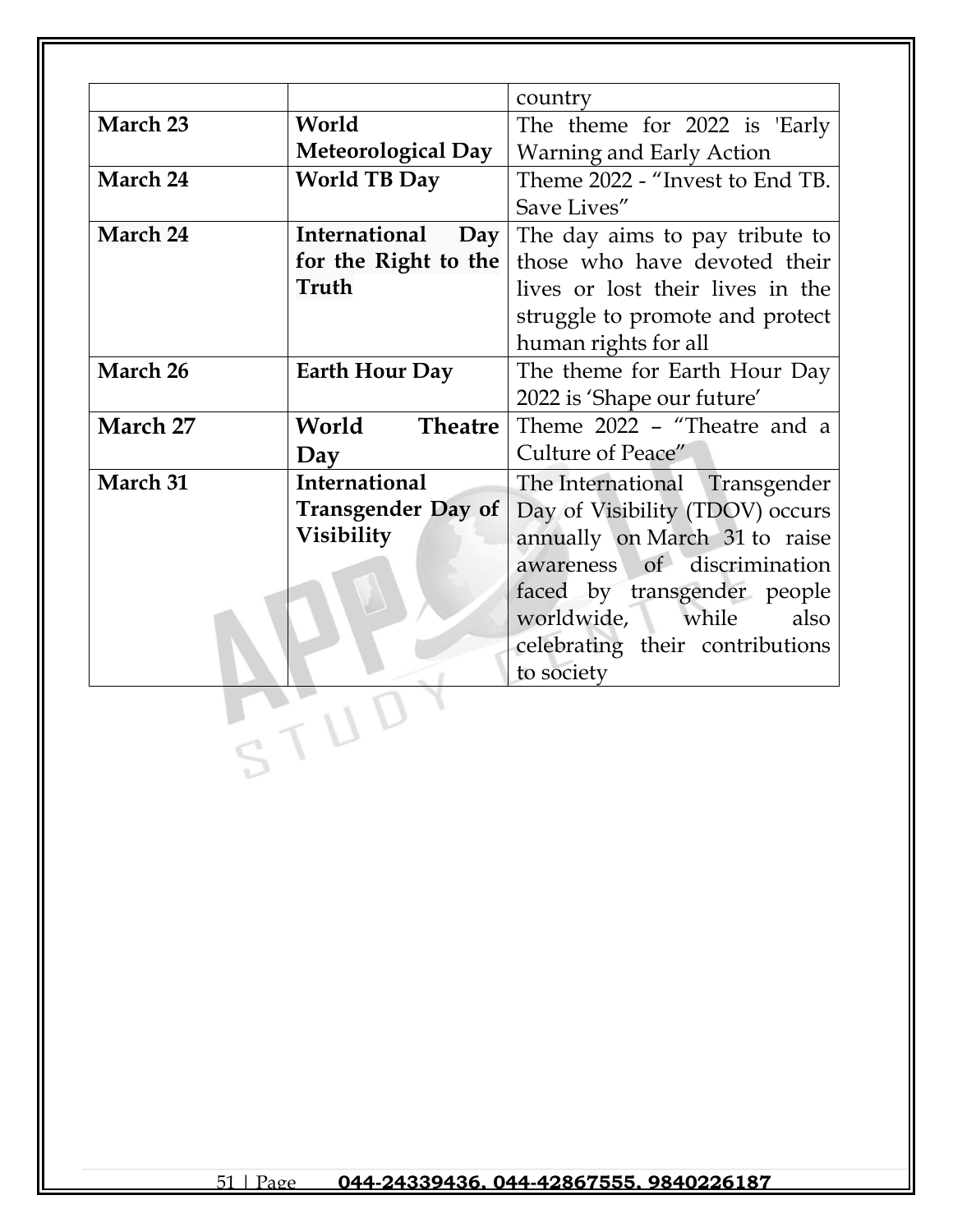|          |                           | country                          |
|----------|---------------------------|----------------------------------|
| March 23 | World                     | The theme for 2022 is 'Early     |
|          | <b>Meteorological Day</b> | Warning and Early Action         |
| March 24 | <b>World TB Day</b>       | Theme 2022 - "Invest to End TB.  |
|          |                           | Save Lives"                      |
| March 24 | International<br>Day      | The day aims to pay tribute to   |
|          | for the Right to the      | those who have devoted their     |
|          | Truth                     | lives or lost their lives in the |
|          |                           | struggle to promote and protect  |
|          |                           | human rights for all             |
| March 26 | <b>Earth Hour Day</b>     | The theme for Earth Hour Day     |
|          |                           | 2022 is 'Shape our future'       |
| March 27 | World<br><b>Theatre</b>   | Theme 2022 - "Theatre and a      |
|          | Day                       | Culture of Peace"                |
| March 31 | <b>International</b>      | The International Transgender    |
|          | <b>Transgender Day of</b> | Day of Visibility (TDOV) occurs  |
|          | Visibility                | annually on March 31 to raise    |
|          |                           | of discrimination<br>awareness   |
|          |                           | faced by transgender people      |
|          |                           | worldwide,<br>while<br>also      |
|          |                           | celebrating their contributions  |
|          |                           | to society                       |
|          |                           |                                  |
|          |                           |                                  |
|          |                           |                                  |
|          |                           |                                  |